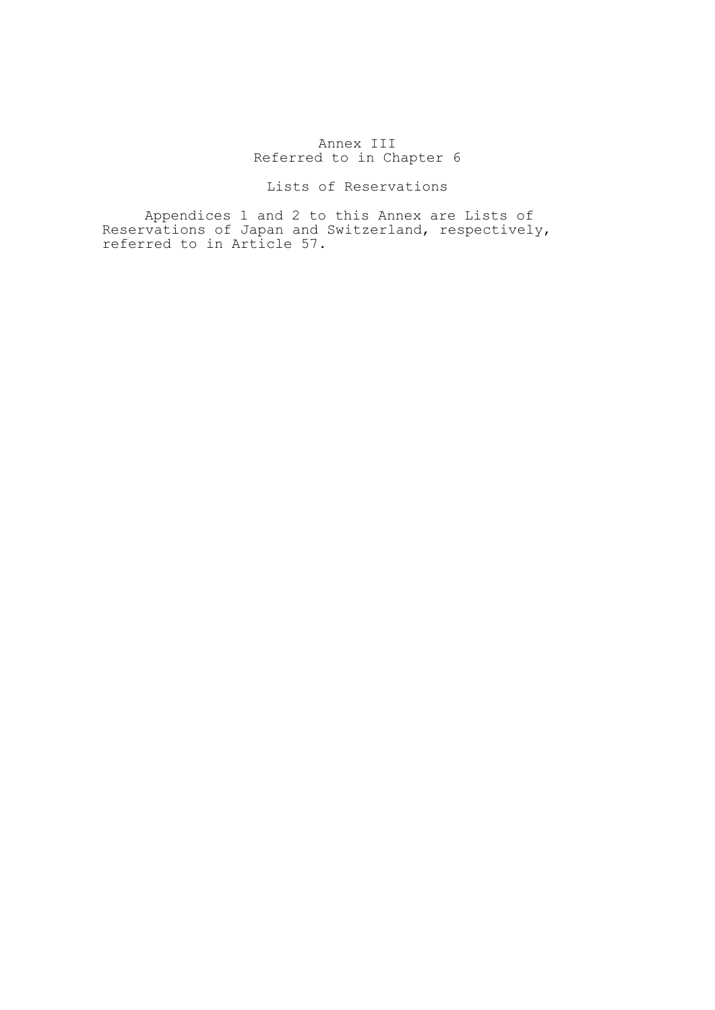# Annex III Referred to in Chapter 6

# Lists of Reservations

 Appendices 1 and 2 to this Annex are Lists of Reservations of Japan and Switzerland, respectively, referred to in Article 57.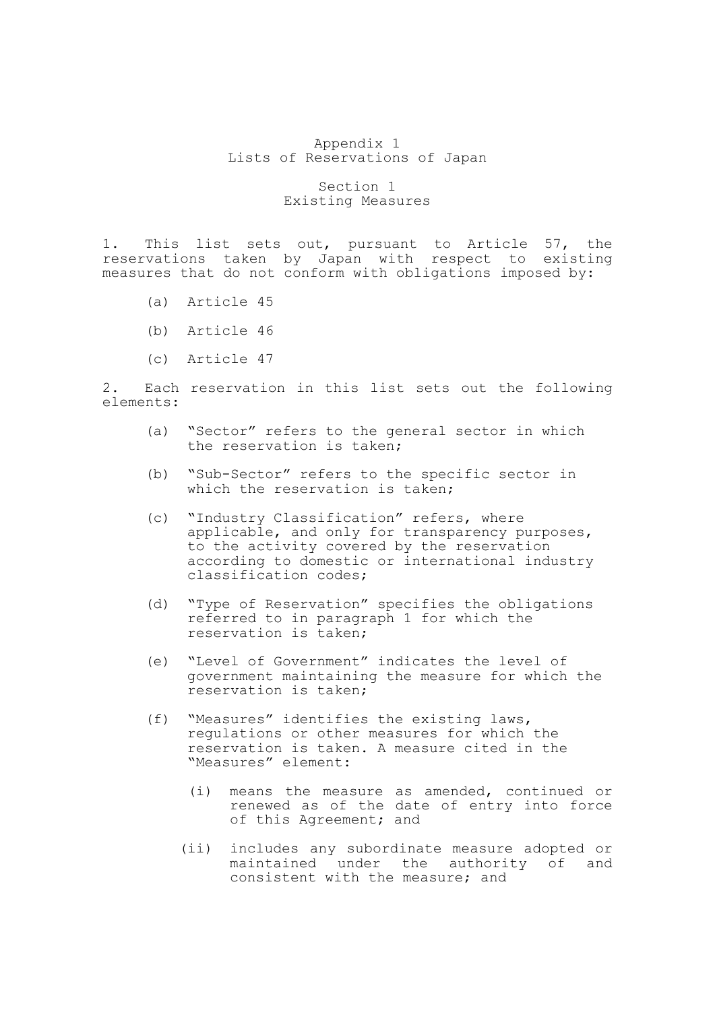### Appendix 1 Lists of Reservations of Japan

## Section 1 Existing Measures

1. This list sets out, pursuant to Article 57, the reservations taken by Japan with respect to existing measures that do not conform with obligations imposed by:

- (a) Article 45
- (b) Article 46
- (c) Article 47

2. Each reservation in this list sets out the following elements:

- (a) "Sector" refers to the general sector in which the reservation is taken;
- (b) "Sub-Sector" refers to the specific sector in which the reservation is taken;
- (c) "Industry Classification" refers, where applicable, and only for transparency purposes, to the activity covered by the reservation according to domestic or international industry classification codes;
- (d) "Type of Reservation" specifies the obligations referred to in paragraph 1 for which the reservation is taken;
- (e) "Level of Government" indicates the level of government maintaining the measure for which the reservation is taken;
- (f) "Measures" identifies the existing laws, regulations or other measures for which the reservation is taken. A measure cited in the "Measures" element:
	- (i) means the measure as amended, continued or renewed as of the date of entry into force of this Agreement; and
	- (ii) includes any subordinate measure adopted or maintained under the authority of and consistent with the measure; and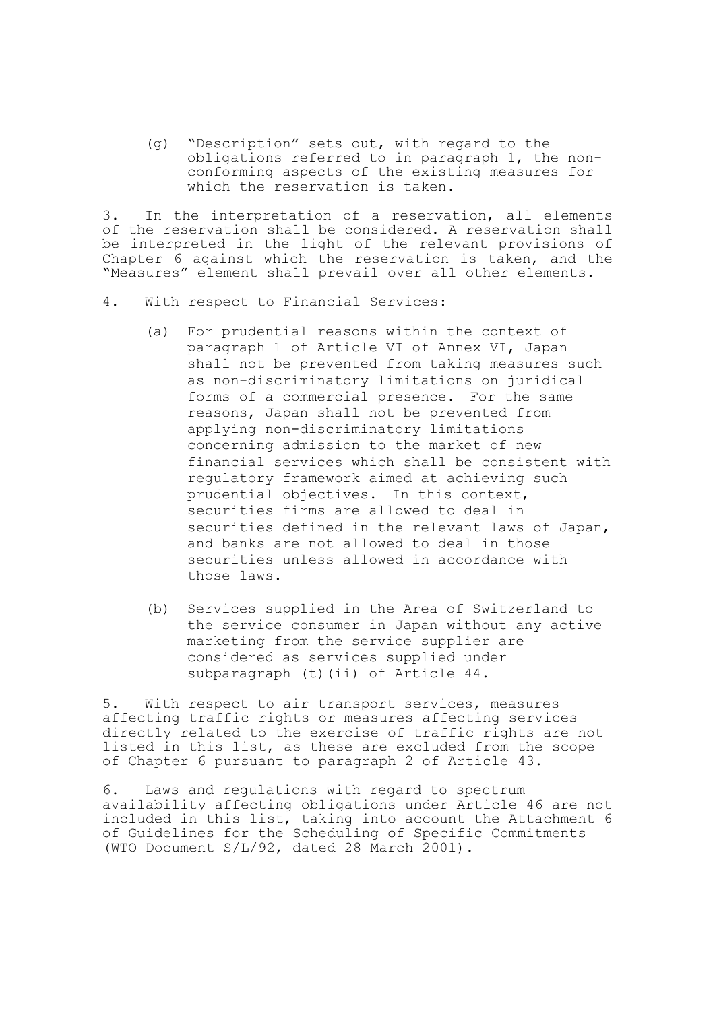(g) "Description" sets out, with regard to the obligations referred to in paragraph 1, the nonconforming aspects of the existing measures for which the reservation is taken.

3. In the interpretation of a reservation, all elements of the reservation shall be considered. A reservation shall be interpreted in the light of the relevant provisions of Chapter 6 against which the reservation is taken, and the "Measures" element shall prevail over all other elements.

- 4. With respect to Financial Services:
	- (a) For prudential reasons within the context of paragraph 1 of Article VI of Annex VI, Japan shall not be prevented from taking measures such as non-discriminatory limitations on juridical forms of a commercial presence. For the same reasons, Japan shall not be prevented from applying non-discriminatory limitations concerning admission to the market of new financial services which shall be consistent with regulatory framework aimed at achieving such prudential objectives. In this context, securities firms are allowed to deal in securities defined in the relevant laws of Japan, and banks are not allowed to deal in those securities unless allowed in accordance with those laws.
	- (b) Services supplied in the Area of Switzerland to the service consumer in Japan without any active marketing from the service supplier are considered as services supplied under subparagraph (t)(ii) of Article 44.

5. With respect to air transport services, measures affecting traffic rights or measures affecting services directly related to the exercise of traffic rights are not listed in this list, as these are excluded from the scope of Chapter 6 pursuant to paragraph 2 of Article 43.

6. Laws and regulations with regard to spectrum availability affecting obligations under Article 46 are not included in this list, taking into account the Attachment 6 of Guidelines for the Scheduling of Specific Commitments (WTO Document S/L/92, dated 28 March 2001).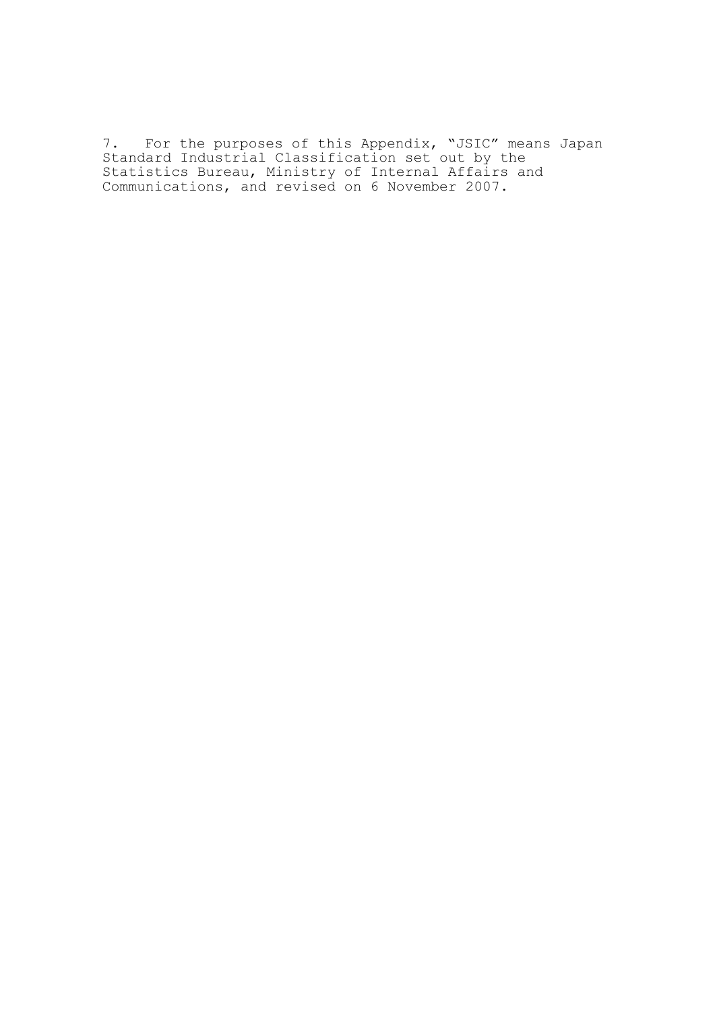7. For the purposes of this Appendix, "JSIC" means Japan Standard Industrial Classification set out by the Statistics Bureau, Ministry of Internal Affairs and Communications, and revised on 6 November 2007.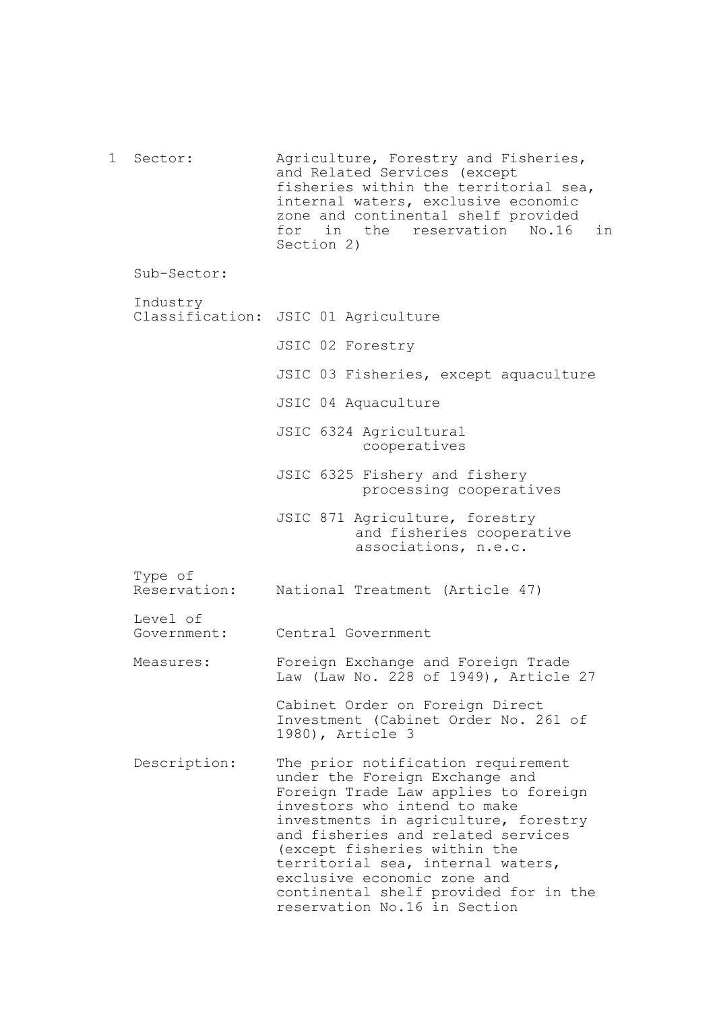1 Sector: Sub-Sector: Industry Classification: JSIC 01 Agriculture Type of Reservation: Level of Government: Measures: Description: Agriculture, Forestry and Fisheries, and Related Services (except fisheries within the territorial sea, internal waters, exclusive economic zone and continental shelf provided for in the reservation No.16 in Section 2) JSIC 02 Forestry JSIC 03 Fisheries, except aquaculture JSIC 04 Aquaculture JSIC 6324 Agricultural cooperatives JSIC 6325 Fishery and fishery processing cooperatives JSIC 871 Agriculture, forestry and fisheries cooperative associations, n.e.c. National Treatment (Article 47) Central Government Foreign Exchange and Foreign Trade Law (Law No. 228 of 1949), Article 27 Cabinet Order on Foreign Direct Investment (Cabinet Order No. 261 of 1980), Article 3 The prior notification requirement under the Foreign Exchange and Foreign Trade Law applies to foreign investors who intend to make investments in agriculture, forestry and fisheries and related services (except fisheries within the territorial sea, internal waters, exclusive economic zone and continental shelf provided for in the reservation No.16 in Section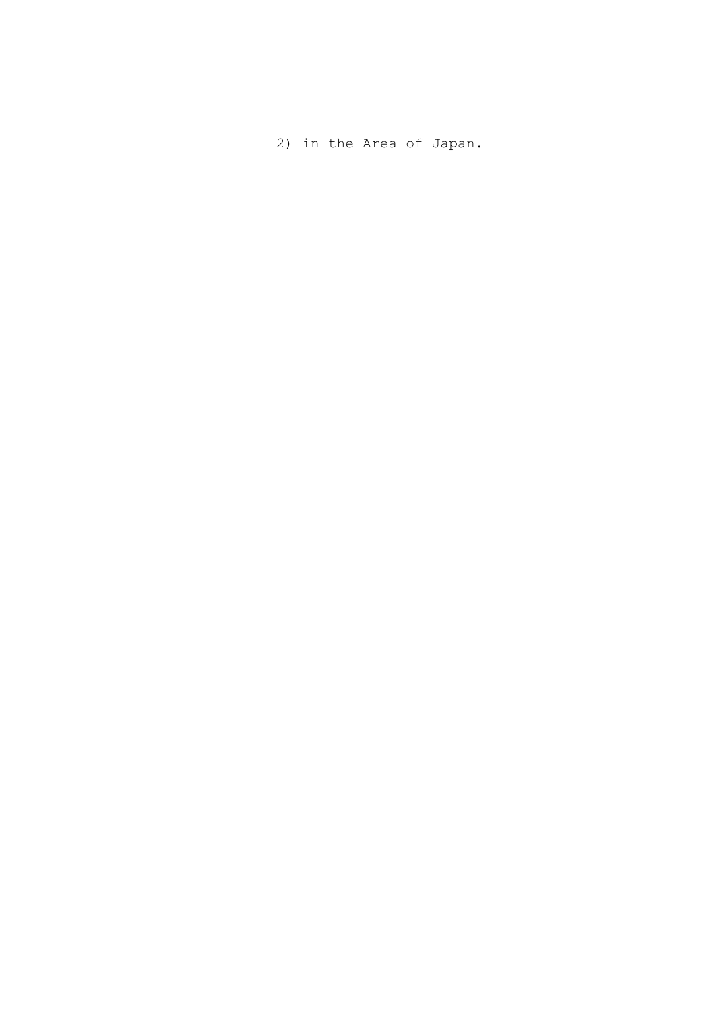2) in the Area of Japan.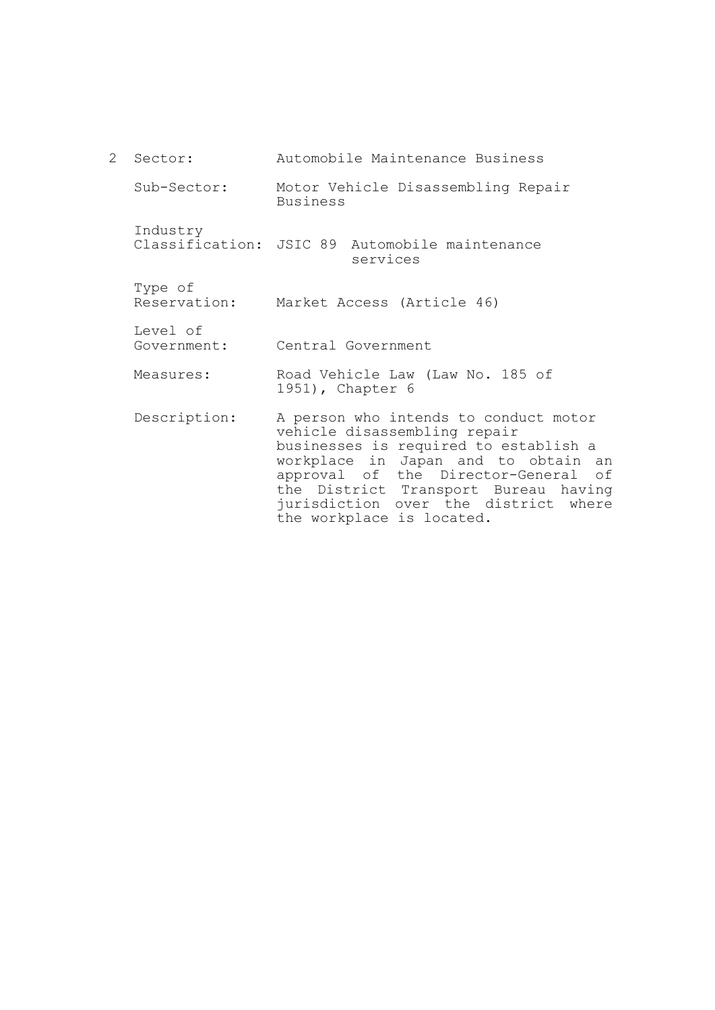2 Sector: Sub-Sector: Industry Classification: JSIC 89 Automobile maintenance Type of Reservation: Market Access (Article 46) Level of Government: Measures: Description: Automobile Maintenance Business Motor Vehicle Disassembling Repair Business services Central Government Road Vehicle Law (Law No. 185 of 1951), Chapter 6 A person who intends to conduct motor vehicle disassembling repair businesses is required to establish a workplace in Japan and to obtain an approval of the Director-General of the District Transport Bureau having

jurisdiction over the district where

the workplace is located.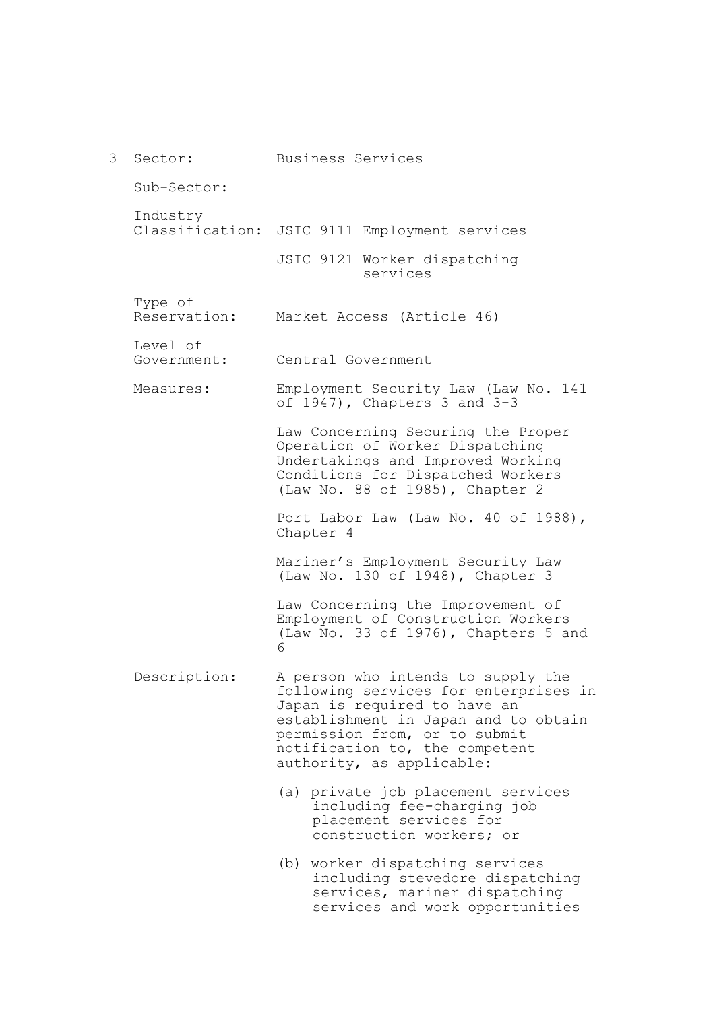| 3 | Sector:                 | Business Services                                                                                                                                                                                                                                   |
|---|-------------------------|-----------------------------------------------------------------------------------------------------------------------------------------------------------------------------------------------------------------------------------------------------|
|   | Sub-Sector:             |                                                                                                                                                                                                                                                     |
|   | Industry                | Classification: JSIC 9111 Employment services                                                                                                                                                                                                       |
|   |                         | JSIC 9121 Worker dispatching<br>services                                                                                                                                                                                                            |
|   | Type of<br>Reservation: | Market Access (Article 46)                                                                                                                                                                                                                          |
|   | Level of<br>Government: | Central Government                                                                                                                                                                                                                                  |
|   | Measures:               | Employment Security Law (Law No. 141<br>of $1947$ , Chapters 3 and $3-3$                                                                                                                                                                            |
|   |                         | Law Concerning Securing the Proper<br>Operation of Worker Dispatching<br>Undertakings and Improved Working<br>Conditions for Dispatched Workers<br>(Law No. 88 of 1985), Chapter 2                                                                  |
|   |                         | Port Labor Law (Law No. 40 of 1988),<br>Chapter 4                                                                                                                                                                                                   |
|   |                         | Mariner's Employment Security Law<br>(Law No. 130 of 1948), Chapter 3                                                                                                                                                                               |
|   |                         | Law Concerning the Improvement of<br>Employment of Construction Workers<br>(Law No. 33 of 1976), Chapters 5 and<br>6                                                                                                                                |
|   | Description:            | A person who intends to supply the<br>following services for enterprises in<br>Japan is required to have an<br>establishment in Japan and to obtain<br>permission from, or to submit<br>notification to, the competent<br>authority, as applicable: |
|   |                         | (a) private job placement services<br>including fee-charging job<br>placement services for<br>construction workers; or                                                                                                                              |
|   |                         | (b) worker dispatching services<br>including stevedore dispatching<br>services, mariner dispatching                                                                                                                                                 |

services and work opportunities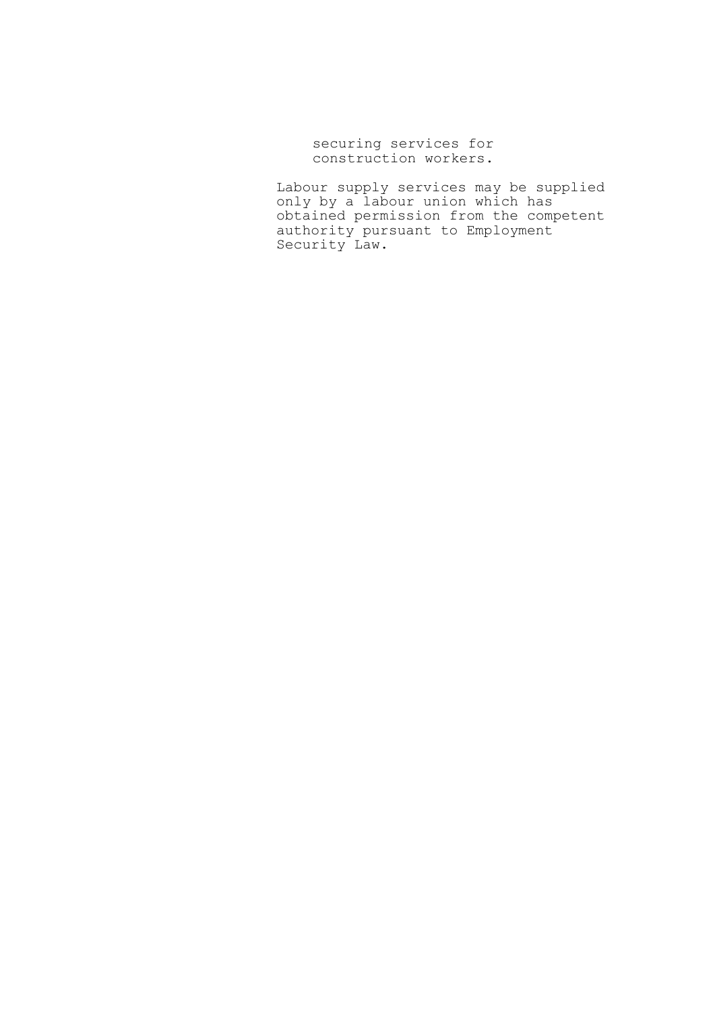securing services for construction workers.

Labour supply services may be supplied only by a labour union which has obtained permission from the competent authority pursuant to Employment Security Law.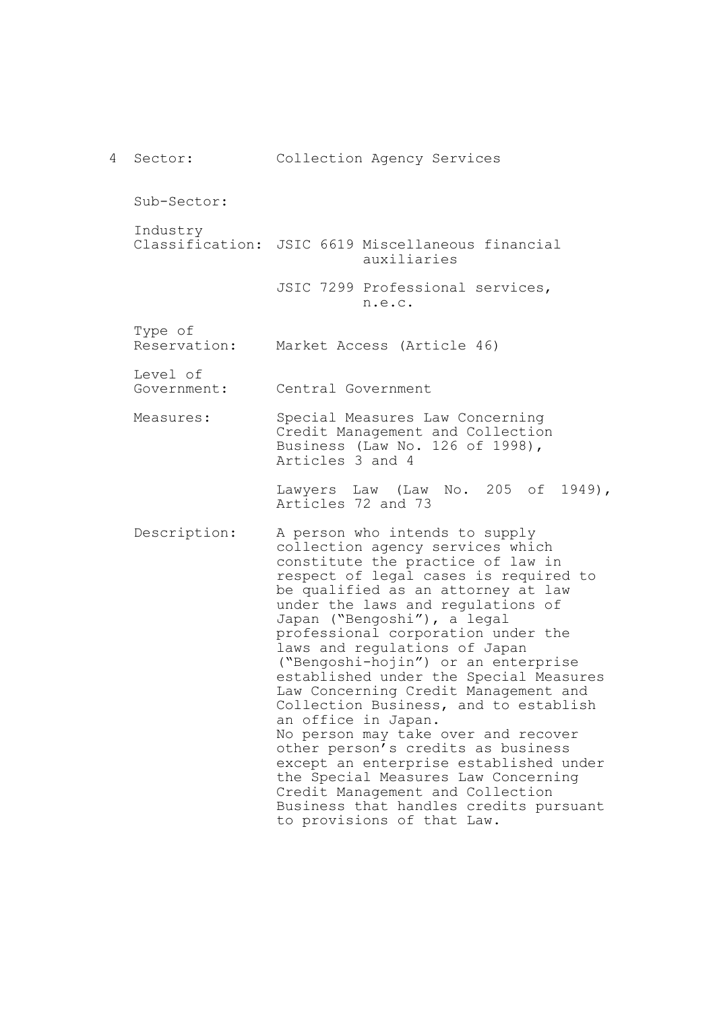4 Sector: Sub-Sector: Industry Classification: JSIC 6619 Miscellaneous financial Type of Reservation: Level of Government: Measures: Description: Collection Agency Services auxiliaries JSIC 7299 Professional services, n.e.c. Market Access (Article 46) Central Government Special Measures Law Concerning Credit Management and Collection Business (Law No. 126 of 1998), Articles 3 and 4 Lawyers Law (Law No. 205 of 1949), Articles 72 and 73 A person who intends to supply collection agency services which constitute the practice of law in respect of legal cases is required to be qualified as an attorney at law under the laws and regulations of Japan ("Bengoshi"), a legal professional corporation under the laws and regulations of Japan ("Bengoshi-hojin") or an enterprise established under the Special Measures Law Concerning Credit Management and Collection Business, and to establish an office in Japan. No person may take over and recover other person's credits as business except an enterprise established under the Special Measures Law Concerning Credit Management and Collection Business that handles credits pursuant to provisions of that Law.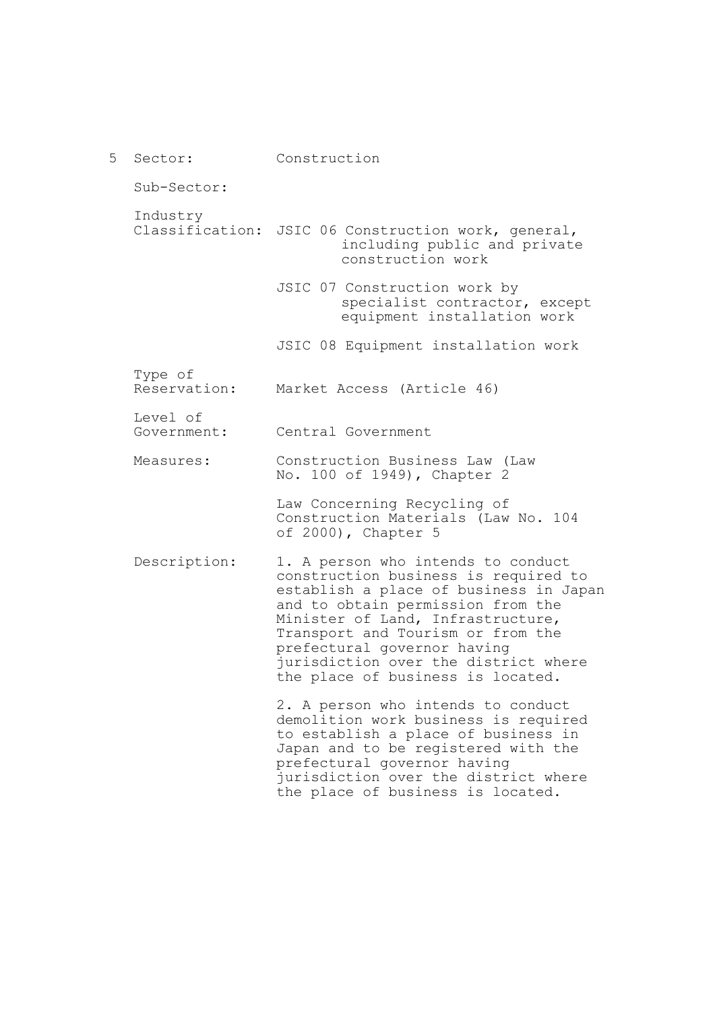| 5 | Sector:                 | Construction                                                                                                                                                                                                                                                                                                                                    |
|---|-------------------------|-------------------------------------------------------------------------------------------------------------------------------------------------------------------------------------------------------------------------------------------------------------------------------------------------------------------------------------------------|
|   | Sub-Sector:             |                                                                                                                                                                                                                                                                                                                                                 |
|   | Industry                | Classification: JSIC 06 Construction work, general,<br>including public and private<br>construction work                                                                                                                                                                                                                                        |
|   |                         | JSIC 07 Construction work by<br>specialist contractor, except<br>equipment installation work                                                                                                                                                                                                                                                    |
|   |                         | JSIC 08 Equipment installation work                                                                                                                                                                                                                                                                                                             |
|   | Type of<br>Reservation: | Market Access (Article 46)                                                                                                                                                                                                                                                                                                                      |
|   | Level of<br>Government: | Central Government                                                                                                                                                                                                                                                                                                                              |
|   | Measures:               | Construction Business Law (Law<br>No. 100 of 1949), Chapter 2                                                                                                                                                                                                                                                                                   |
|   |                         | Law Concerning Recycling of<br>Construction Materials (Law No. 104<br>of 2000), Chapter 5                                                                                                                                                                                                                                                       |
|   | Description:            | 1. A person who intends to conduct<br>construction business is required to<br>establish a place of business in Japan<br>and to obtain permission from the<br>Minister of Land, Infrastructure,<br>Transport and Tourism or from the<br>prefectural governor having<br>jurisdiction over the district where<br>the place of business is located. |
|   |                         | 2. A person who intends to conduct<br>demolition work business is required<br>to establish a place of business in<br>Japan and to be registered with the<br>prefectural governor having<br>jurisdiction over the district where<br>the place of business is located.                                                                            |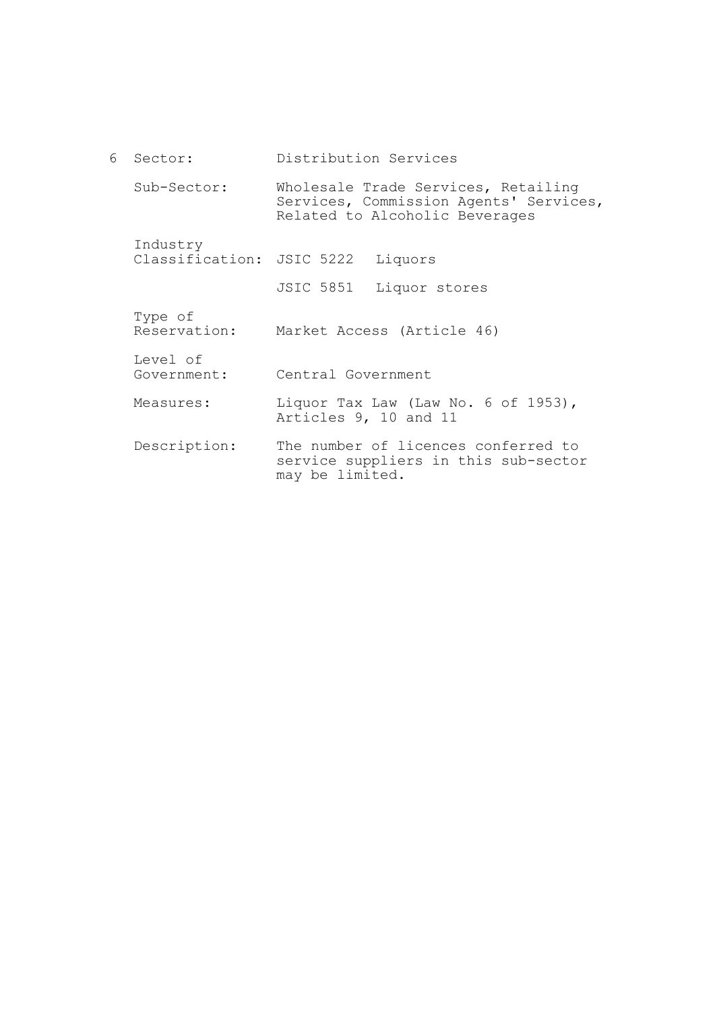6 Sector: Sub-Sector: Industry Classification: JSIC 5222 Liquors Type of Reservation: Level of Government: Measures: Description: Distribution Services Wholesale Trade Services, Retailing Services, Commission Agents' Services, Related to Alcoholic Beverages JSIC 5851 Liquor stores Market Access (Article 46) Central Government Liquor Tax Law (Law No. 6 of 1953), Articles 9, 10 and 11 The number of licences conferred to service suppliers in this sub-sector may be limited.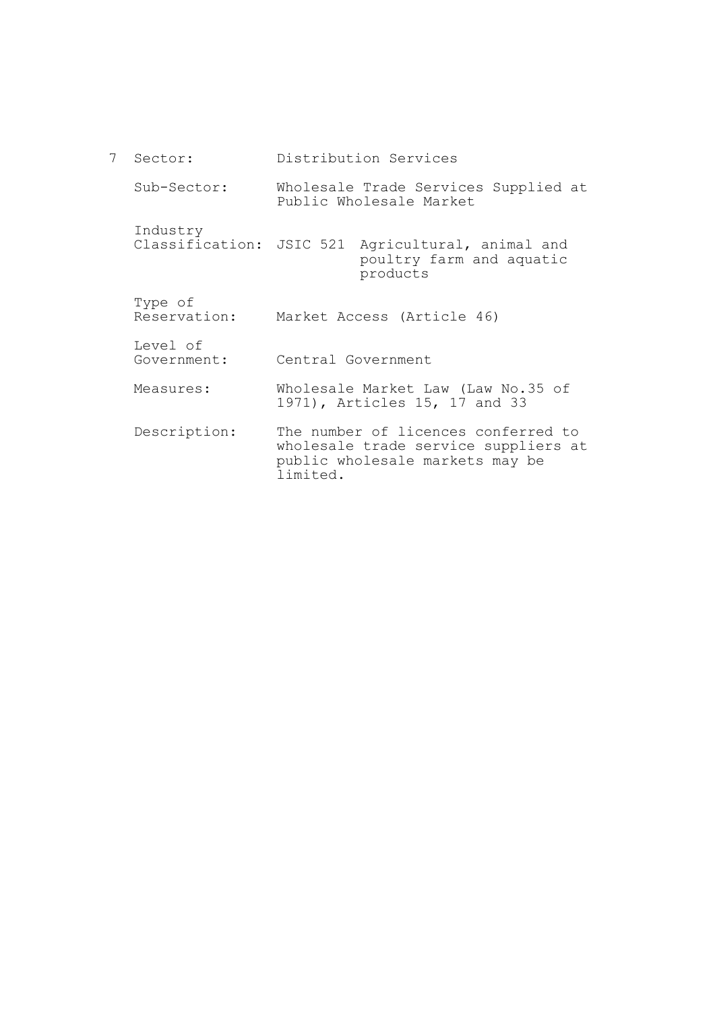| $7^{\circ}$ | Sector:                 | Distribution Services                                                                                                      |
|-------------|-------------------------|----------------------------------------------------------------------------------------------------------------------------|
|             | Sub-Sector:             | Wholesale Trade Services Supplied at<br>Public Wholesale Market                                                            |
|             | Industry                | Classification: JSIC 521 Agricultural, animal and<br>poultry farm and aquatic<br>products                                  |
|             | Type of<br>Reservation: | Market Access (Article 46)                                                                                                 |
|             | Level of<br>Government: | Central Government                                                                                                         |
| Measures:   |                         | Wholesale Market Law (Law No.35 of<br>1971), Articles 15, 17 and 33                                                        |
|             | Description:            | The number of licences conferred to<br>wholesale trade service suppliers at<br>public wholesale markets may be<br>limited. |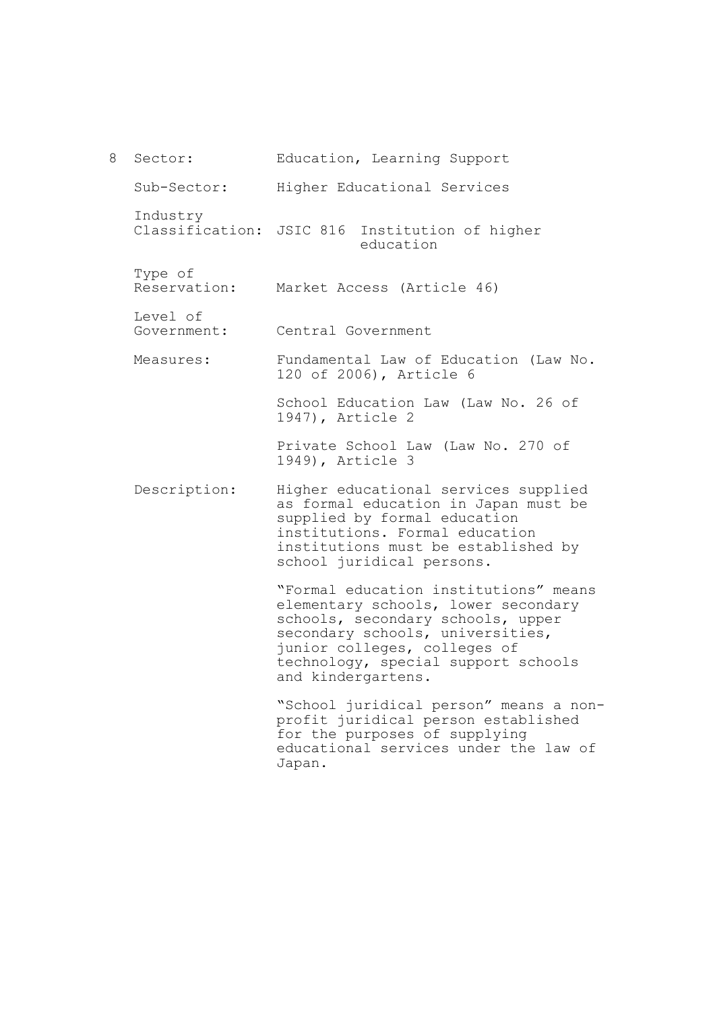8 Sector: Sub-Sector: Industry Classification: JSIC 816 Institution of higher Type of Reservation: Level of Government: Measures: Description: Education, Learning Support Higher Educational Services education Market Access (Article 46) Central Government Fundamental Law of Education (Law No. 120 of 2006), Article 6 School Education Law (Law No. 26 of 1947), Article 2 Private School Law (Law No. 270 of 1949), Article 3 Higher educational services supplied as formal education in Japan must be supplied by formal education institutions. Formal education institutions must be established by school juridical persons. "Formal education institutions" means elementary schools, lower secondary schools, secondary schools, upper secondary schools, universities, junior colleges, colleges of technology, special support schools and kindergartens. "School juridical person" means a nonprofit juridical person established for the purposes of supplying educational services under the law of

Japan.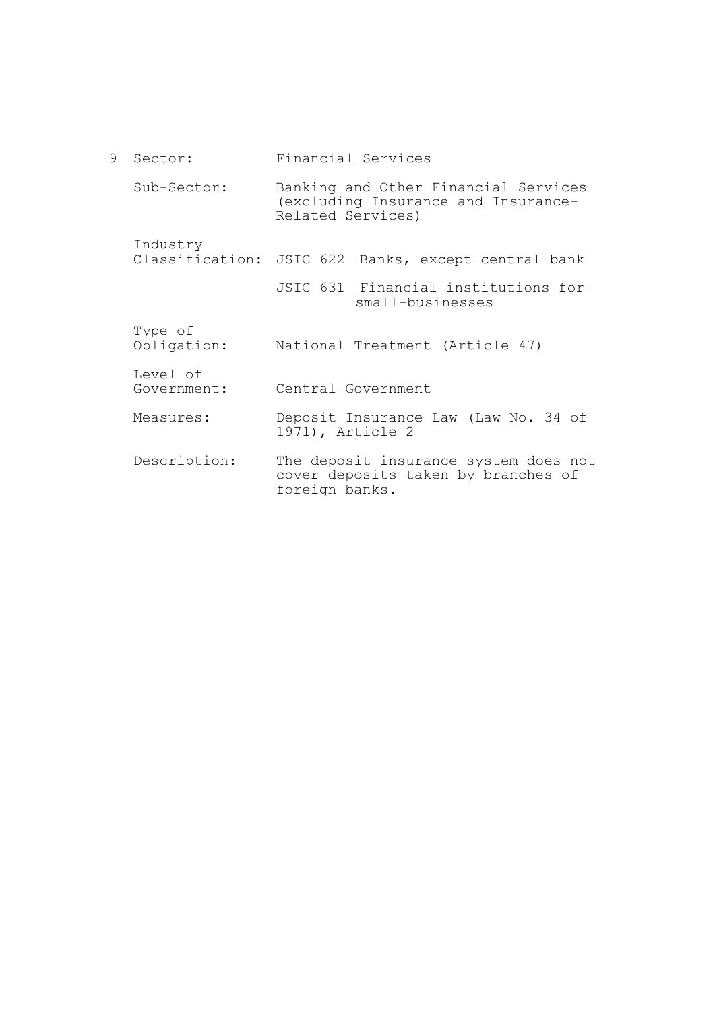9 Sector: Sub-Sector: Industry Classification: JSIC 622 Banks, except central bank Type of Obligation: Level of Government: Measures: Description: Financial Services Banking and Other Financial Services (excluding Insurance and Insurance-Related Services) JSIC 631 Financial institutions for small-businesses National Treatment (Article 47) Central Government Deposit Insurance Law (Law No. 34 of 1971), Article 2 The deposit insurance system does not cover deposits taken by branches of

foreign banks.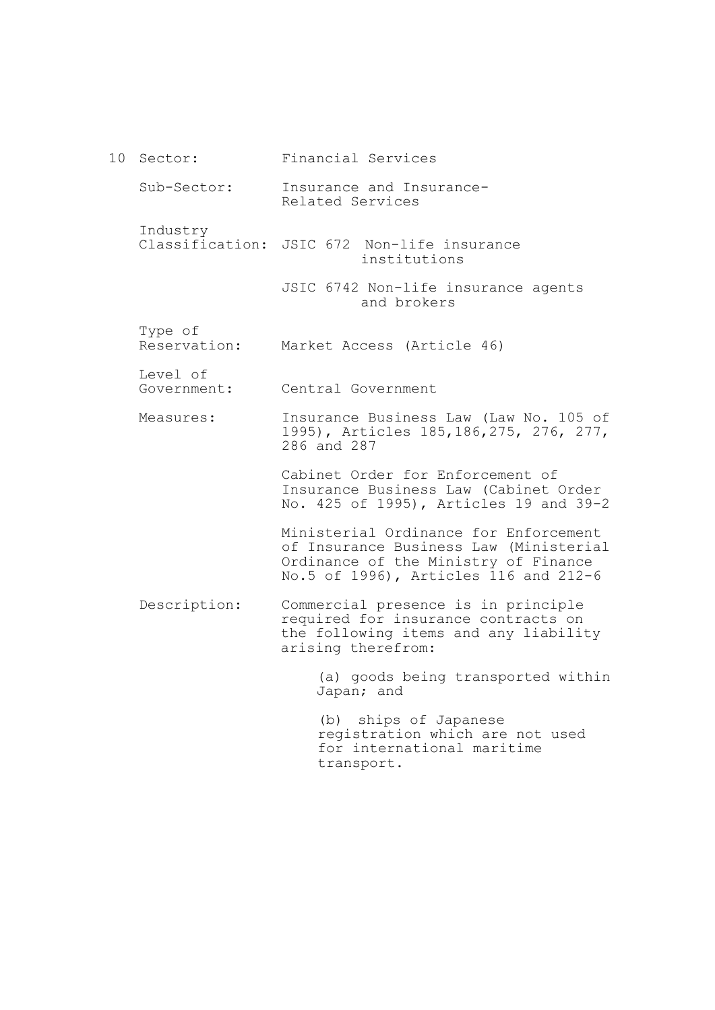| 10 | Sector:                 | Financial Services                                                                                                                                               |
|----|-------------------------|------------------------------------------------------------------------------------------------------------------------------------------------------------------|
|    | Sub-Sector:             | Insurance and Insurance-<br>Related Services                                                                                                                     |
|    | Industry                | Classification: JSIC 672 Non-life insurance<br>institutions                                                                                                      |
|    |                         | JSIC 6742 Non-life insurance agents<br>and brokers                                                                                                               |
|    | Type of<br>Reservation: | Market Access (Article 46)                                                                                                                                       |
|    | Level of<br>Government: | Central Government                                                                                                                                               |
|    | Measures:               | Insurance Business Law (Law No. 105 of<br>1995), Articles 185,186,275, 276, 277,<br>286 and 287                                                                  |
|    |                         | Cabinet Order for Enforcement of<br>Insurance Business Law (Cabinet Order<br>No. 425 of 1995), Articles 19 and 39-2                                              |
|    |                         | Ministerial Ordinance for Enforcement<br>of Insurance Business Law (Ministerial<br>Ordinance of the Ministry of Finance<br>No.5 of 1996), Articles 116 and 212-6 |
|    | Description:            | Commercial presence is in principle<br>required for insurance contracts on<br>the following items and any liability<br>arising therefrom:                        |
|    |                         | (a) goods being transported within<br>Japan; and                                                                                                                 |
|    |                         | (b) ships of Japanese<br>registration which are not used<br>for international maritime                                                                           |

transport.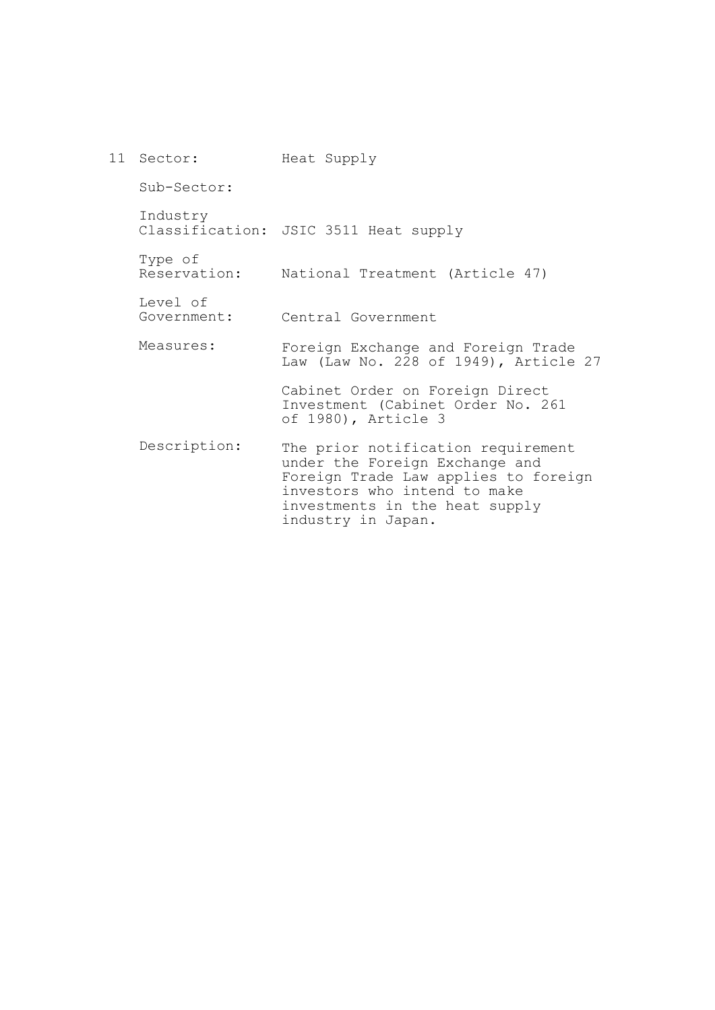| 11 Sector:              | Heat Supply                                                                                                                                                                                          |
|-------------------------|------------------------------------------------------------------------------------------------------------------------------------------------------------------------------------------------------|
| Sub-Sector:             |                                                                                                                                                                                                      |
| Industry                | Classification: JSIC 3511 Heat supply                                                                                                                                                                |
| Type of                 | Reservation: National Treatment (Article 47)                                                                                                                                                         |
| Level of<br>Government: | Central Government                                                                                                                                                                                   |
| Measures:               | Foreign Exchange and Foreign Trade<br>Law (Law No. 228 of 1949), Article 27                                                                                                                          |
|                         | Cabinet Order on Foreign Direct<br>Investment (Cabinet Order No. 261<br>of 1980), Article 3                                                                                                          |
| Description:            | The prior notification requirement<br>under the Foreign Exchange and<br>Foreign Trade Law applies to foreign<br>investors who intend to make<br>investments in the heat supply<br>industry in Japan. |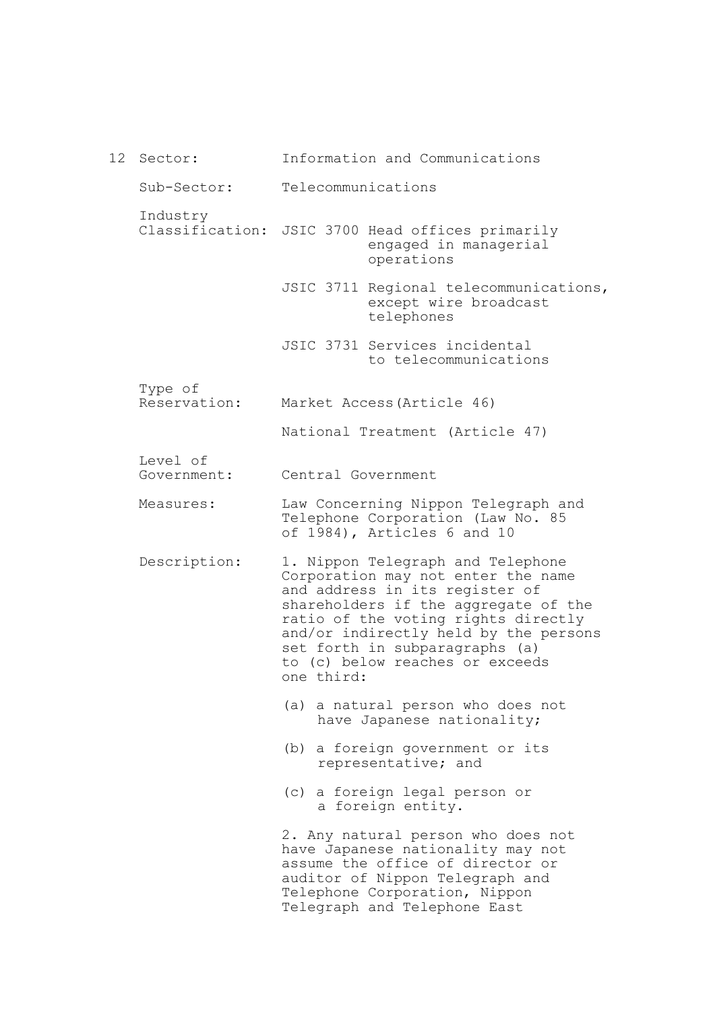12 Sector: Sub-Sector: Industry Classification: JSIC 3700 Head offices primarily Type of Reservation: Level of Government: Measures: Description: Information and Communications Telecommunications engaged in managerial operations JSIC 3711 Regional telecommunications, except wire broadcast telephones JSIC 3731 Services incidental to telecommunications Market Access(Article 46) National Treatment (Article 47) Central Government Law Concerning Nippon Telegraph and Telephone Corporation (Law No. 85 of 1984), Articles 6 and 10 1. Nippon Telegraph and Telephone Corporation may not enter the name and address in its register of shareholders if the aggregate of the ratio of the voting rights directly and/or indirectly held by the persons set forth in subparagraphs (a) to (c) below reaches or exceeds one third: (a) a natural person who does not have Japanese nationality; (b) a foreign government or its representative; and (c) a foreign legal person or a foreign entity. 2. Any natural person who does not have Japanese nationality may not assume the office of director or auditor of Nippon Telegraph and Telephone Corporation, Nippon Telegraph and Telephone East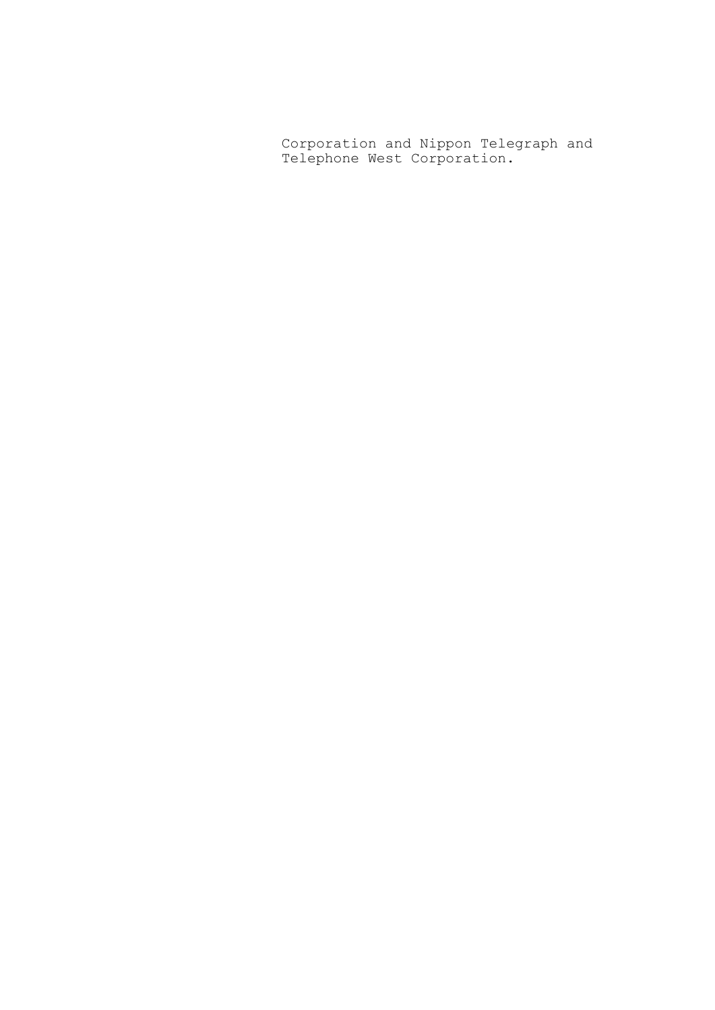Corporation and Nippon Telegraph and Telephone West Corporation.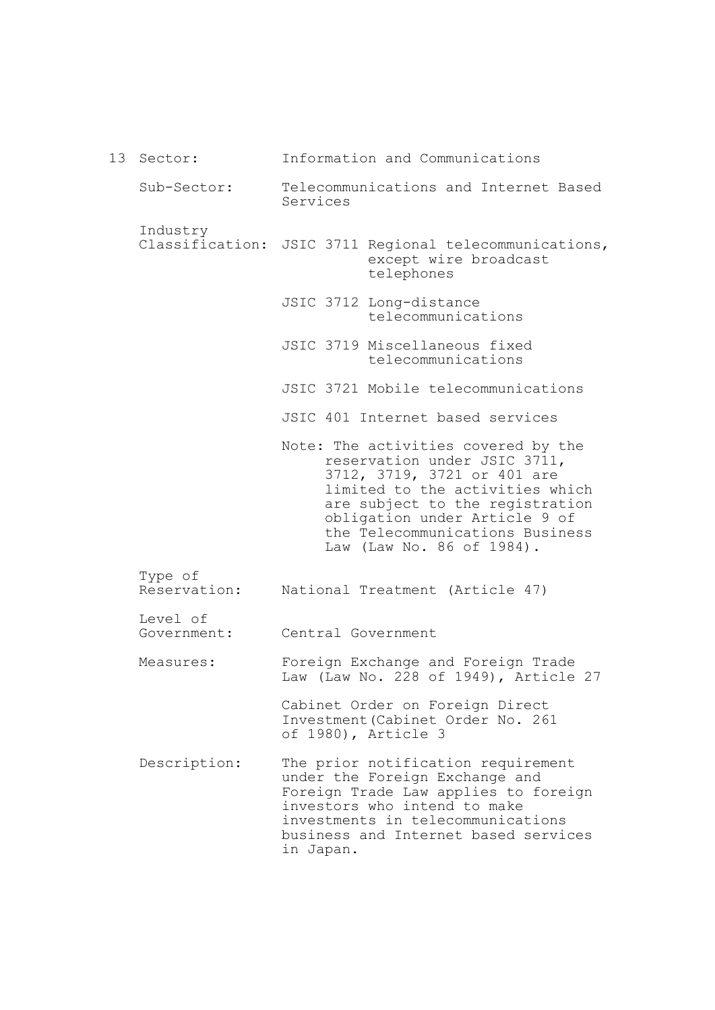|  | 13 Sector:              | Information and Communications                                                                                                                                                                                                                                            |
|--|-------------------------|---------------------------------------------------------------------------------------------------------------------------------------------------------------------------------------------------------------------------------------------------------------------------|
|  | Sub-Sector:             | Telecommunications and Internet Based<br>Services                                                                                                                                                                                                                         |
|  | Industry                | Classification: JSIC 3711 Regional telecommunications,<br>except wire broadcast<br>telephones                                                                                                                                                                             |
|  |                         | JSIC 3712 Long-distance<br>telecommunications                                                                                                                                                                                                                             |
|  |                         | JSIC 3719 Miscellaneous fixed<br>telecommunications                                                                                                                                                                                                                       |
|  |                         | JSIC 3721 Mobile telecommunications                                                                                                                                                                                                                                       |
|  |                         | JSIC 401 Internet based services                                                                                                                                                                                                                                          |
|  |                         | Note: The activities covered by the<br>reservation under JSIC 3711,<br>3712, 3719, 3721 or 401 are<br>limited to the activities which<br>are subject to the registration<br>obligation under Article 9 of<br>the Telecommunications Business<br>Law (Law No. 86 of 1984). |
|  | Type of<br>Reservation: | National Treatment (Article 47)                                                                                                                                                                                                                                           |
|  | Level of<br>Government: | Central Government                                                                                                                                                                                                                                                        |
|  | Measures:               | Foreign Exchange and Foreign Trade<br>Law (Law No. 228 of 1949), Article 27                                                                                                                                                                                               |
|  |                         | Cabinet Order on Foreign Direct<br>Investment (Cabinet Order No. 261<br>of 1980), Article 3                                                                                                                                                                               |
|  | Description:            | The prior notification requirement<br>under the Foreign Exchange and<br>Foreign Trade Law applies to foreign<br>investors who intend to make<br>investments in telecommunications<br>business and Internet based services<br>in Japan.                                    |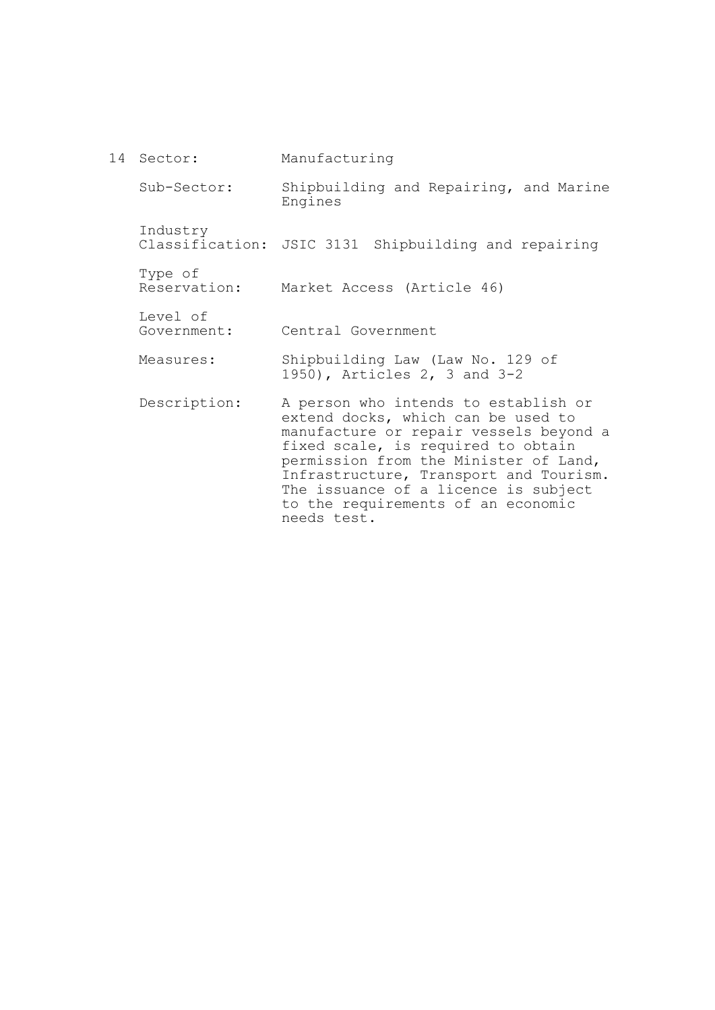14 Sector: Sub-Sector: Industry Classification: JSIC 3131 Shipbuilding and repairing Type of Reservation: Level of Government: Measures: Description: Manufacturing Shipbuilding and Repairing, and Marine Engines Market Access (Article 46) Central Government Shipbuilding Law (Law No. 129 of 1950), Articles 2, 3 and 3-2 A person who intends to establish or extend docks, which can be used to manufacture or repair vessels beyond a fixed scale, is required to obtain permission from the Minister of Land, Infrastructure, Transport and Tourism. The issuance of a licence is subject to the requirements of an economic

needs test.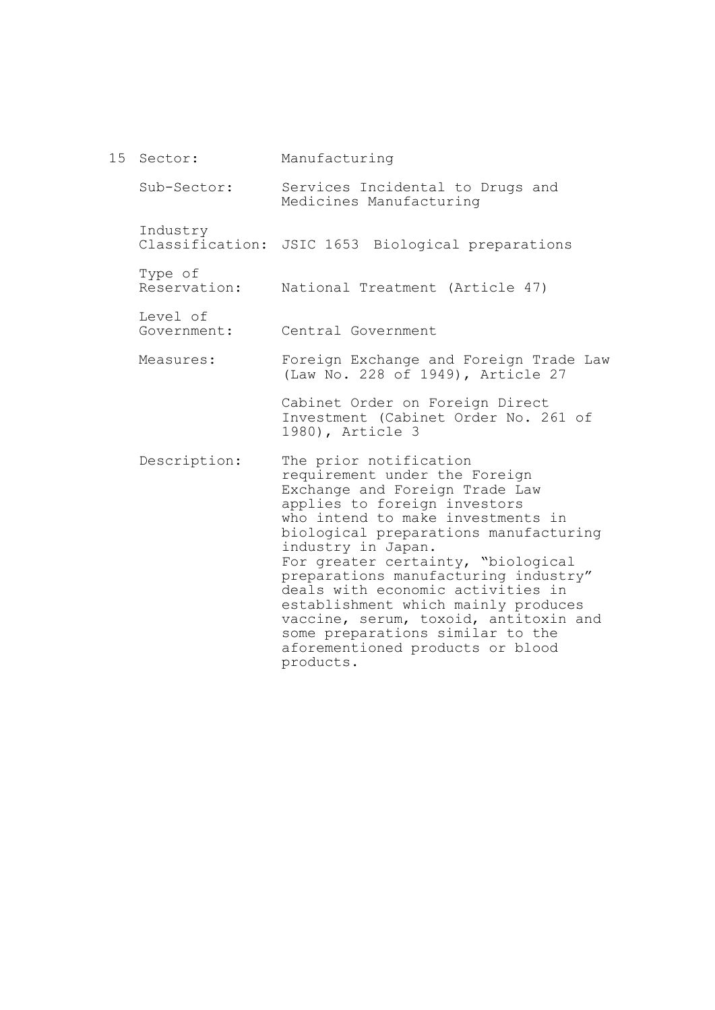15 Sector: Sub-Sector: Industry Classification: JSIC 1653 Biological preparations Type of Reservation: Level of Government: Measures: Description: Manufacturing Services Incidental to Drugs and Medicines Manufacturing National Treatment (Article 47) Central Government Foreign Exchange and Foreign Trade Law (Law No. 228 of 1949), Article 27 Cabinet Order on Foreign Direct Investment (Cabinet Order No. 261 of 1980), Article 3 The prior notification requirement under the Foreign Exchange and Foreign Trade Law applies to foreign investors who intend to make investments in biological preparations manufacturing industry in Japan. For greater certainty, "biological preparations manufacturing industry" deals with economic activities in establishment which mainly produces vaccine, serum, toxoid, antitoxin and some preparations similar to the aforementioned products or blood products.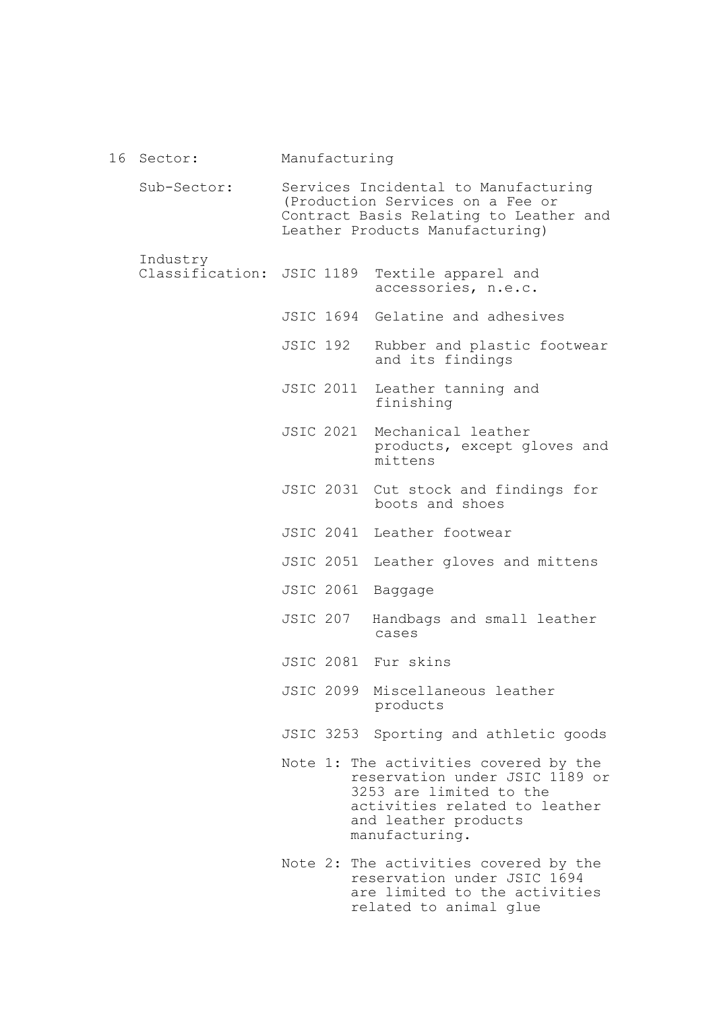#### 16 Sector: Manufacturing

Sub-Sector: Services Incidental to Manufacturing (Production Services on a Fee or Contract Basis Relating to Leather and Leather Products Manufacturing)

Industry

- Classification: JSIC 1189 Textile apparel and accessories, n.e.c.
	- JSIC 1694 Gelatine and adhesives
	- JSIC 192 Rubber and plastic footwear and its findings
	- JSIC 2011 Leather tanning and finishing
	- JSIC 2021 Mechanical leather products, except gloves and mittens
	- JSIC 2031 Cut stock and findings for boots and shoes
	- JSIC 2041 Leather footwear
	- JSIC 2051 Leather gloves and mittens
	- JSIC 2061 Baggage
	- JSIC 207 Handbags and small leather cases
	- JSIC 2081 Fur skins
	- JSIC 2099 Miscellaneous leather products
	- JSIC 3253 Sporting and athletic goods
	- Note 1: The activities covered by the reservation under JSIC 1189 or 3253 are limited to the activities related to leather and leather products manufacturing.
	- Note 2: The activities covered by the reservation under JSIC 1694 are limited to the activities related to animal glue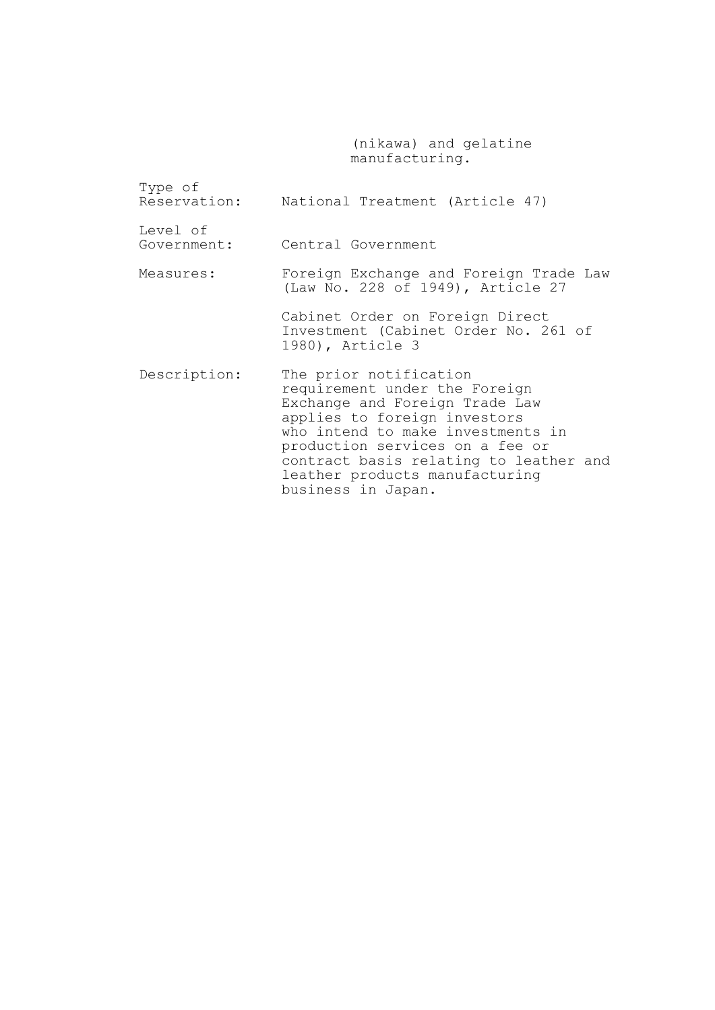(nikawa) and gelatine manufacturing.

| Type of                 | Reservation: National Treatment (Article 47)                                                                                                                                                                                                                                                        |
|-------------------------|-----------------------------------------------------------------------------------------------------------------------------------------------------------------------------------------------------------------------------------------------------------------------------------------------------|
| Level of<br>Government: | Central Government                                                                                                                                                                                                                                                                                  |
| Measures:               | Foreign Exchange and Foreign Trade Law<br>(Law No. 228 of 1949), Article 27                                                                                                                                                                                                                         |
|                         | Cabinet Order on Foreign Direct<br>Investment (Cabinet Order No. 261 of<br>1980), Article 3                                                                                                                                                                                                         |
| Description:            | The prior notification<br>requirement under the Foreign<br>Exchange and Foreign Trade Law<br>applies to foreign investors<br>who intend to make investments in<br>production services on a fee or<br>contract basis relating to leather and<br>leather products manufacturing<br>business in Japan. |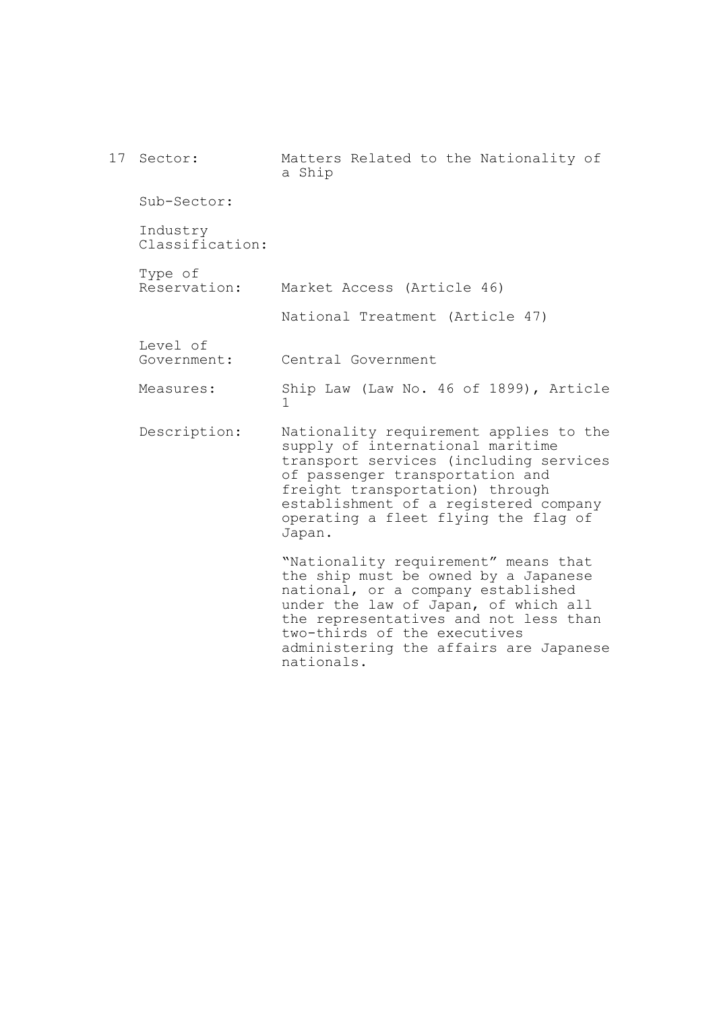17 Sector: Sub-Sector: Industry Classification: Type of Reservation: Level of Government: Measures: Description: Matters Related to the Nationality of a Ship Market Access (Article 46) National Treatment (Article 47) Central Government Ship Law (Law No. 46 of 1899), Article 1 Nationality requirement applies to the supply of international maritime transport services (including services of passenger transportation and freight transportation) through establishment of a registered company operating a fleet flying the flag of Japan. "Nationality requirement" means that the ship must be owned by a Japanese national, or a company established under the law of Japan, of which all the representatives and not less than two-thirds of the executives administering the affairs are Japanese

nationals.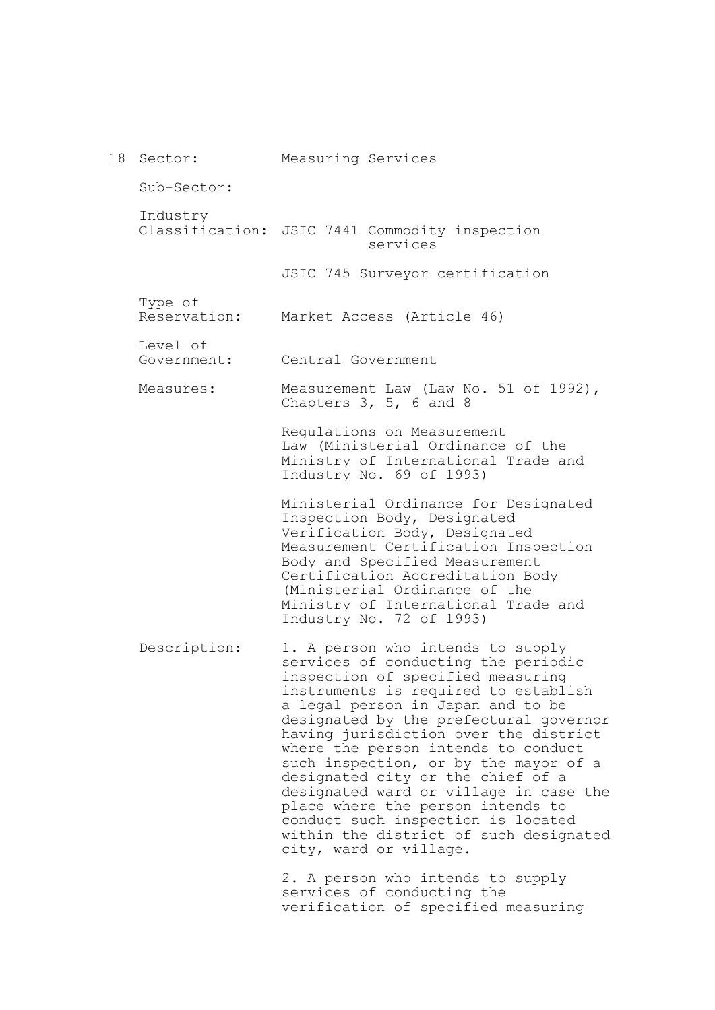|  | 18 Sector:              | Measuring Services                                                                                                                                                                                                                                                                                                                                                                                                                                                                                                                                                                          |
|--|-------------------------|---------------------------------------------------------------------------------------------------------------------------------------------------------------------------------------------------------------------------------------------------------------------------------------------------------------------------------------------------------------------------------------------------------------------------------------------------------------------------------------------------------------------------------------------------------------------------------------------|
|  | Sub-Sector:             |                                                                                                                                                                                                                                                                                                                                                                                                                                                                                                                                                                                             |
|  | Industry                | Classification: JSIC 7441 Commodity inspection<br>services                                                                                                                                                                                                                                                                                                                                                                                                                                                                                                                                  |
|  |                         | JSIC 745 Surveyor certification                                                                                                                                                                                                                                                                                                                                                                                                                                                                                                                                                             |
|  | Type of<br>Reservation: | Market Access (Article 46)                                                                                                                                                                                                                                                                                                                                                                                                                                                                                                                                                                  |
|  | Level of<br>Government: | Central Government                                                                                                                                                                                                                                                                                                                                                                                                                                                                                                                                                                          |
|  | Measures:               | Measurement Law (Law No. 51 of 1992),<br>Chapters $3, 5, 6$ and 8                                                                                                                                                                                                                                                                                                                                                                                                                                                                                                                           |
|  |                         | Regulations on Measurement<br>Law (Ministerial Ordinance of the<br>Ministry of International Trade and<br>Industry No. 69 of 1993)                                                                                                                                                                                                                                                                                                                                                                                                                                                          |
|  |                         | Ministerial Ordinance for Designated<br>Inspection Body, Designated<br>Verification Body, Designated<br>Measurement Certification Inspection<br>Body and Specified Measurement<br>Certification Accreditation Body<br>(Ministerial Ordinance of the<br>Ministry of International Trade and<br>Industry No. 72 of 1993)                                                                                                                                                                                                                                                                      |
|  | Description:            | 1. A person who intends to supply<br>services of conducting the periodic<br>inspection of specified measuring<br>instruments is required to establish<br>a legal person in Japan and to be<br>designated by the prefectural governor<br>having jurisdiction over the district<br>where the person intends to conduct<br>such inspection, or by the mayor of a<br>designated city or the chief of a<br>designated ward or village in case the<br>place where the person intends to<br>conduct such inspection is located<br>within the district of such designated<br>city, ward or village. |
|  |                         | 2. A person who intends to supply<br>services of conducting the<br>verification of specified measuring                                                                                                                                                                                                                                                                                                                                                                                                                                                                                      |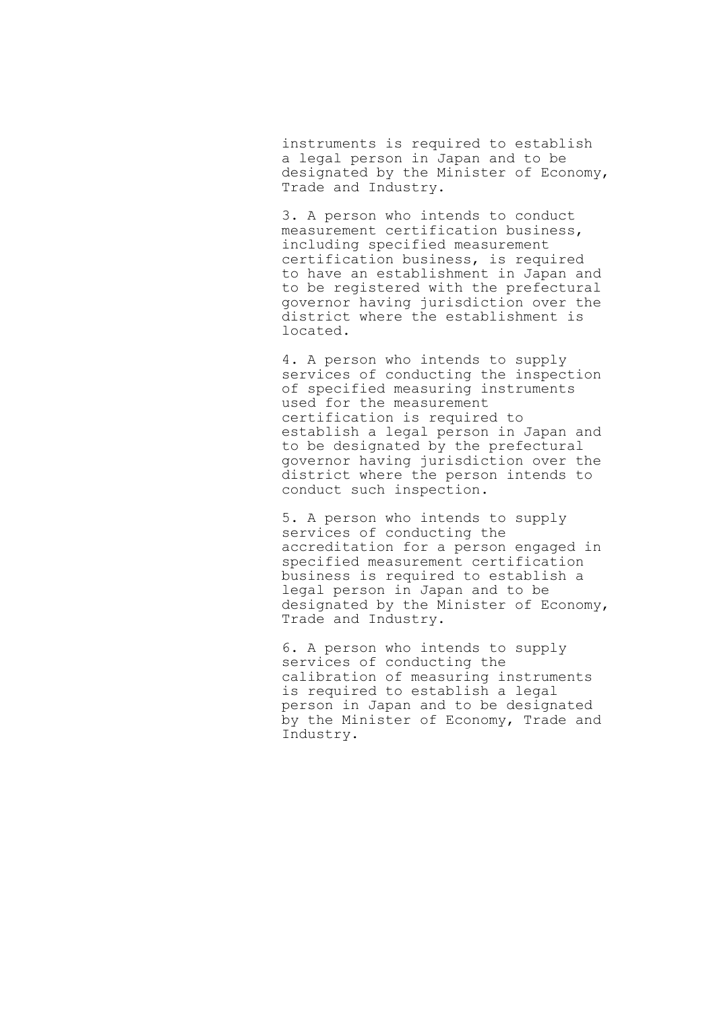instruments is required to establish a legal person in Japan and to be designated by the Minister of Economy, Trade and Industry.

3. A person who intends to conduct measurement certification business, including specified measurement certification business, is required to have an establishment in Japan and to be registered with the prefectural governor having jurisdiction over the district where the establishment is located.

4. A person who intends to supply services of conducting the inspection of specified measuring instruments used for the measurement certification is required to establish a legal person in Japan and to be designated by the prefectural governor having jurisdiction over the district where the person intends to conduct such inspection.

5. A person who intends to supply services of conducting the accreditation for a person engaged in specified measurement certification business is required to establish a legal person in Japan and to be designated by the Minister of Economy, Trade and Industry.

6. A person who intends to supply services of conducting the calibration of measuring instruments is required to establish a legal person in Japan and to be designated by the Minister of Economy, Trade and Industry.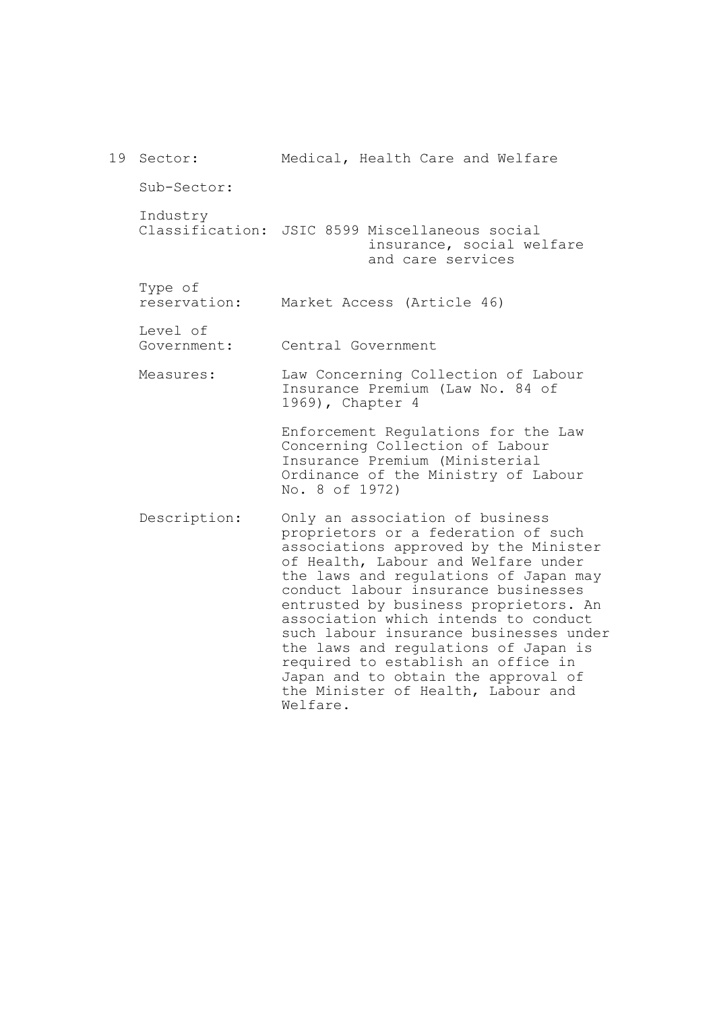19 Sector: Sub-Sector: Industry Classification: JSIC 8599 Miscellaneous social Type of reservation: Level of Government: Measures: Description: Medical, Health Care and Welfare insurance, social welfare and care services Market Access (Article 46) Central Government Law Concerning Collection of Labour Insurance Premium (Law No. 84 of 1969), Chapter 4 Enforcement Regulations for the Law Concerning Collection of Labour Insurance Premium (Ministerial Ordinance of the Ministry of Labour No. 8 of 1972) Only an association of business proprietors or a federation of such associations approved by the Minister of Health, Labour and Welfare under the laws and regulations of Japan may conduct labour insurance businesses entrusted by business proprietors. An association which intends to conduct such labour insurance businesses under the laws and regulations of Japan is required to establish an office in Japan and to obtain the approval of the Minister of Health, Labour and Welfare.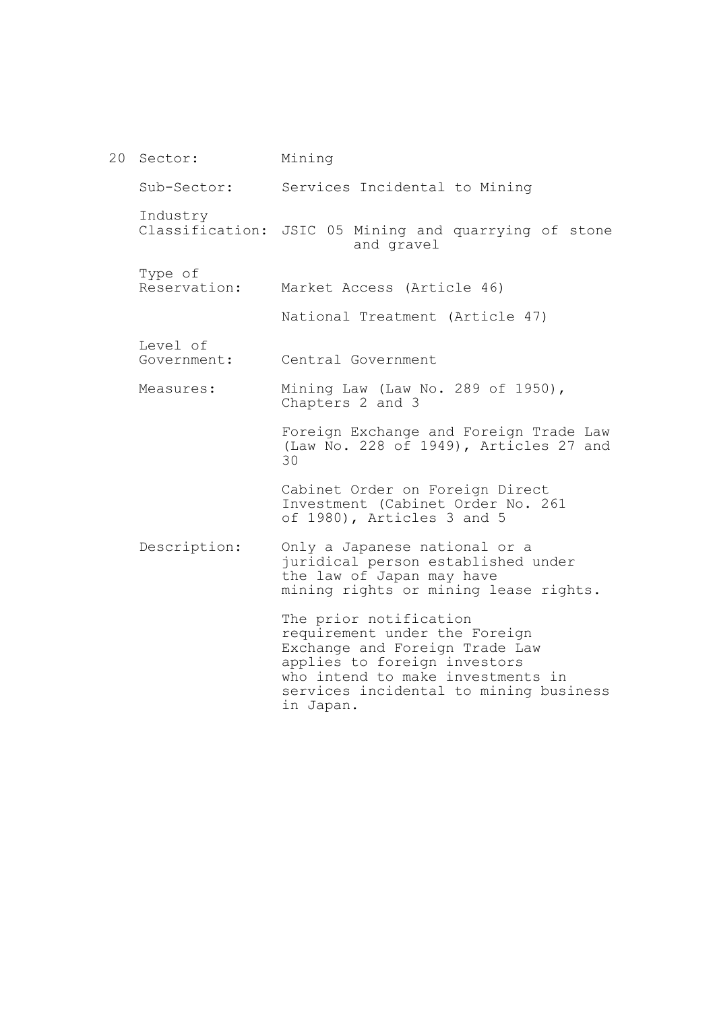20 Sector: Sub-Sector: Industry Classification: JSIC 05 Mining and quarrying of stone Type of Reservation: Level of Government: Measures: Description: Mining Services Incidental to Mining and gravel Market Access (Article 46) National Treatment (Article 47) Central Government Mining Law (Law No. 289 of 1950), Chapters 2 and 3 Foreign Exchange and Foreign Trade Law (Law No. 228 of 1949), Articles 27 and 30 Cabinet Order on Foreign Direct Investment (Cabinet Order No. 261 of 1980), Articles 3 and 5 Only a Japanese national or a juridical person established under the law of Japan may have mining rights or mining lease rights. The prior notification requirement under the Foreign Exchange and Foreign Trade Law applies to foreign investors who intend to make investments in services incidental to mining business in Japan.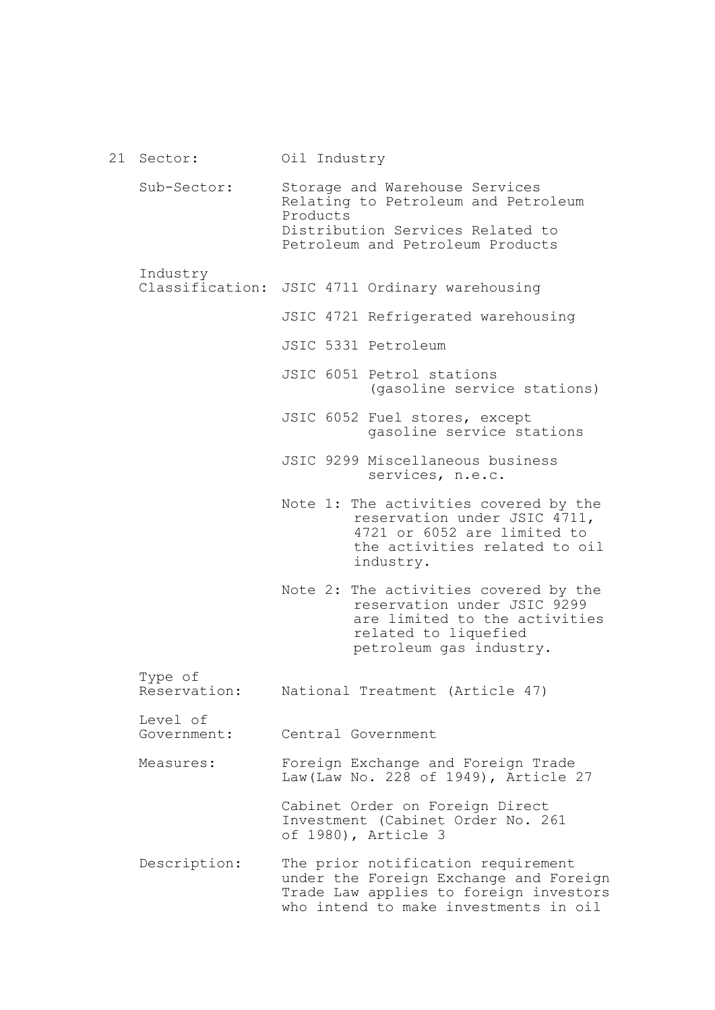| 21 Sector:              | Oil Industry                                                                                                                                                    |
|-------------------------|-----------------------------------------------------------------------------------------------------------------------------------------------------------------|
| Sub-Sector:             | Storage and Warehouse Services<br>Relating to Petroleum and Petroleum<br>Products<br>Distribution Services Related to<br>Petroleum and Petroleum Products       |
| Industry                |                                                                                                                                                                 |
| Classification:         | JSIC 4711 Ordinary warehousing                                                                                                                                  |
|                         | JSIC 4721 Refrigerated warehousing                                                                                                                              |
|                         | JSIC 5331 Petroleum                                                                                                                                             |
|                         | JSIC 6051 Petrol stations<br>(gasoline service stations)                                                                                                        |
|                         | JSIC 6052 Fuel stores, except<br>gasoline service stations                                                                                                      |
|                         | JSIC 9299 Miscellaneous business<br>services, n.e.c.                                                                                                            |
|                         | Note 1: The activities covered by the<br>reservation under JSIC 4711,<br>4721 or 6052 are limited to<br>the activities related to oil<br>industry.              |
|                         | Note 2: The activities covered by the<br>reservation under JSIC 9299<br>are limited to the activities<br>related to liquefied<br>petroleum gas industry.        |
| Type of<br>Reservation: | National Treatment (Article 47)                                                                                                                                 |
| Level of<br>Government: | Central Government                                                                                                                                              |
| Measures:               | Foreign Exchange and Foreign Trade<br>Law (Law No. 228 of 1949), Article 27                                                                                     |
|                         | Cabinet Order on Foreign Direct<br>Investment (Cabinet Order No. 261<br>of 1980), Article 3                                                                     |
| Description:            | The prior notification requirement<br>under the Foreign Exchange and Foreign<br>Trade Law applies to foreign investors<br>who intend to make investments in oil |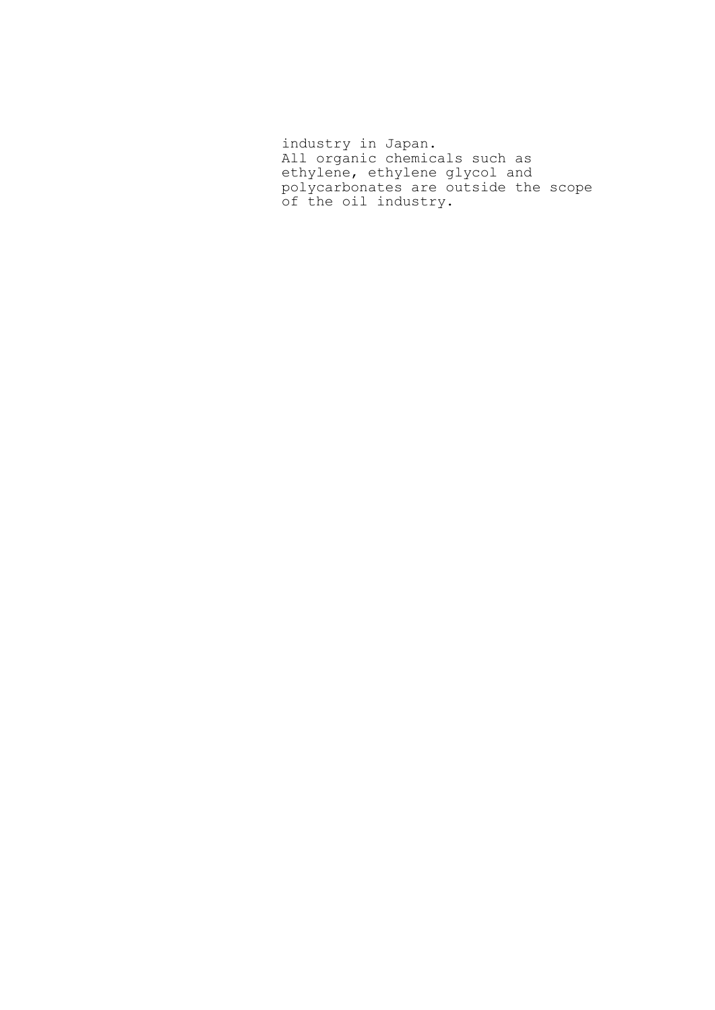industry in Japan. All organic chemicals such as ethylene, ethylene glycol and polycarbonates are outside the scope of the oil industry.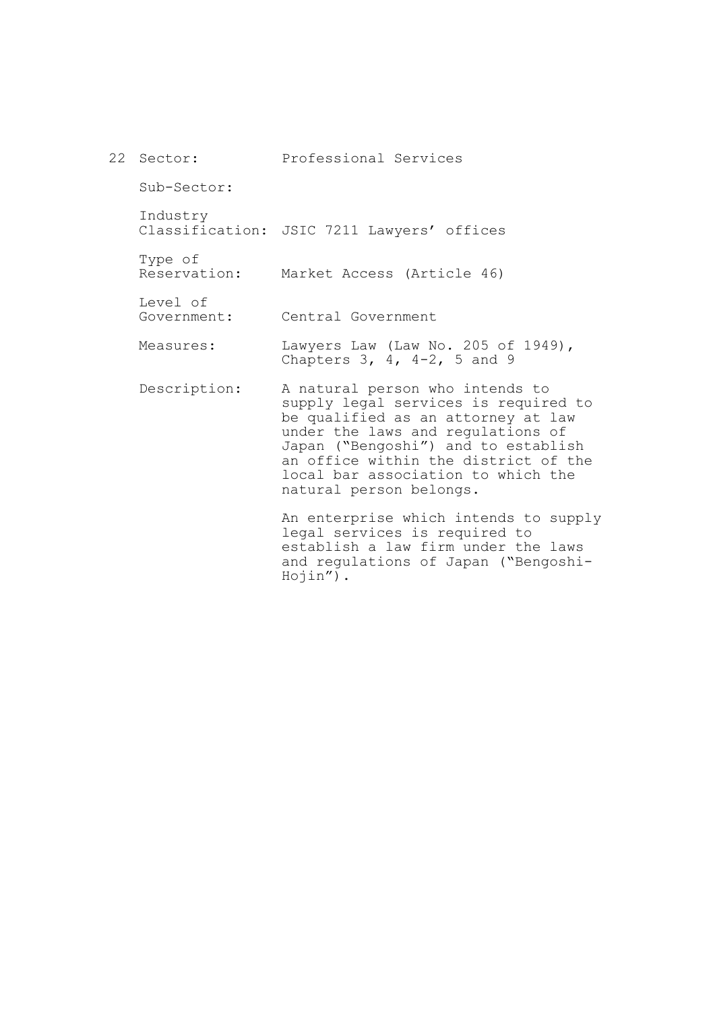| 22 Sector:              | Professional Services                                                                                                                                                                                                                                                                              |
|-------------------------|----------------------------------------------------------------------------------------------------------------------------------------------------------------------------------------------------------------------------------------------------------------------------------------------------|
| Sub-Sector:             |                                                                                                                                                                                                                                                                                                    |
| Industry                | Classification: JSIC 7211 Lawyers' offices                                                                                                                                                                                                                                                         |
| Type of<br>Reservation: | Market Access (Article 46)                                                                                                                                                                                                                                                                         |
| Level of<br>Government: | Central Government                                                                                                                                                                                                                                                                                 |
| Measures:               | Lawyers Law (Law No. 205 of 1949),<br>Chapters $3, 4, 4-2, 5$ and 9                                                                                                                                                                                                                                |
| Description:            | A natural person who intends to<br>supply legal services is required to<br>be qualified as an attorney at law<br>under the laws and regulations of<br>Japan ("Bengoshi") and to establish<br>an office within the district of the<br>local bar association to which the<br>natural person belongs. |
|                         | An enterprise which intends to supply<br>legal services is required to<br>establish a law firm under the laws                                                                                                                                                                                      |

Hojin").

and regulations of Japan ("Bengoshi-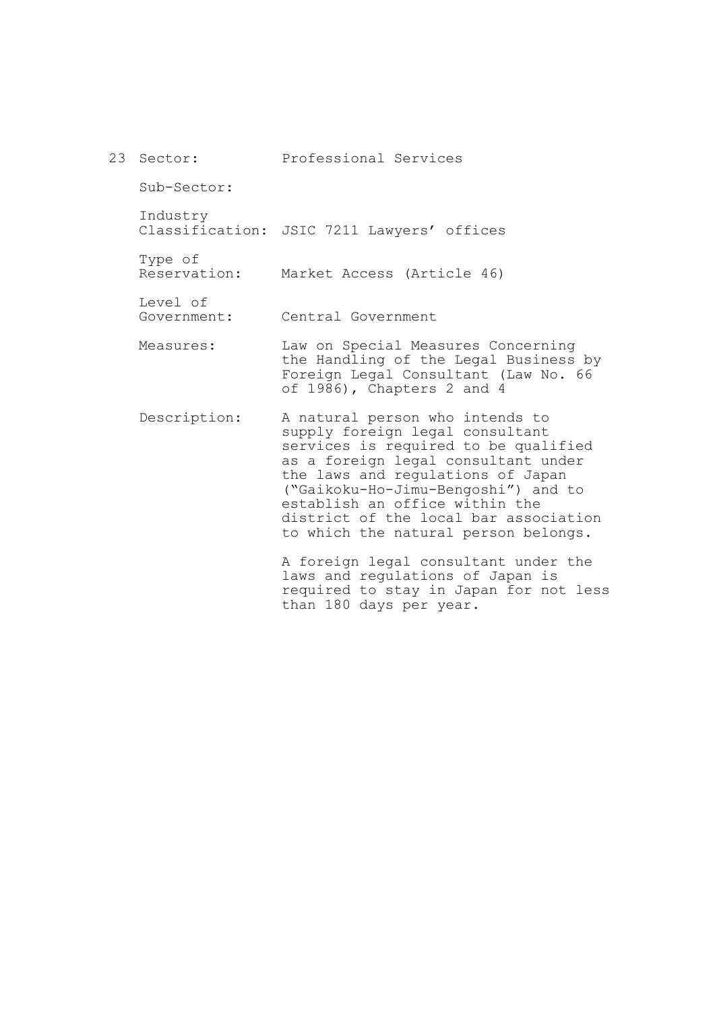|  | 23 Sector:              | Professional Services                                                                                                                                                                                                                                                                                                                            |
|--|-------------------------|--------------------------------------------------------------------------------------------------------------------------------------------------------------------------------------------------------------------------------------------------------------------------------------------------------------------------------------------------|
|  | Sub-Sector:             |                                                                                                                                                                                                                                                                                                                                                  |
|  | Industry                | Classification: JSIC 7211 Lawyers' offices                                                                                                                                                                                                                                                                                                       |
|  | Type of<br>Reservation: | Market Access (Article 46)                                                                                                                                                                                                                                                                                                                       |
|  | Level of<br>Government: | Central Government                                                                                                                                                                                                                                                                                                                               |
|  | Measures:               | Law on Special Measures Concerning<br>the Handling of the Legal Business by<br>Foreign Legal Consultant (Law No. 66<br>of 1986), Chapters 2 and 4                                                                                                                                                                                                |
|  | Description:            | A natural person who intends to<br>supply foreign legal consultant<br>services is required to be qualified<br>as a foreign legal consultant under<br>the laws and regulations of Japan<br>("Gaikoku-Ho-Jimu-Bengoshi") and to<br>establish an office within the<br>district of the local bar association<br>to which the natural person belongs. |
|  |                         | A foreign legal consultant under the<br>laws and regulations of Japan is<br>required to stay in Japan for not less                                                                                                                                                                                                                               |

than 180 days per year.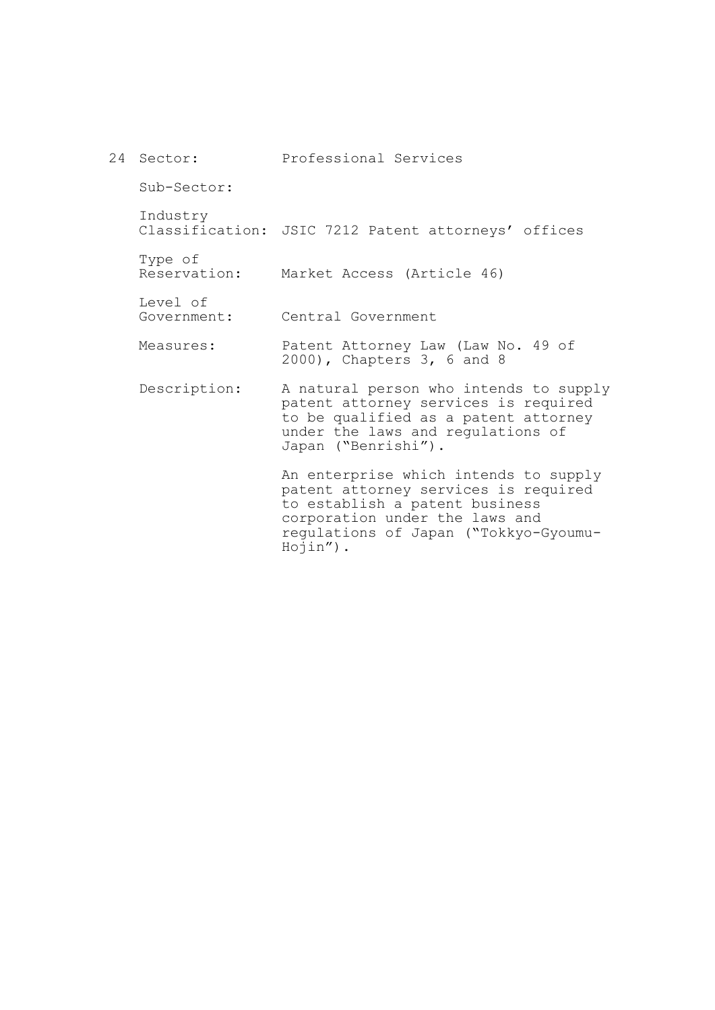| 24 Sector:              | Professional Services                                                                                                                                                                                     |
|-------------------------|-----------------------------------------------------------------------------------------------------------------------------------------------------------------------------------------------------------|
| Sub-Sector:             |                                                                                                                                                                                                           |
| Industry                | Classification: JSIC 7212 Patent attorneys' offices                                                                                                                                                       |
| Type of<br>Reservation: | Market Access (Article 46)                                                                                                                                                                                |
| Level of<br>Government: | Central Government                                                                                                                                                                                        |
| Measures:               | Patent Attorney Law (Law No. 49 of<br>2000), Chapters 3, 6 and 8                                                                                                                                          |
| Description:            | A natural person who intends to supply<br>patent attorney services is required<br>to be qualified as a patent attorney<br>under the laws and regulations of<br>Japan ("Benrishi").                        |
|                         | An enterprise which intends to supply<br>patent attorney services is required<br>to establish a patent business<br>corporation under the laws and<br>regulations of Japan ("Tokkyo-Gyoumu-<br>$Hojin'$ ). |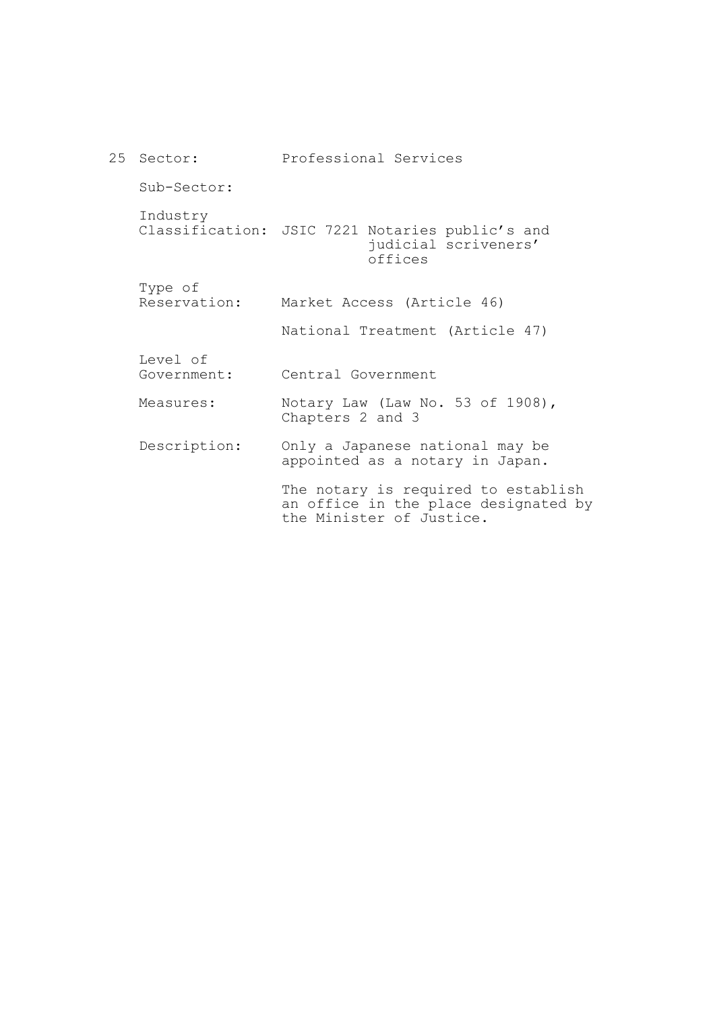| 25 Sector:              | Professional Services                                                                                   |
|-------------------------|---------------------------------------------------------------------------------------------------------|
| Sub-Sector:             |                                                                                                         |
| Industry                | Classification: JSIC 7221 Notaries public's and<br>judicial scriveners'<br>offices                      |
| Type of<br>Reservation: | Market Access (Article 46)                                                                              |
|                         | National Treatment (Article 47)                                                                         |
| Level of<br>Government: | Central Government                                                                                      |
| Measures:               | Notary Law (Law No. 53 of 1908),<br>Chapters 2 and 3                                                    |
| Description:            | Only a Japanese national may be<br>appointed as a notary in Japan.                                      |
|                         | The notary is required to establish<br>an office in the place designated by<br>the Minister of Justice. |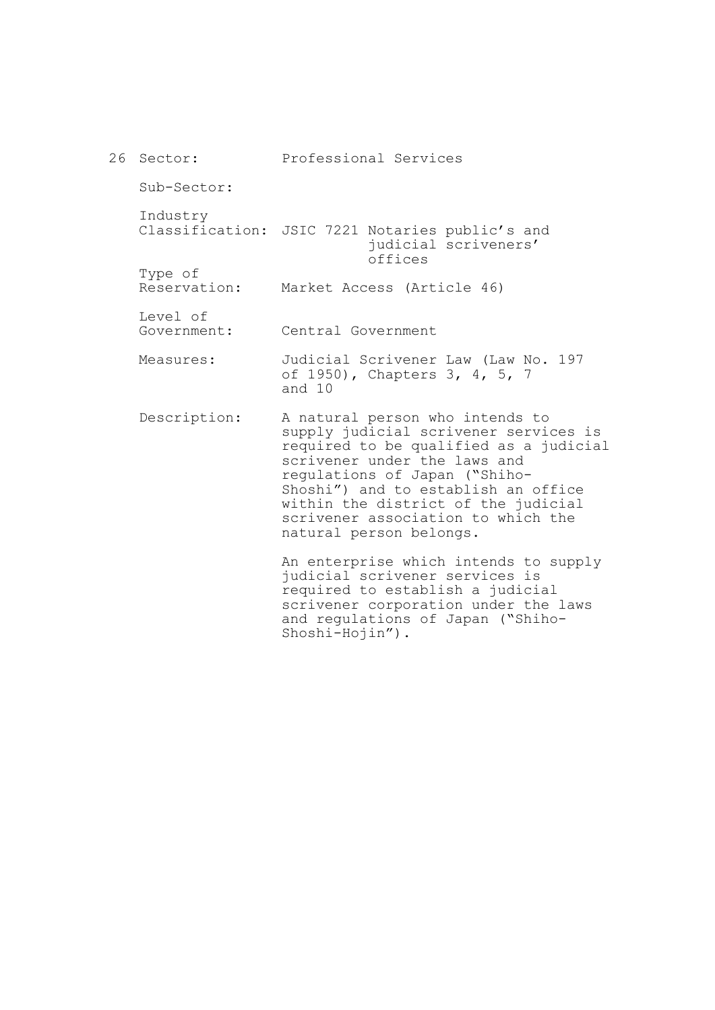| 26 Sector:              | Professional Services                                                                                                                                                                                                                                                                                                              |
|-------------------------|------------------------------------------------------------------------------------------------------------------------------------------------------------------------------------------------------------------------------------------------------------------------------------------------------------------------------------|
| Sub-Sector:             |                                                                                                                                                                                                                                                                                                                                    |
| Industry                | Classification: JSIC 7221 Notaries public's and<br>judicial scriveners'<br>offices                                                                                                                                                                                                                                                 |
| Type of<br>Reservation: | Market Access (Article 46)                                                                                                                                                                                                                                                                                                         |
| Level of<br>Government: | Central Government                                                                                                                                                                                                                                                                                                                 |
| Measures:               | Judicial Scrivener Law (Law No. 197<br>of 1950), Chapters 3, 4, 5, 7<br>and 10                                                                                                                                                                                                                                                     |
| Description:            | A natural person who intends to<br>supply judicial scrivener services is<br>required to be qualified as a judicial<br>scrivener under the laws and<br>regulations of Japan ("Shiho-<br>Shoshi") and to establish an office<br>within the district of the judicial<br>scrivener association to which the<br>natural person belongs. |
|                         | An enterprise which intends to supply<br>judicial scrivener services is<br>required to establish a judicial<br>scrivener corporation under the laws<br>and regulations of Japan ("Shiho-                                                                                                                                           |

Shoshi-Hojin").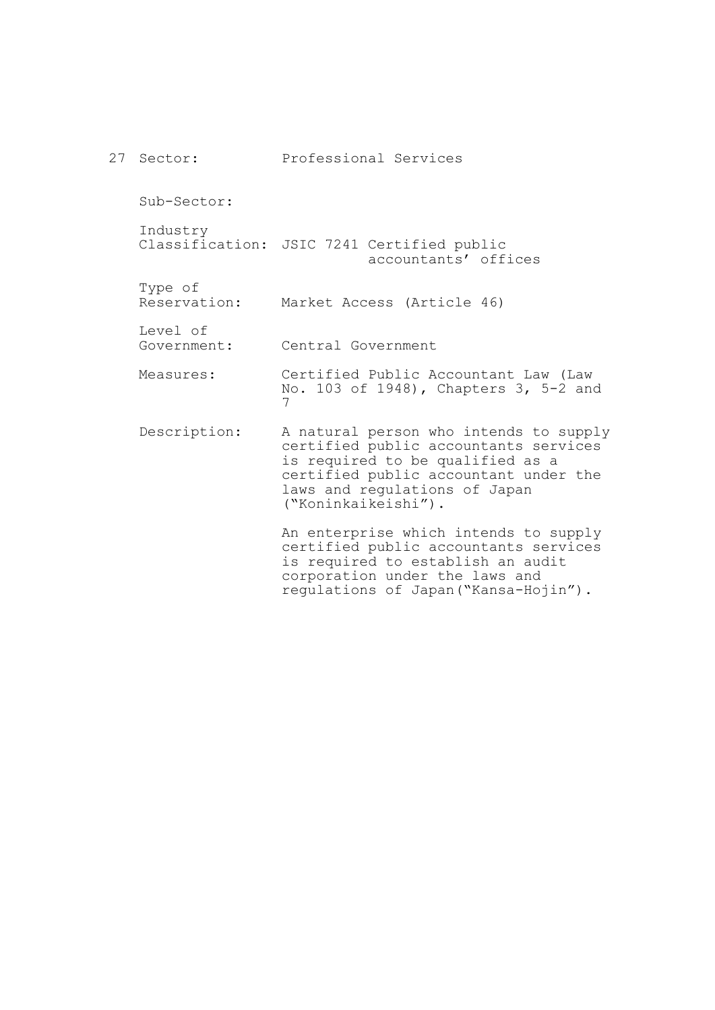27 Sector: Sub-Sector: Industry Classification: JSIC 7241 Certified public Type of Reservation: Level of Government: Measures: Description: Professional Services accountants' offices Market Access (Article 46) Central Government Certified Public Accountant Law (Law No. 103 of 1948), Chapters 3, 5-2 and 7 A natural person who intends to supply certified public accountants services is required to be qualified as a certified public accountant under the laws and regulations of Japan ("Koninkaikeishi"). An enterprise which intends to supply certified public accountants services is required to establish an audit corporation under the laws and regulations of Japan("Kansa-Hojin").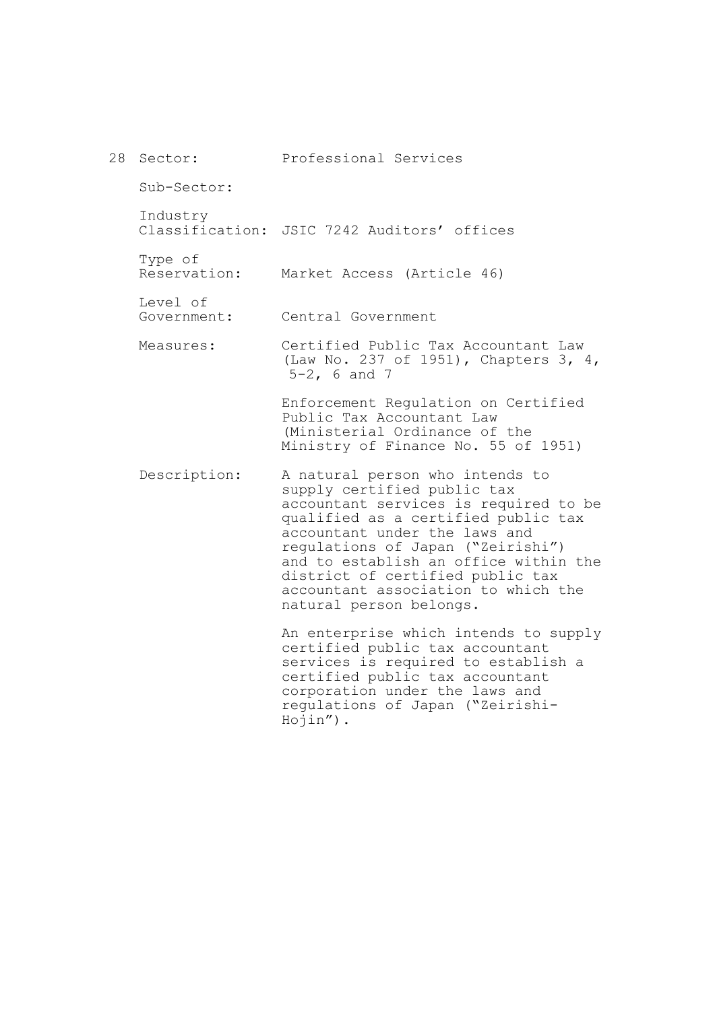| 28 Sector:              | Professional Services                                                                                                                                                                                                                                                                                                                                               |
|-------------------------|---------------------------------------------------------------------------------------------------------------------------------------------------------------------------------------------------------------------------------------------------------------------------------------------------------------------------------------------------------------------|
| Sub-Sector:             |                                                                                                                                                                                                                                                                                                                                                                     |
| Industry                | Classification: JSIC 7242 Auditors' offices                                                                                                                                                                                                                                                                                                                         |
| Type of<br>Reservation: | Market Access (Article 46)                                                                                                                                                                                                                                                                                                                                          |
| Level of<br>Government: | Central Government                                                                                                                                                                                                                                                                                                                                                  |
| Measures:               | Certified Public Tax Accountant Law<br>(Law No. 237 of 1951), Chapters 3, 4,<br>$5-2$ , 6 and 7                                                                                                                                                                                                                                                                     |
|                         | Enforcement Regulation on Certified<br>Public Tax Accountant Law<br>(Ministerial Ordinance of the<br>Ministry of Finance No. 55 of 1951)                                                                                                                                                                                                                            |
| Description:            | A natural person who intends to<br>supply certified public tax<br>accountant services is required to be<br>qualified as a certified public tax<br>accountant under the laws and<br>regulations of Japan ("Zeirishi")<br>and to establish an office within the<br>district of certified public tax<br>accountant association to which the<br>natural person belongs. |
|                         | An enterprise which intends to supply<br>certified public tax accountant<br>services is required to establish a<br>certified public tax accountant<br>corporation under the laws and<br>regulations of Japan ("Zeirishi-<br>$Hojin'$ ).                                                                                                                             |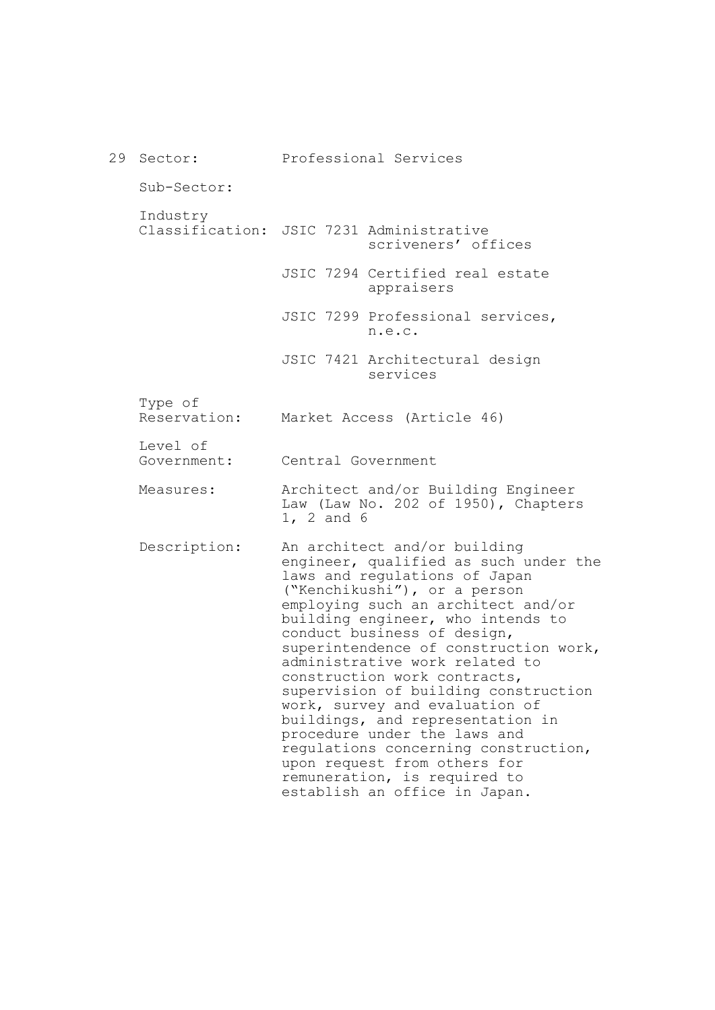29 Sector: Sub-Sector: Industry Classification: JSIC 7231 Administrative Type of Reservation: Level of Government: Measures: Description: Professional Services scriveners' offices JSIC 7294 Certified real estate appraisers JSIC 7299 Professional services, n.e.c. JSIC 7421 Architectural design services Market Access (Article 46) Central Government Architect and/or Building Engineer Law (Law No. 202 of 1950), Chapters 1, 2 and 6 An architect and/or building engineer, qualified as such under the laws and regulations of Japan ("Kenchikushi"), or a person employing such an architect and/or building engineer, who intends to conduct business of design, superintendence of construction work, administrative work related to construction work contracts, supervision of building construction work, survey and evaluation of buildings, and representation in procedure under the laws and regulations concerning construction, upon request from others for remuneration, is required to establish an office in Japan.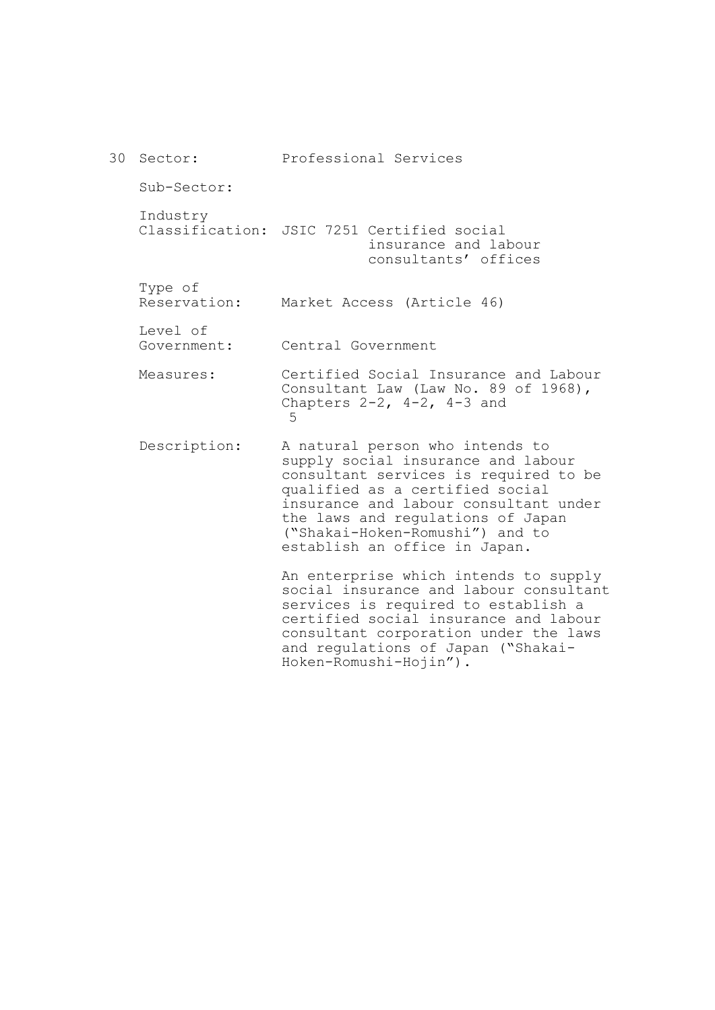30 Sector: Sub-Sector: Industry Classification: JSIC 7251 Certified social Type of Reservation: Level of Government: Measures: Description: Professional Services insurance and labour consultants' offices Market Access (Article 46) Central Government Certified Social Insurance and Labour Consultant Law (Law No. 89 of 1968), Chapters 2-2, 4-2, 4-3 and 5 A natural person who intends to supply social insurance and labour consultant services is required to be qualified as a certified social insurance and labour consultant under the laws and regulations of Japan ("Shakai-Hoken-Romushi") and to establish an office in Japan. An enterprise which intends to supply social insurance and labour consultant services is required to establish a certified social insurance and labour consultant corporation under the laws and regulations of Japan ("Shakai-

Hoken-Romushi-Hojin").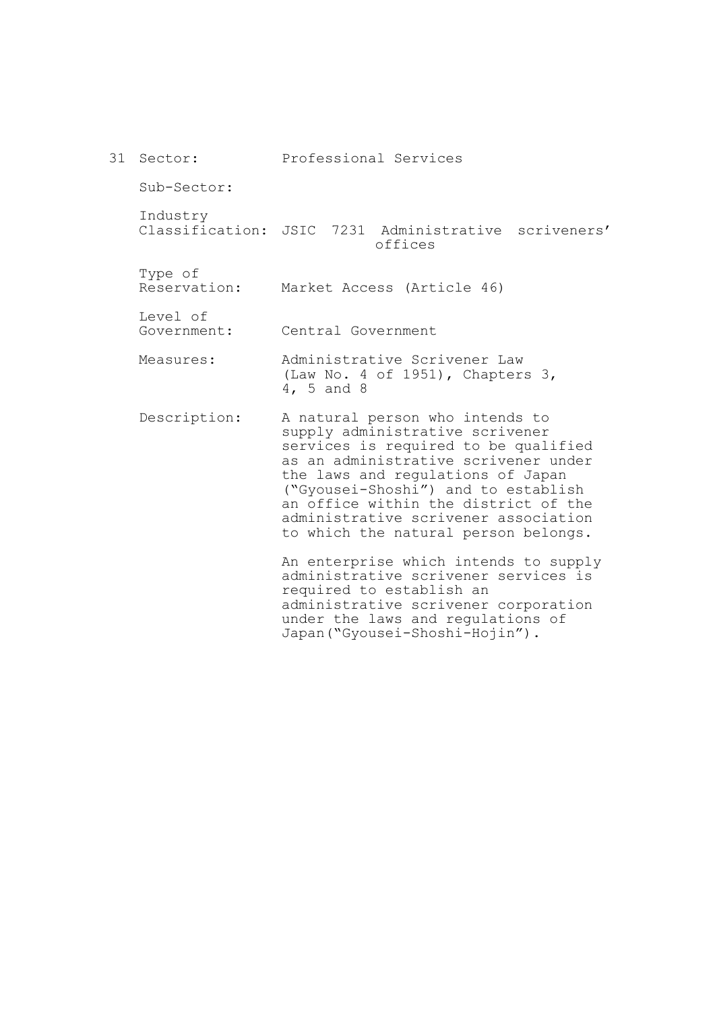|  | 31 Sector:              | Professional Services                                                                                                                                                                                                                                                                                                                                  |
|--|-------------------------|--------------------------------------------------------------------------------------------------------------------------------------------------------------------------------------------------------------------------------------------------------------------------------------------------------------------------------------------------------|
|  | Sub-Sector:             |                                                                                                                                                                                                                                                                                                                                                        |
|  | Industry                | Classification: JSIC 7231 Administrative scriveners'<br>offices                                                                                                                                                                                                                                                                                        |
|  | Type of<br>Reservation: | Market Access (Article 46)                                                                                                                                                                                                                                                                                                                             |
|  | Level of<br>Government: | Central Government                                                                                                                                                                                                                                                                                                                                     |
|  | Measures:               | Administrative Scrivener Law<br>(Law No. 4 of 1951), Chapters 3,<br>4, 5 and 8                                                                                                                                                                                                                                                                         |
|  | Description:            | A natural person who intends to<br>supply administrative scrivener<br>services is required to be qualified<br>as an administrative scrivener under<br>the laws and regulations of Japan<br>("Gyousei-Shoshi") and to establish<br>an office within the district of the<br>administrative scrivener association<br>to which the natural person belongs. |
|  |                         | An enterprise which intends to supply<br>administrative scrivener services is<br>required to establish an<br>administrative scrivener corporation<br>under the laws and regulations of<br>Japan ("Gyousei-Shoshi-Hojin").                                                                                                                              |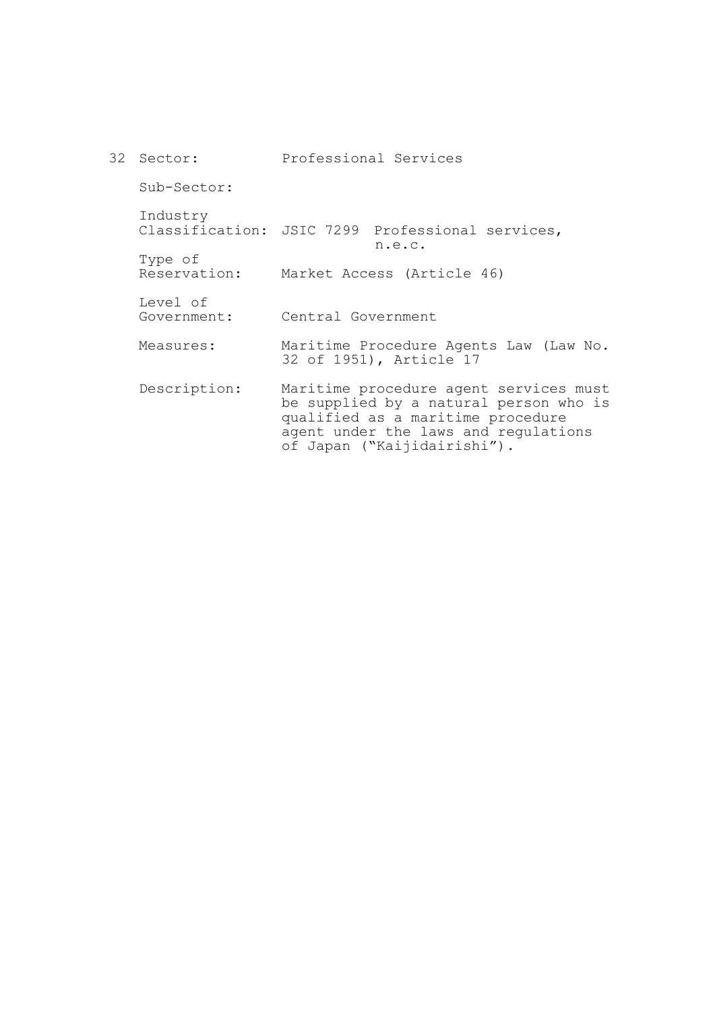| 32 | Sector:                 | Professional Services                                                                                                                                                                        |
|----|-------------------------|----------------------------------------------------------------------------------------------------------------------------------------------------------------------------------------------|
|    | Sub-Sector:             |                                                                                                                                                                                              |
|    | Industry                | Classification: JSIC 7299 Professional services,<br>n.e.c.                                                                                                                                   |
|    | Type of<br>Reservation: | Market Access (Article 46)                                                                                                                                                                   |
|    | Level of<br>Government: | Central Government                                                                                                                                                                           |
|    | Measures:               | Maritime Procedure Agents Law (Law No.<br>32 of 1951), Article 17                                                                                                                            |
|    | Description:            | Maritime procedure agent services must<br>be supplied by a natural person who is<br>qualified as a maritime procedure<br>agent under the laws and regulations<br>of Japan ("Kaijidairishi"). |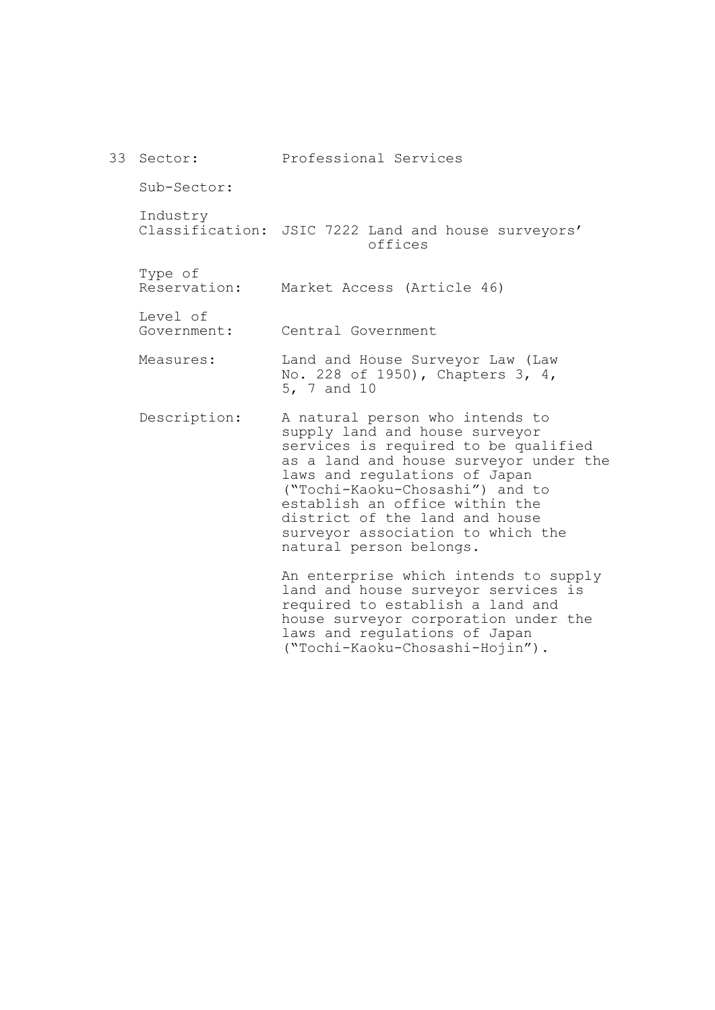| 33 Sector:              | Professional Services                                                                                                                                                                                                                                                                                                                                       |
|-------------------------|-------------------------------------------------------------------------------------------------------------------------------------------------------------------------------------------------------------------------------------------------------------------------------------------------------------------------------------------------------------|
| Sub-Sector:             |                                                                                                                                                                                                                                                                                                                                                             |
| Industry                | Classification: JSIC 7222 Land and house surveyors'<br>offices                                                                                                                                                                                                                                                                                              |
| Type of<br>Reservation: | Market Access (Article 46)                                                                                                                                                                                                                                                                                                                                  |
| Level of<br>Government: | Central Government                                                                                                                                                                                                                                                                                                                                          |
| Measures:               | Land and House Surveyor Law (Law<br>No. 228 of 1950), Chapters 3, 4,<br>5, 7 and 10                                                                                                                                                                                                                                                                         |
| Description:            | A natural person who intends to<br>supply land and house surveyor<br>services is required to be qualified<br>as a land and house surveyor under the<br>laws and regulations of Japan<br>("Tochi-Kaoku-Chosashi") and to<br>establish an office within the<br>district of the land and house<br>surveyor association to which the<br>natural person belongs. |
|                         | An enterprise which intends to supply<br>land and house surveyor services is<br>required to establish a land and<br>house surveyor corporation under the<br>laws and regulations of Japan                                                                                                                                                                   |

("Tochi-Kaoku-Chosashi-Hojin").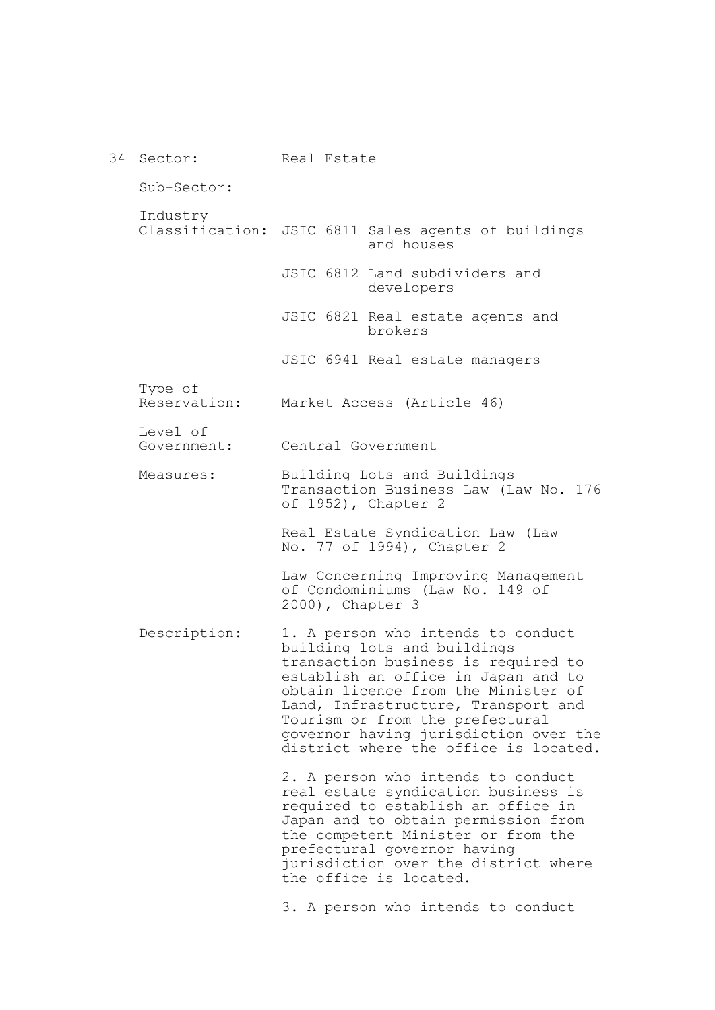34 Sector: Sub-Sector: Industry Classification: JSIC 6811 Sales agents of buildings Type of Reservation: Level of Government: Measures: Description: Real Estate and houses JSIC 6812 Land subdividers and developers JSIC 6821 Real estate agents and brokers JSIC 6941 Real estate managers Market Access (Article 46) Central Government Building Lots and Buildings Transaction Business Law (Law No. 176 of 1952), Chapter 2 Real Estate Syndication Law (Law No. 77 of 1994), Chapter 2 Law Concerning Improving Management of Condominiums (Law No. 149 of 2000), Chapter 3 1. A person who intends to conduct building lots and buildings transaction business is required to establish an office in Japan and to obtain licence from the Minister of Land, Infrastructure, Transport and Tourism or from the prefectural governor having jurisdiction over the district where the office is located. 2. A person who intends to conduct real estate syndication business is required to establish an office in Japan and to obtain permission from the competent Minister or from the prefectural governor having jurisdiction over the district where the office is located. 3. A person who intends to conduct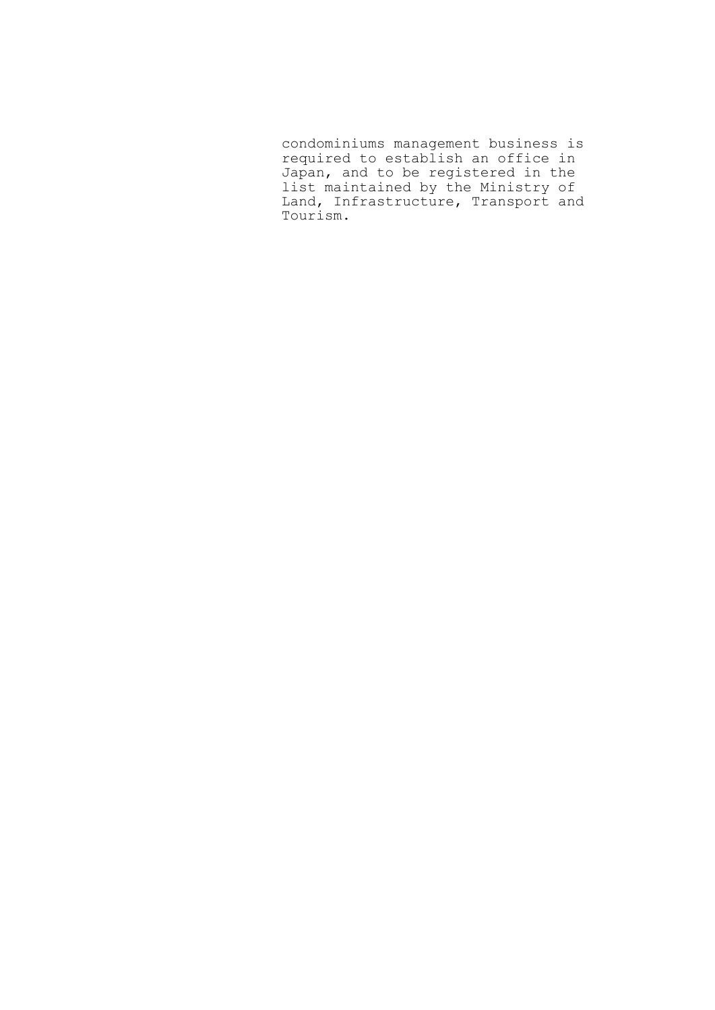condominiums management business is required to establish an office in Japan, and to be registered in the list maintained by the Ministry of Land, Infrastructure, Transport and Tourism.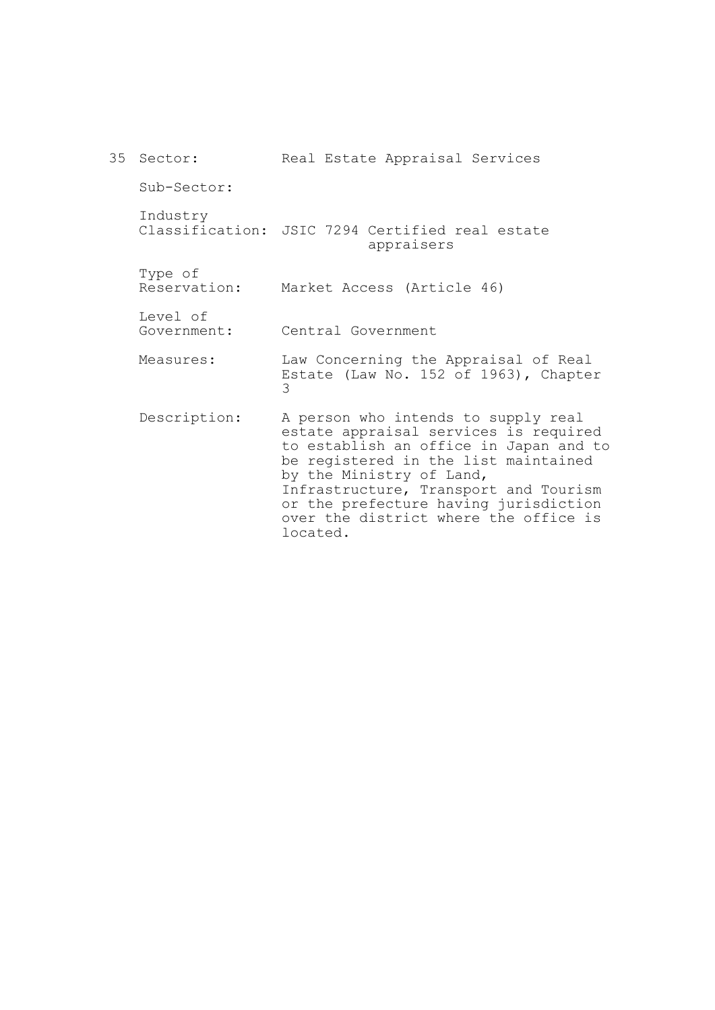| 35 Sector:              | Real Estate Appraisal Services                                                                                                                                                                                                                                                                                                    |
|-------------------------|-----------------------------------------------------------------------------------------------------------------------------------------------------------------------------------------------------------------------------------------------------------------------------------------------------------------------------------|
| Sub-Sector:             |                                                                                                                                                                                                                                                                                                                                   |
| Industry                | Classification: JSIC 7294 Certified real estate<br>appraisers                                                                                                                                                                                                                                                                     |
| Type of<br>Reservation: | Market Access (Article 46)                                                                                                                                                                                                                                                                                                        |
| Level of<br>Government: | Central Government                                                                                                                                                                                                                                                                                                                |
| Measures:               | Law Concerning the Appraisal of Real<br>Estate (Law No. 152 of 1963), Chapter<br>3                                                                                                                                                                                                                                                |
| Description:            | A person who intends to supply real<br>estate appraisal services is required<br>to establish an office in Japan and to<br>be registered in the list maintained<br>by the Ministry of Land,<br>Infrastructure, Transport and Tourism<br>or the prefecture having jurisdiction<br>over the district where the office is<br>located. |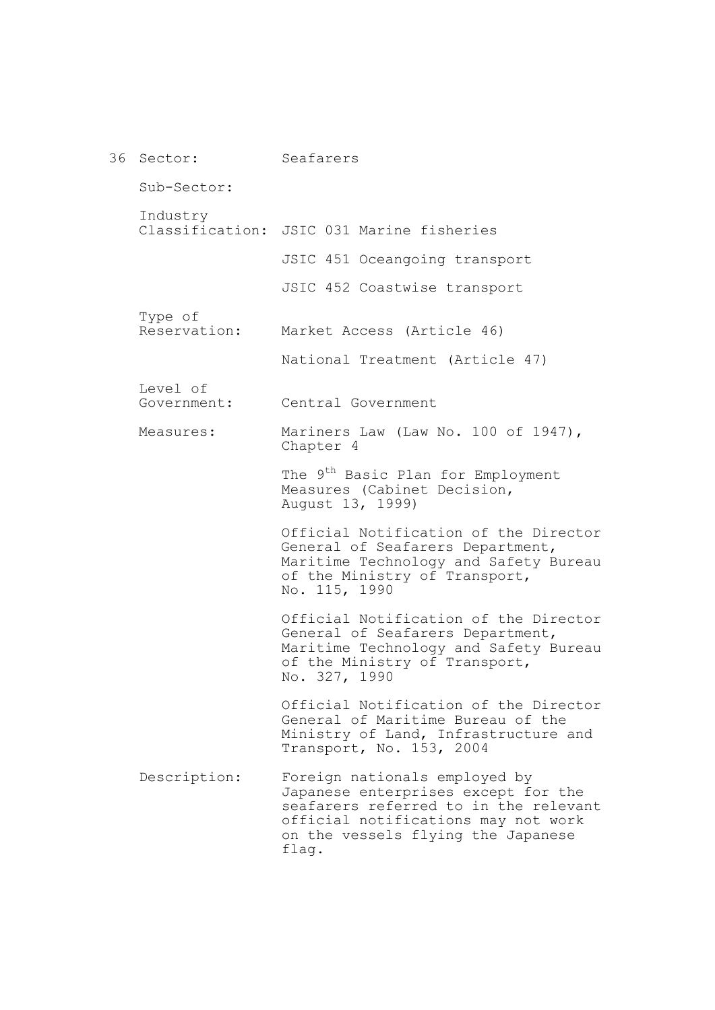| 36 Sector:              | Seafarers                                                                                                                                                                                           |
|-------------------------|-----------------------------------------------------------------------------------------------------------------------------------------------------------------------------------------------------|
| Sub-Sector:             |                                                                                                                                                                                                     |
| Industry                | Classification: JSIC 031 Marine fisheries                                                                                                                                                           |
|                         | JSIC 451 Oceangoing transport                                                                                                                                                                       |
|                         | JSIC 452 Coastwise transport                                                                                                                                                                        |
| Type of<br>Reservation: | Market Access (Article 46)                                                                                                                                                                          |
|                         | National Treatment (Article 47)                                                                                                                                                                     |
| Level of<br>Government: | Central Government                                                                                                                                                                                  |
| Measures:               | Mariners Law (Law No. 100 of 1947),<br>Chapter 4                                                                                                                                                    |
|                         | The 9 <sup>th</sup> Basic Plan for Employment<br>Measures (Cabinet Decision,<br>August 13, 1999)                                                                                                    |
|                         | Official Notification of the Director<br>General of Seafarers Department,<br>Maritime Technology and Safety Bureau<br>of the Ministry of Transport,<br>No. 115, 1990                                |
|                         | Official Notification of the Director<br>General of Seafarers Department,<br>Maritime Technology and Safety Bureau<br>of the Ministry of Transport,<br>No. 327, 1990                                |
|                         | Official Notification of the Director<br>General of Maritime Bureau of the<br>Ministry of Land, Infrastructure and<br>Transport, No. 153, 2004                                                      |
| Description:            | Foreign nationals employed by<br>Japanese enterprises except for the<br>seafarers referred to in the relevant<br>official notifications may not work<br>on the vessels flying the Japanese<br>flag. |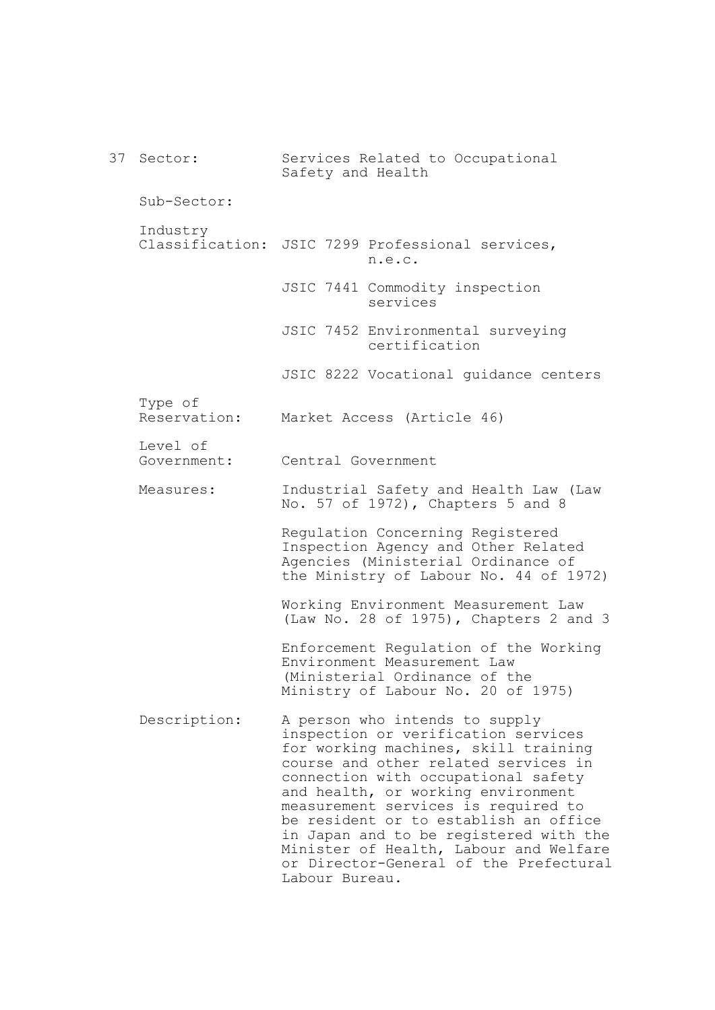37 Sector: Sub-Sector: Industry Classification: JSIC 7299 Professional services, Type of Reservation: Level of Government: Measures: Description: Services Related to Occupational Safety and Health n.e.c. JSIC 7441 Commodity inspection services JSIC 7452 Environmental surveying certification JSIC 8222 Vocational guidance centers Market Access (Article 46) Central Government Industrial Safety and Health Law (Law No. 57 of 1972), Chapters 5 and 8 Regulation Concerning Registered Inspection Agency and Other Related Agencies (Ministerial Ordinance of the Ministry of Labour No. 44 of 1972) Working Environment Measurement Law (Law No. 28 of 1975), Chapters 2 and 3 Enforcement Regulation of the Working Environment Measurement Law (Ministerial Ordinance of the Ministry of Labour No. 20 of 1975) A person who intends to supply inspection or verification services for working machines, skill training course and other related services in connection with occupational safety and health, or working environment measurement services is required to be resident or to establish an office in Japan and to be registered with the Minister of Health, Labour and Welfare or Director-General of the Prefectural Labour Bureau.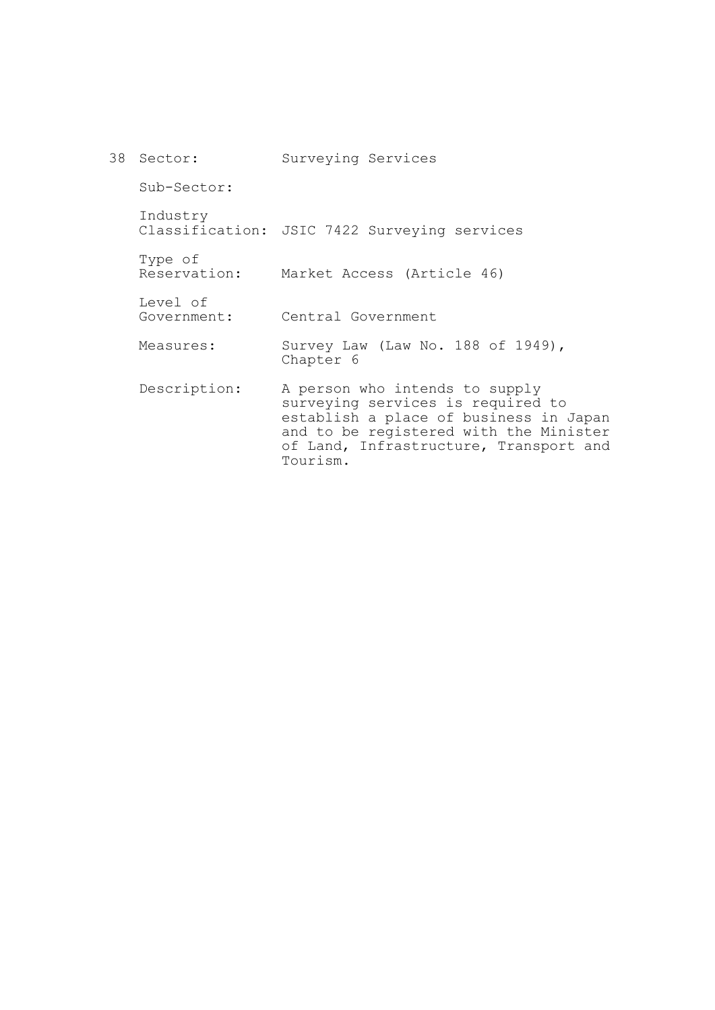| 38 Sector:              | Surveying Services                                                                                                                                                                                            |
|-------------------------|---------------------------------------------------------------------------------------------------------------------------------------------------------------------------------------------------------------|
| Sub-Sector:             |                                                                                                                                                                                                               |
| Industry                | Classification: JSIC 7422 Surveying services                                                                                                                                                                  |
| Type of<br>Reservation: | Market Access (Article 46)                                                                                                                                                                                    |
| Level of<br>Government: | Central Government                                                                                                                                                                                            |
| Measures:               | Survey Law (Law No. 188 of 1949),<br>Chapter 6                                                                                                                                                                |
| Description:            | A person who intends to supply<br>surveying services is required to<br>establish a place of business in Japan<br>and to be registered with the Minister<br>of Land, Infrastructure, Transport and<br>Tourism. |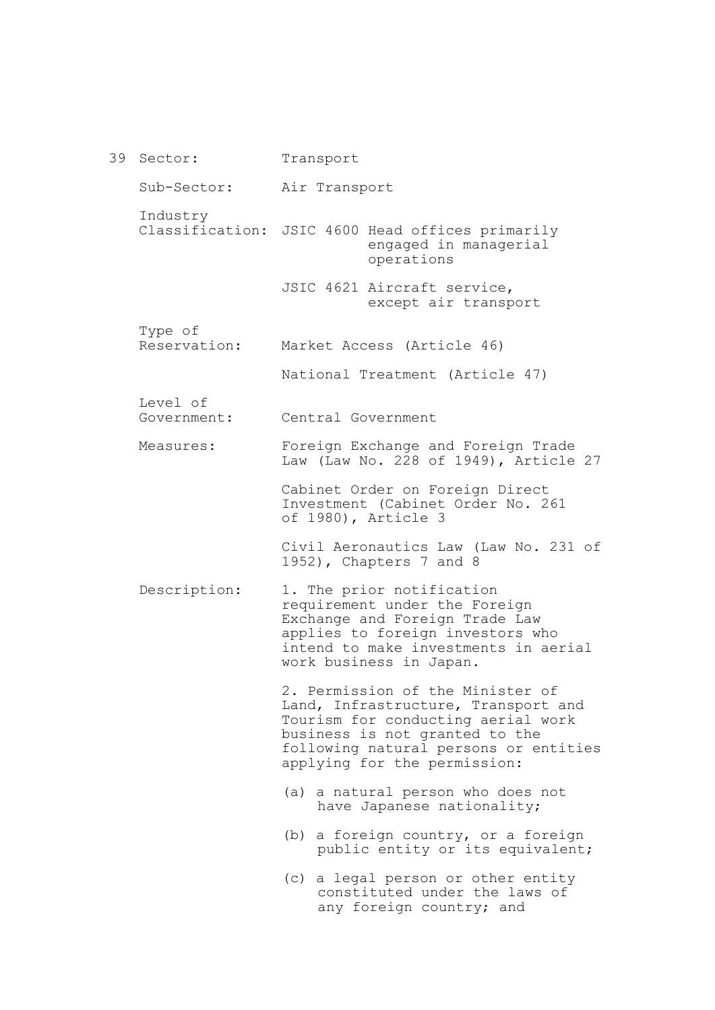39 Sector: Sub-Sector: Industry Classification: JSIC 4600 Head offices primarily Type of Reservation: Level of Government: Measures: Description: Transport Air Transport engaged in managerial operations JSIC 4621 Aircraft service, except air transport Market Access (Article 46) National Treatment (Article 47) Central Government Foreign Exchange and Foreign Trade Law (Law No. 228 of 1949), Article 27 Cabinet Order on Foreign Direct Investment (Cabinet Order No. 261 of 1980), Article 3 Civil Aeronautics Law (Law No. 231 of 1952), Chapters 7 and 8 1. The prior notification requirement under the Foreign Exchange and Foreign Trade Law applies to foreign investors who intend to make investments in aerial work business in Japan. 2. Permission of the Minister of Land, Infrastructure, Transport and Tourism for conducting aerial work business is not granted to the following natural persons or entities applying for the permission: (a) a natural person who does not have Japanese nationality; (b) a foreign country, or a foreign public entity or its equivalent; (c) a legal person or other entity constituted under the laws of any foreign country; and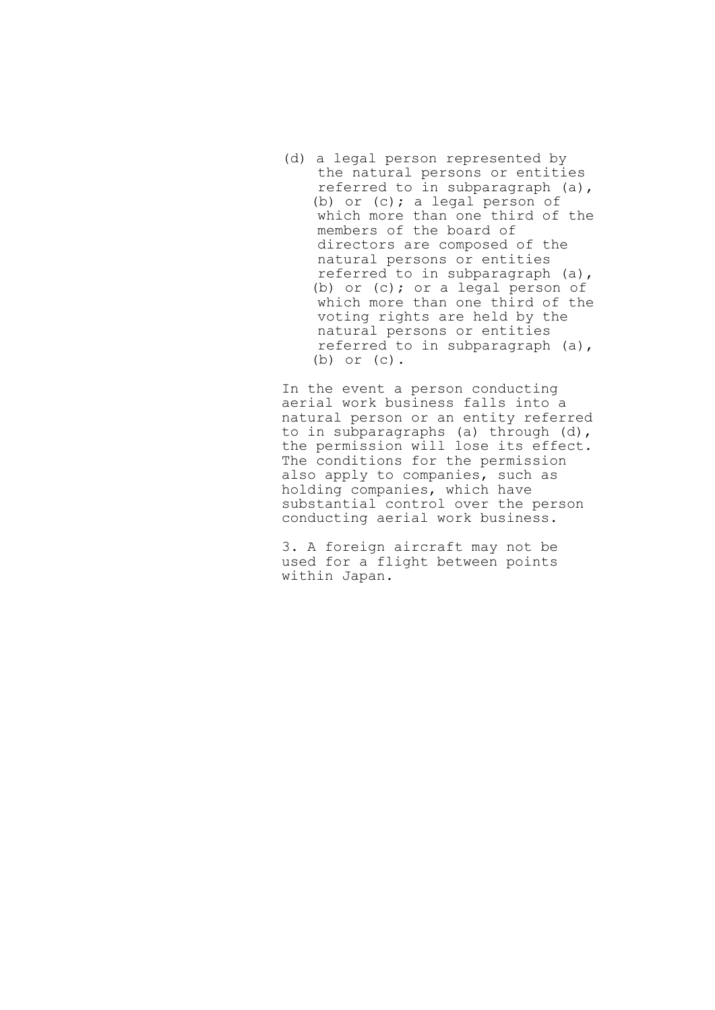(d) a legal person represented by the natural persons or entities referred to in subparagraph (a), (b) or (c); a legal person of which more than one third of the members of the board of directors are composed of the natural persons or entities referred to in subparagraph (a), (b) or (c); or a legal person of which more than one third of the voting rights are held by the natural persons or entities referred to in subparagraph (a), (b) or (c).

In the event a person conducting aerial work business falls into a natural person or an entity referred to in subparagraphs (a) through (d), the permission will lose its effect. The conditions for the permission also apply to companies, such as holding companies, which have substantial control over the person conducting aerial work business.

3. A foreign aircraft may not be used for a flight between points within Japan.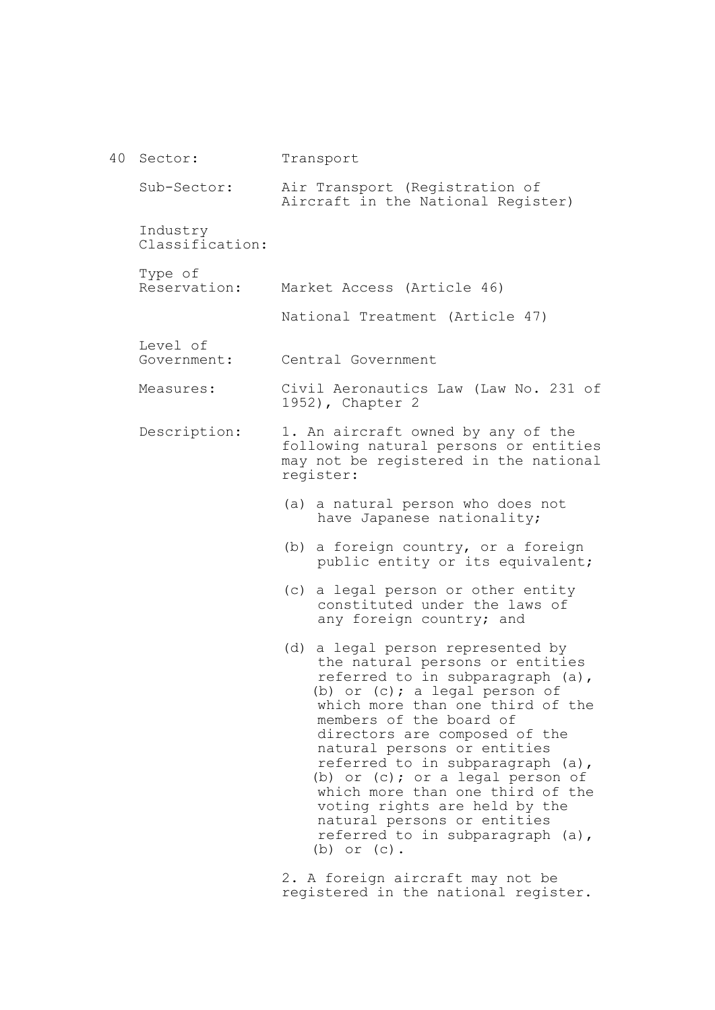| 40 | Sector:                     | Transport                                                                                                                                                                                                                                                                                                                                                                                                                                                                                                             |
|----|-----------------------------|-----------------------------------------------------------------------------------------------------------------------------------------------------------------------------------------------------------------------------------------------------------------------------------------------------------------------------------------------------------------------------------------------------------------------------------------------------------------------------------------------------------------------|
|    | Sub-Sector:                 | Air Transport (Registration of<br>Aircraft in the National Register)                                                                                                                                                                                                                                                                                                                                                                                                                                                  |
|    | Industry<br>Classification: |                                                                                                                                                                                                                                                                                                                                                                                                                                                                                                                       |
|    | Type of<br>Reservation:     | Market Access (Article 46)                                                                                                                                                                                                                                                                                                                                                                                                                                                                                            |
|    |                             | National Treatment (Article 47)                                                                                                                                                                                                                                                                                                                                                                                                                                                                                       |
|    | Level of<br>Government:     | Central Government                                                                                                                                                                                                                                                                                                                                                                                                                                                                                                    |
|    | Measures:                   | Civil Aeronautics Law (Law No. 231 of<br>1952), Chapter 2                                                                                                                                                                                                                                                                                                                                                                                                                                                             |
|    | Description:                | 1. An aircraft owned by any of the<br>following natural persons or entities<br>may not be registered in the national<br>register:                                                                                                                                                                                                                                                                                                                                                                                     |
|    |                             | (a) a natural person who does not<br>have Japanese nationality;                                                                                                                                                                                                                                                                                                                                                                                                                                                       |
|    |                             | a foreign country, or a foreign<br>(b)<br>public entity or its equivalent;                                                                                                                                                                                                                                                                                                                                                                                                                                            |
|    |                             | a legal person or other entity<br>(C)<br>constituted under the laws of<br>any foreign country; and                                                                                                                                                                                                                                                                                                                                                                                                                    |
|    |                             | a legal person represented by<br>(d)<br>the natural persons or entities<br>referred to in subparagraph (a),<br>(b) or $(c)$ ; a legal person of<br>which more than one third of the<br>members of the board of<br>directors are composed of the<br>natural persons or entities<br>referred to in subparagraph (a),<br>(b) or $(c)$ ; or a legal person of<br>which more than one third of the<br>voting rights are held by the<br>natural persons or entities<br>referred to in subparagraph (a),<br>$(b)$ or $(c)$ . |
|    |                             |                                                                                                                                                                                                                                                                                                                                                                                                                                                                                                                       |

2. A foreign aircraft may not be registered in the national register.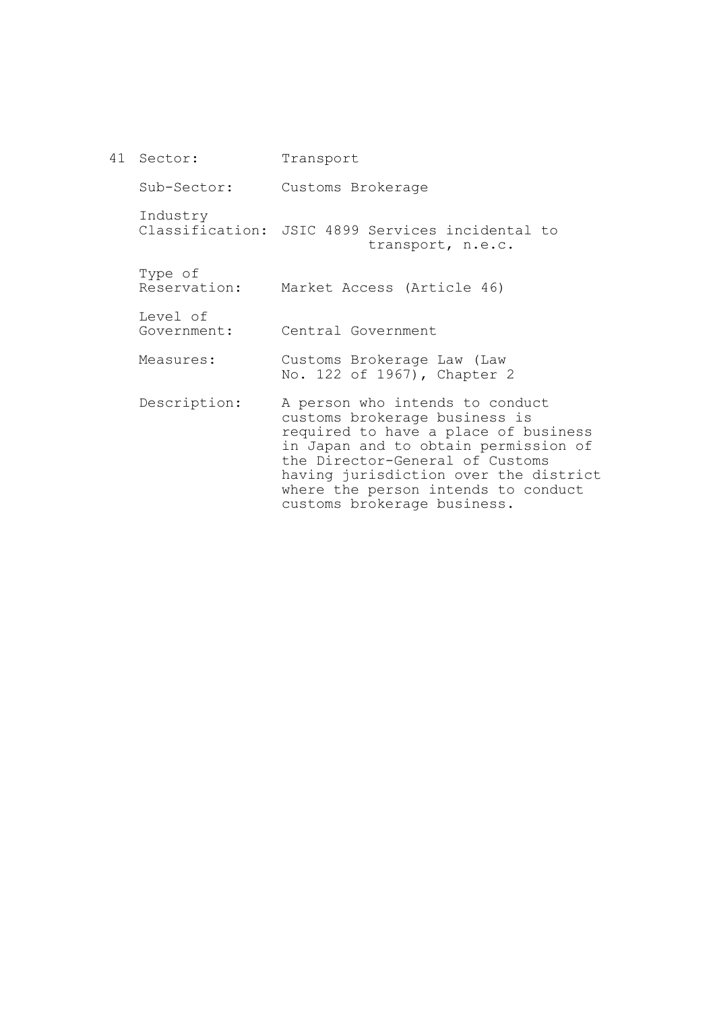41 Sector: Sub-Sector: Industry Classification: JSIC 4899 Services incidental to Type of Reservation: Level of Government: Measures: Description: Transport Customs Brokerage transport, n.e.c. Market Access (Article 46) Central Government Customs Brokerage Law (Law No. 122 of 1967), Chapter 2 A person who intends to conduct customs brokerage business is required to have a place of business in Japan and to obtain permission of the Director-General of Customs having jurisdiction over the district where the person intends to conduct

customs brokerage business.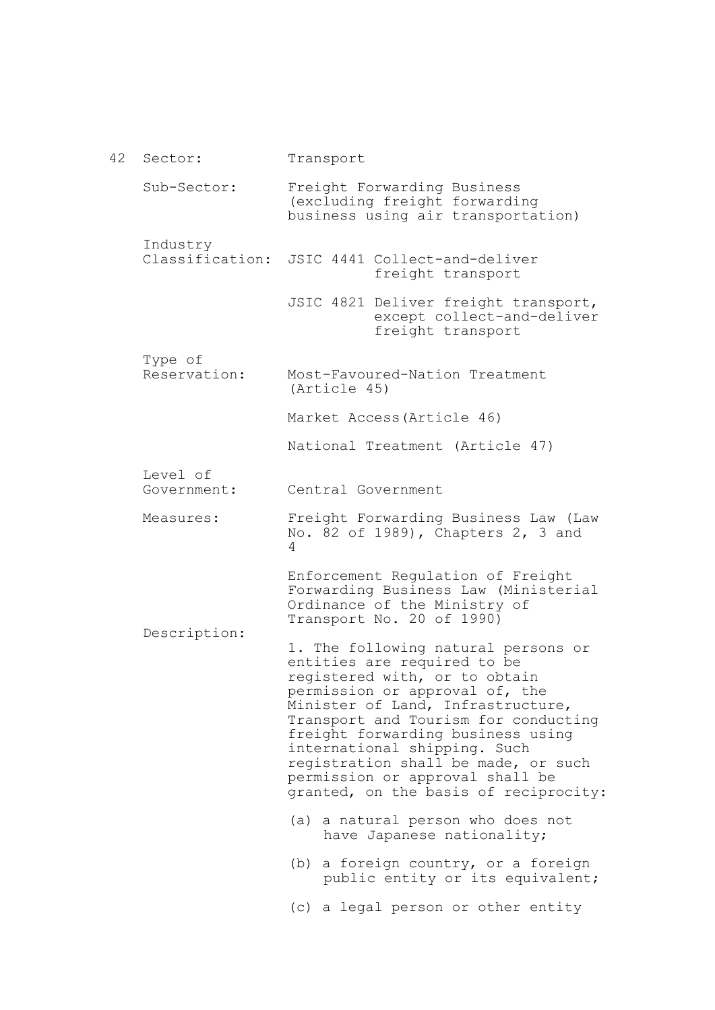42 Sector: Sub-Sector: Industry Classification: Type of Reservation: Level of Government: Measures: Description: Transport Freight Forwarding Business (excluding freight forwarding business using air transportation) JSIC 4441 Collect-and-deliver freight transport JSIC 4821 Deliver freight transport, except collect-and-deliver freight transport Most-Favoured-Nation Treatment (Article 45) Market Access(Article 46) National Treatment (Article 47) Central Government Freight Forwarding Business Law (Law No. 82 of 1989), Chapters 2, 3 and 4 Enforcement Regulation of Freight Forwarding Business Law (Ministerial Ordinance of the Ministry of Transport No. 20 of 1990) 1. The following natural persons or entities are required to be registered with, or to obtain permission or approval of, the Minister of Land, Infrastructure, Transport and Tourism for conducting freight forwarding business using international shipping. Such registration shall be made, or such permission or approval shall be granted, on the basis of reciprocity: (a) a natural person who does not have Japanese nationality; (b) a foreign country, or a foreign public entity or its equivalent; (c) a legal person or other entity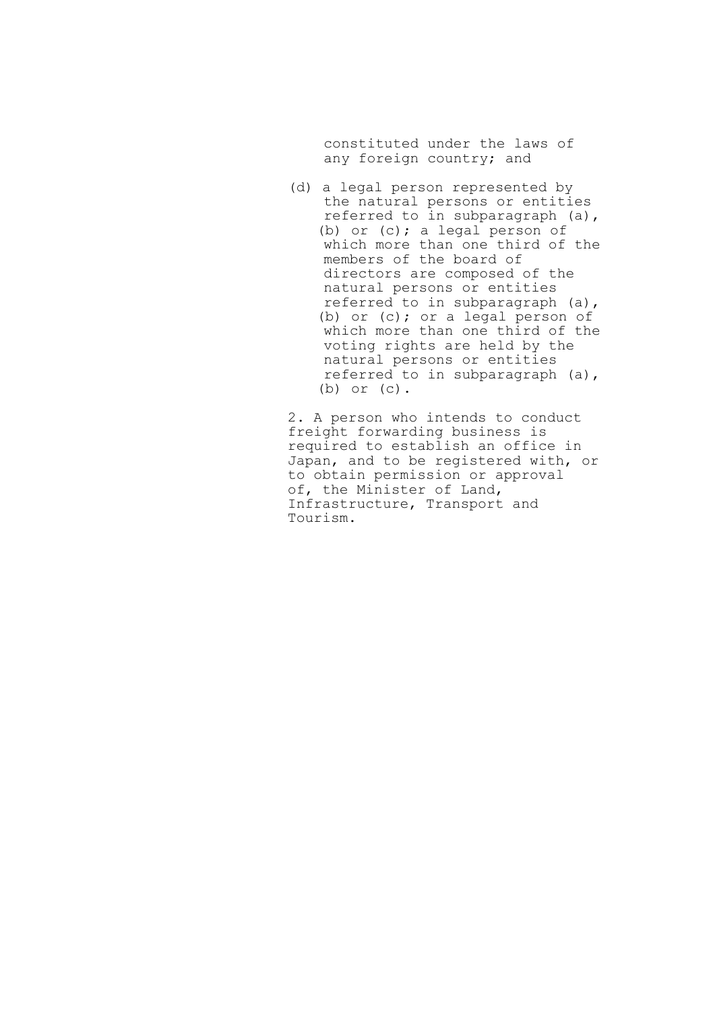constituted under the laws of any foreign country; and

(d) a legal person represented by the natural persons or entities referred to in subparagraph (a), (b) or (c); a legal person of which more than one third of the members of the board of directors are composed of the natural persons or entities referred to in subparagraph (a), (b) or (c); or a legal person of which more than one third of the voting rights are held by the natural persons or entities referred to in subparagraph (a), (b) or (c).

2. A person who intends to conduct freight forwarding business is required to establish an office in Japan, and to be registered with, or to obtain permission or approval of, the Minister of Land, Infrastructure, Transport and Tourism.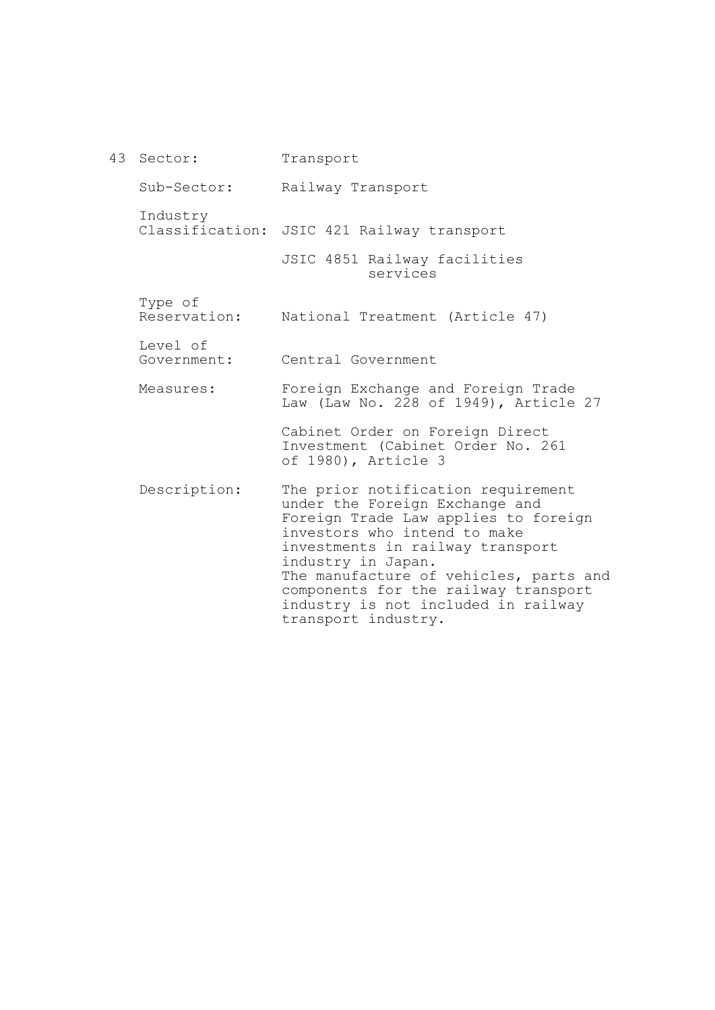43 Sector: Sub-Sector: Industry Classification: JSIC 421 Railway transport Type of Reservation: Level of Government: Measures: Description: Transport Railway Transport JSIC 4851 Railway facilities services National Treatment (Article 47) Central Government Foreign Exchange and Foreign Trade Law (Law No. 228 of 1949), Article 27 Cabinet Order on Foreign Direct Investment (Cabinet Order No. 261 of 1980), Article 3 The prior notification requirement under the Foreign Exchange and Foreign Trade Law applies to foreign investors who intend to make investments in railway transport industry in Japan. The manufacture of vehicles, parts and components for the railway transport industry is not included in railway transport industry.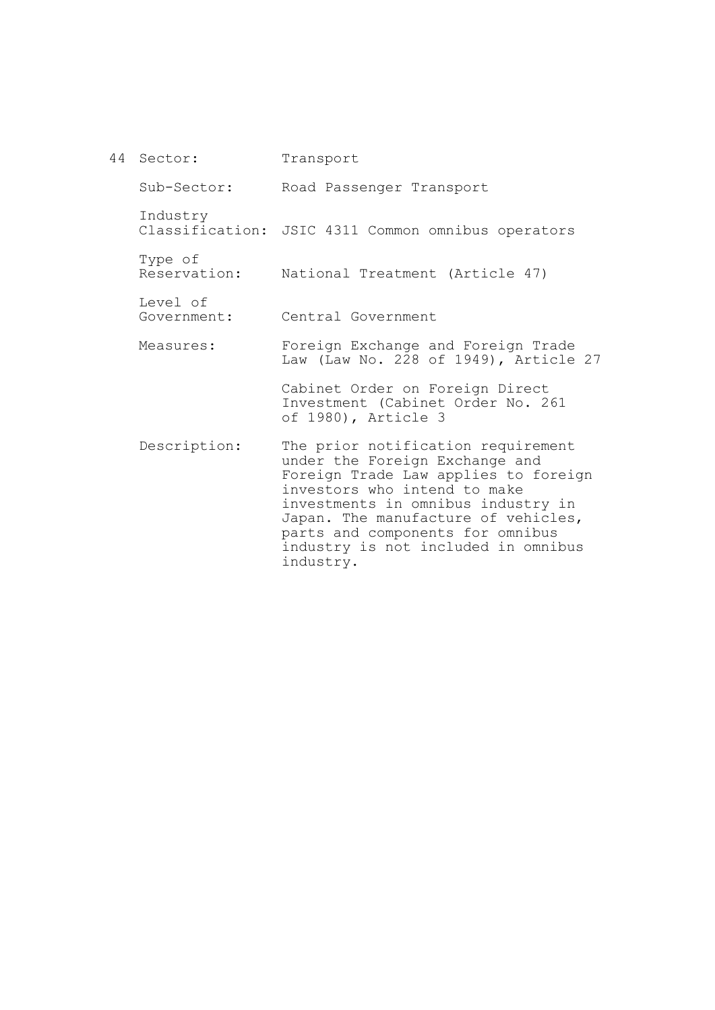44 Sector: Sub-Sector: Industry Classification: JSIC 4311 Common omnibus operators Type of Reservation: National Treatment (Article 47) Level of Government: Measures: Description: Transport Road Passenger Transport Central Government Foreign Exchange and Foreign Trade Law (Law No. 228 of 1949), Article 27 Cabinet Order on Foreign Direct Investment (Cabinet Order No. 261 of 1980), Article 3 The prior notification requirement under the Foreign Exchange and Foreign Trade Law applies to foreign investors who intend to make investments in omnibus industry in Japan. The manufacture of vehicles, parts and components for omnibus industry is not included in omnibus

industry.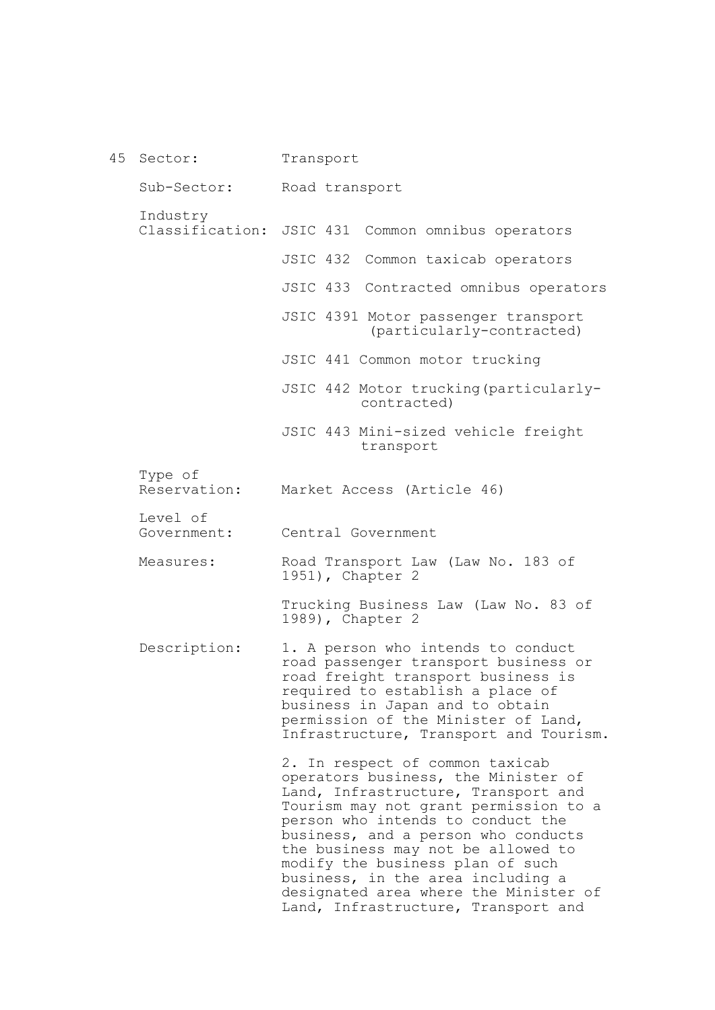45 Sector: Sub-Sector: Industry Classification: JSIC 431 Common omnibus operators Type of Reservation: Level of Government: Measures: Description: Transport Road transport JSIC 432 Common taxicab operators JSIC 433 Contracted omnibus operators JSIC 4391 Motor passenger transport (particularly-contracted) JSIC 441 Common motor trucking JSIC 442 Motor trucking(particularlycontracted) JSIC 443 Mini-sized vehicle freight transport Market Access (Article 46) Central Government Road Transport Law (Law No. 183 of 1951), Chapter 2 Trucking Business Law (Law No. 83 of 1989), Chapter 2 1. A person who intends to conduct road passenger transport business or road freight transport business is required to establish a place of business in Japan and to obtain permission of the Minister of Land, Infrastructure, Transport and Tourism. 2. In respect of common taxicab operators business, the Minister of Land, Infrastructure, Transport and Tourism may not grant permission to a person who intends to conduct the business, and a person who conducts the business may not be allowed to modify the business plan of such business, in the area including a designated area where the Minister of Land, Infrastructure, Transport and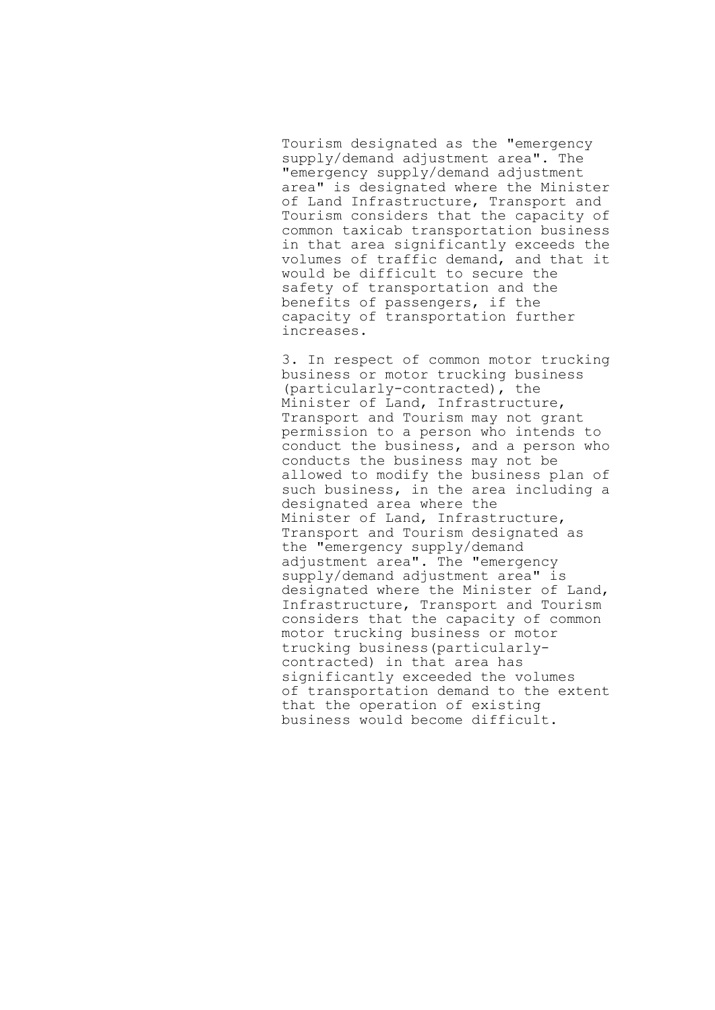Tourism designated as the "emergency supply/demand adjustment area". The "emergency supply/demand adjustment area" is designated where the Minister of Land Infrastructure, Transport and Tourism considers that the capacity of common taxicab transportation business in that area significantly exceeds the volumes of traffic demand, and that it would be difficult to secure the safety of transportation and the benefits of passengers, if the capacity of transportation further increases.

3. In respect of common motor trucking business or motor trucking business (particularly-contracted), the Minister of Land, Infrastructure, Transport and Tourism may not grant permission to a person who intends to conduct the business, and a person who conducts the business may not be allowed to modify the business plan of such business, in the area including a designated area where the Minister of Land, Infrastructure, Transport and Tourism designated as the "emergency supply/demand adjustment area". The "emergency supply/demand adjustment area" is designated where the Minister of Land, Infrastructure, Transport and Tourism considers that the capacity of common motor trucking business or motor trucking business(particularlycontracted) in that area has significantly exceeded the volumes of transportation demand to the extent that the operation of existing business would become difficult.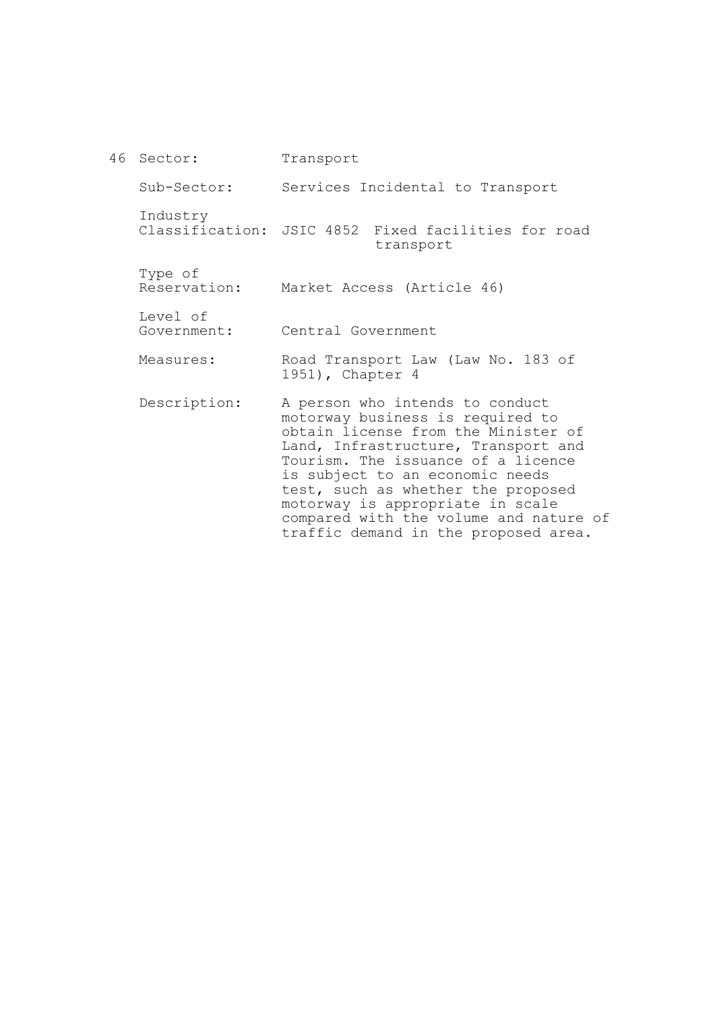46 Sector: Sub-Sector: Industry Classification: JSIC 4852 Fixed facilities for road Type of Reservation: Level of Government: Measures: Description: Transport Services Incidental to Transport transport Market Access (Article 46) Central Government Road Transport Law (Law No. 183 of 1951), Chapter 4 A person who intends to conduct motorway business is required to obtain license from the Minister of Land, Infrastructure, Transport and Tourism. The issuance of a licence is subject to an economic needs test, such as whether the proposed motorway is appropriate in scale compared with the volume and nature of

traffic demand in the proposed area.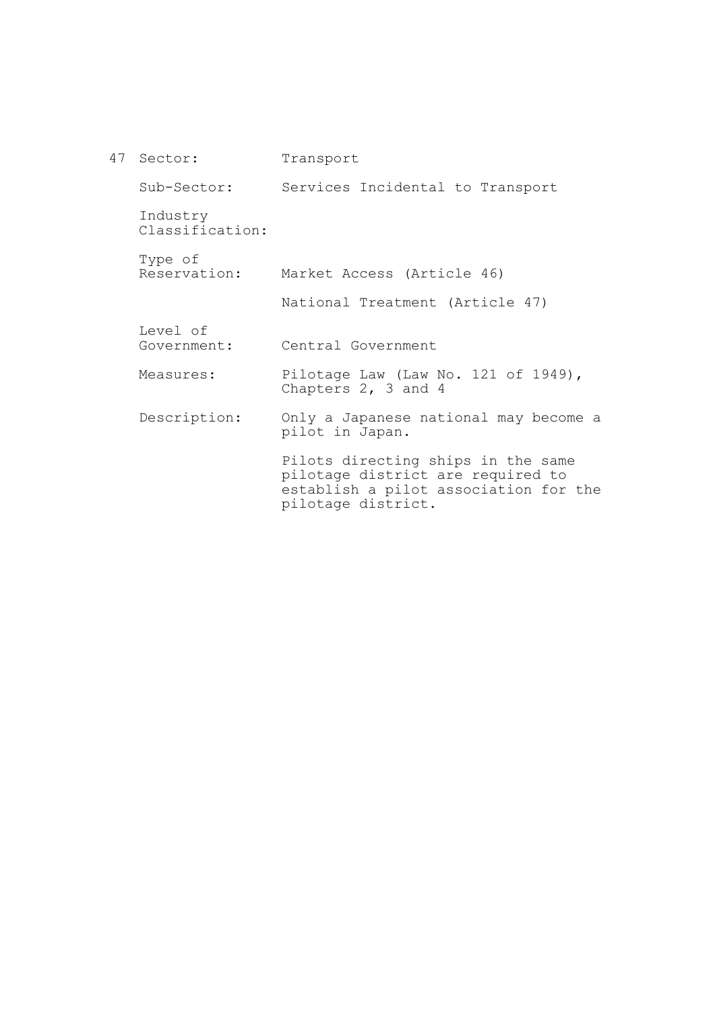| 47 Sector:                  | Transport                                                                                                                              |
|-----------------------------|----------------------------------------------------------------------------------------------------------------------------------------|
| Sub-Sector:                 | Services Incidental to Transport                                                                                                       |
| Industry<br>Classification: |                                                                                                                                        |
| Type of                     | Reservation: Market Access (Article 46)                                                                                                |
|                             | National Treatment (Article 47)                                                                                                        |
| Level of<br>Government:     | Central Government                                                                                                                     |
| Measures:                   | Pilotage Law (Law No. 121 of 1949),<br>Chapters 2, 3 and 4                                                                             |
| Description:                | Only a Japanese national may become a<br>pilot in Japan.                                                                               |
|                             | Pilots directing ships in the same<br>pilotage district are required to<br>establish a pilot association for the<br>pilotage district. |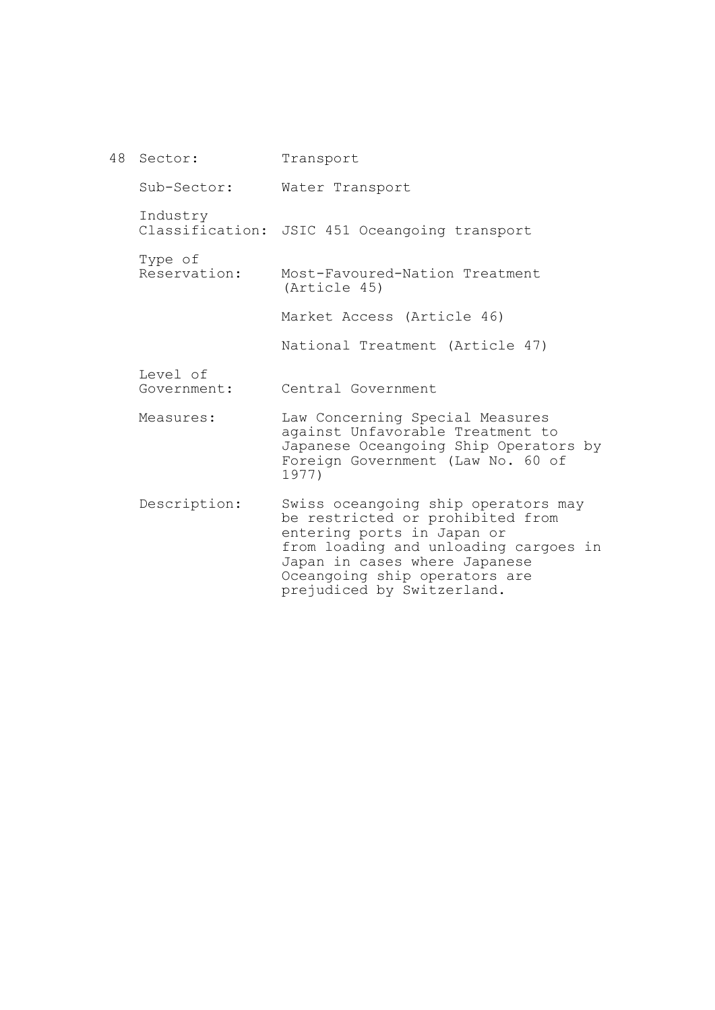48 Sector: Sub-Sector: Industry Classification: JSIC 451 Oceangoing transport Type of Reservation: Level of Government: Measures: Description: Transport Water Transport Most-Favoured-Nation Treatment (Article 45) Market Access (Article 46) National Treatment (Article 47) Central Government Law Concerning Special Measures against Unfavorable Treatment to Japanese Oceangoing Ship Operators by Foreign Government (Law No. 60 of 1977) Swiss oceangoing ship operators may be restricted or prohibited from entering ports in Japan or from loading and unloading cargoes in Japan in cases where Japanese Oceangoing ship operators are prejudiced by Switzerland.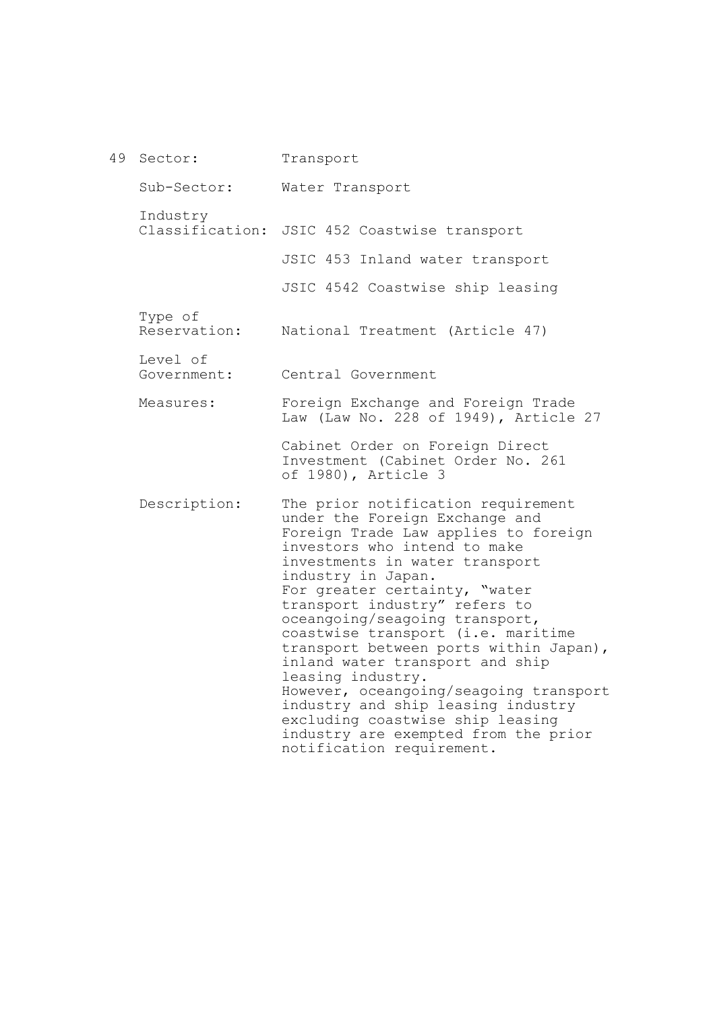49 Sector: Sub-Sector: Industry Classification: JSIC 452 Coastwise transport Type of Reservation: Level of Government: Measures: Description: Transport Water Transport JSIC 453 Inland water transport JSIC 4542 Coastwise ship leasing National Treatment (Article 47) Central Government Foreign Exchange and Foreign Trade Law (Law No. 228 of 1949), Article 27 Cabinet Order on Foreign Direct Investment (Cabinet Order No. 261 of 1980), Article 3 The prior notification requirement under the Foreign Exchange and Foreign Trade Law applies to foreign investors who intend to make investments in water transport industry in Japan. For greater certainty, "water transport industry" refers to oceangoing/seagoing transport, coastwise transport (i.e. maritime transport between ports within Japan), inland water transport and ship leasing industry. However, oceangoing/seagoing transport industry and ship leasing industry excluding coastwise ship leasing industry are exempted from the prior notification requirement.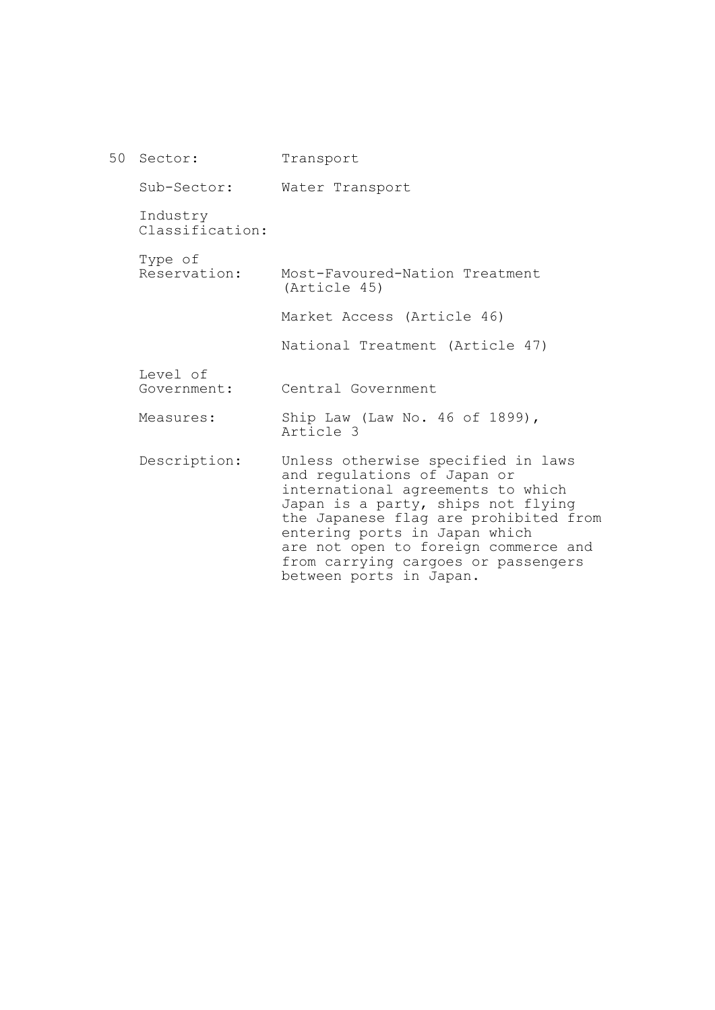| 50 Sector:                  | Transport                                                                                                                                                                                                                                                                                                                        |
|-----------------------------|----------------------------------------------------------------------------------------------------------------------------------------------------------------------------------------------------------------------------------------------------------------------------------------------------------------------------------|
| Sub-Sector:                 | Water Transport                                                                                                                                                                                                                                                                                                                  |
| Industry<br>Classification: |                                                                                                                                                                                                                                                                                                                                  |
| Type of<br>Reservation:     | Most-Favoured-Nation Treatment<br>(Article 45)                                                                                                                                                                                                                                                                                   |
|                             | Market Access (Article 46)                                                                                                                                                                                                                                                                                                       |
|                             | National Treatment (Article 47)                                                                                                                                                                                                                                                                                                  |
| Level of<br>Government:     | Central Government                                                                                                                                                                                                                                                                                                               |
| Measures:                   | Ship Law (Law No. 46 of 1899),<br>Article 3                                                                                                                                                                                                                                                                                      |
| Description:                | Unless otherwise specified in laws<br>and regulations of Japan or<br>international agreements to which<br>Japan is a party, ships not flying<br>the Japanese flag are prohibited from<br>entering ports in Japan which<br>are not open to foreign commerce and<br>from carrying cargoes or passengers<br>between ports in Japan. |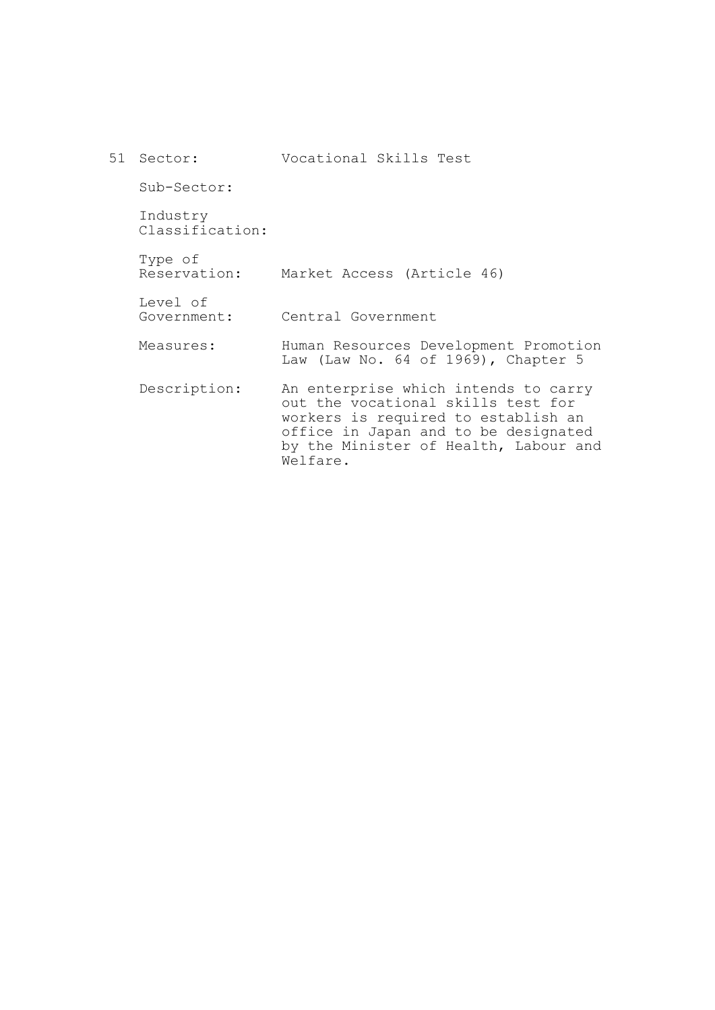| 51 Sector:                  | Vocational Skills Test                                                                                                                                                                                         |
|-----------------------------|----------------------------------------------------------------------------------------------------------------------------------------------------------------------------------------------------------------|
| Sub-Sector:                 |                                                                                                                                                                                                                |
| Industry<br>Classification: |                                                                                                                                                                                                                |
| Type of<br>Reservation:     | Market Access (Article 46)                                                                                                                                                                                     |
| Level of<br>Government:     | Central Government                                                                                                                                                                                             |
| Measures:                   | Human Resources Development Promotion<br>Law (Law No. 64 of 1969), Chapter 5                                                                                                                                   |
| Description:                | An enterprise which intends to carry<br>out the vocational skills test for<br>workers is required to establish an<br>office in Japan and to be designated<br>by the Minister of Health, Labour and<br>Welfare. |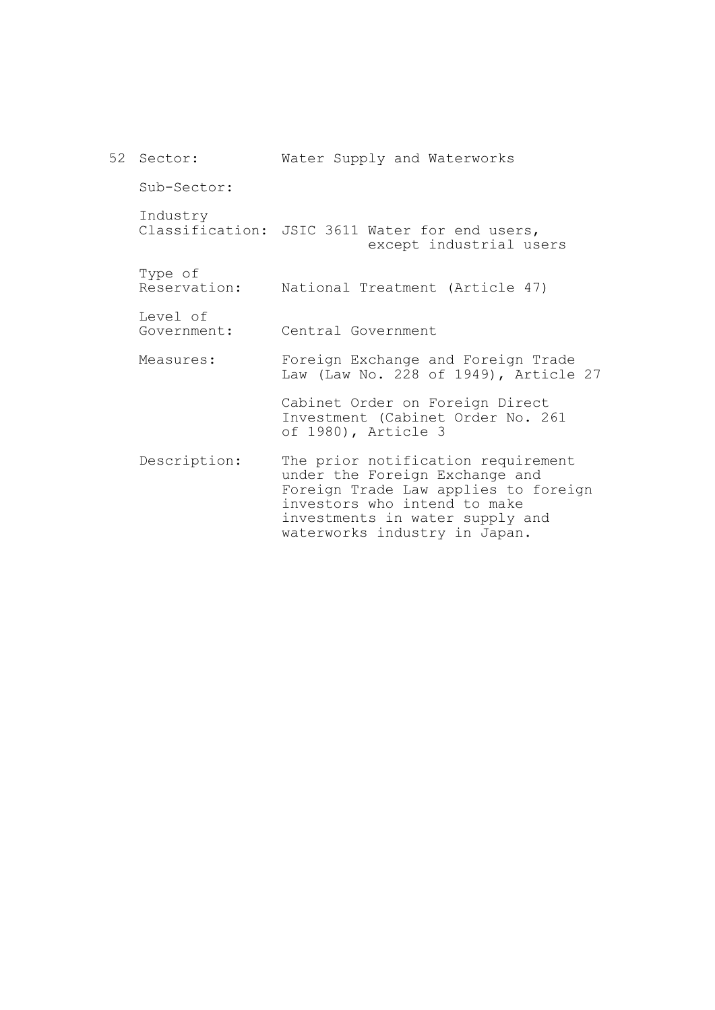| 52 Sector:              | Water Supply and Waterworks                                                                                                                                                                                      |
|-------------------------|------------------------------------------------------------------------------------------------------------------------------------------------------------------------------------------------------------------|
| Sub-Sector:             |                                                                                                                                                                                                                  |
| Industry                | Classification: JSIC 3611 Water for end users,<br>except industrial users                                                                                                                                        |
| Type of<br>Reservation: | National Treatment (Article 47)                                                                                                                                                                                  |
| Level of<br>Government: | Central Government                                                                                                                                                                                               |
| Measures:               | Foreign Exchange and Foreign Trade<br>Law (Law No. 228 of 1949), Article 27                                                                                                                                      |
|                         | Cabinet Order on Foreign Direct<br>Investment (Cabinet Order No. 261<br>of 1980), Article 3                                                                                                                      |
| Description:            | The prior notification requirement<br>under the Foreign Exchange and<br>Foreign Trade Law applies to foreign<br>investors who intend to make<br>investments in water supply and<br>waterworks industry in Japan. |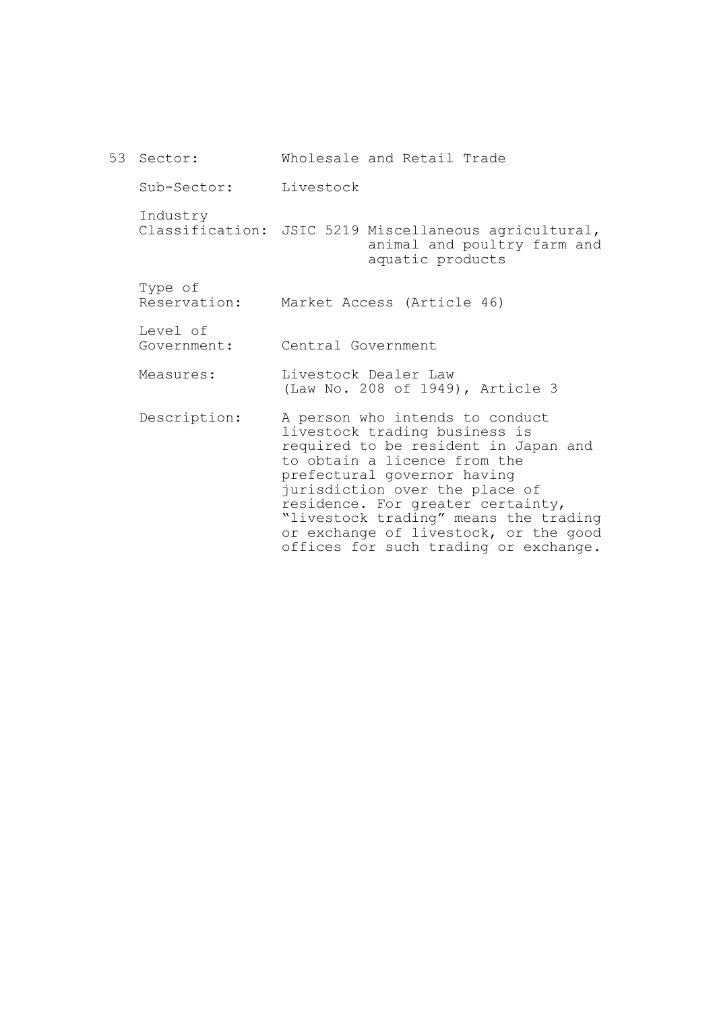53 Sector: Sub-Sector: Industry Classification: JSIC 5219 Miscellaneous agricultural, Type of Reservation: Market Access (Article 46) Level of Government: Measures: Description: Wholesale and Retail Trade Livestock animal and poultry farm and aquatic products Central Government Livestock Dealer Law (Law No. 208 of 1949), Article 3 A person who intends to conduct livestock trading business is required to be resident in Japan and to obtain a licence from the prefectural governor having jurisdiction over the place of residence. For greater certainty, "livestock trading" means the trading or exchange of livestock, or the good

offices for such trading or exchange.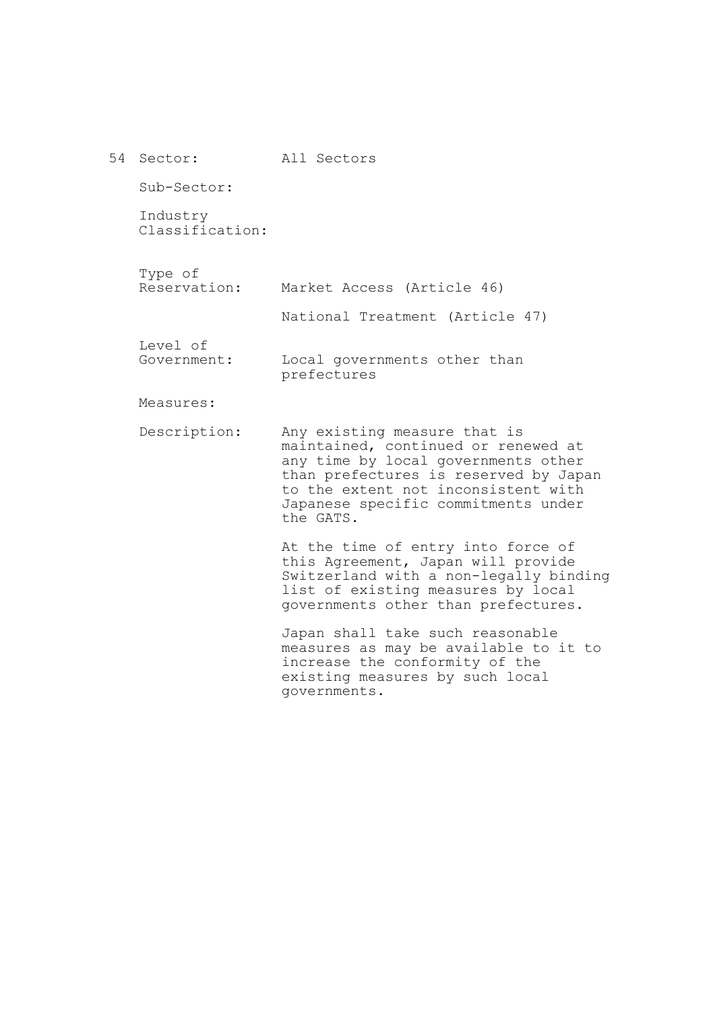| 54 Sector:                  | All Sectors                                                                                                                                                                                                                                    |
|-----------------------------|------------------------------------------------------------------------------------------------------------------------------------------------------------------------------------------------------------------------------------------------|
| Sub-Sector:                 |                                                                                                                                                                                                                                                |
| Industry<br>Classification: |                                                                                                                                                                                                                                                |
| Type of<br>Reservation:     | Market Access (Article 46)                                                                                                                                                                                                                     |
|                             | National Treatment (Article 47)                                                                                                                                                                                                                |
| Level of<br>Government:     | Local governments other than<br>prefectures                                                                                                                                                                                                    |
| Measures:                   |                                                                                                                                                                                                                                                |
| Description:                | Any existing measure that is<br>maintained, continued or renewed at<br>any time by local governments other<br>than prefectures is reserved by Japan<br>to the extent not inconsistent with<br>Japanese specific commitments under<br>the GATS. |
|                             | At the time of entry into force of<br>this Agreement, Japan will provide<br>Switzerland with a non-legally binding<br>list of existing measures by local<br>governments other than prefectures.                                                |
|                             | Japan shall take such reasonable<br>measures as may be available to it to<br>increase the conformity of the<br>existing measures by such local<br>governments.                                                                                 |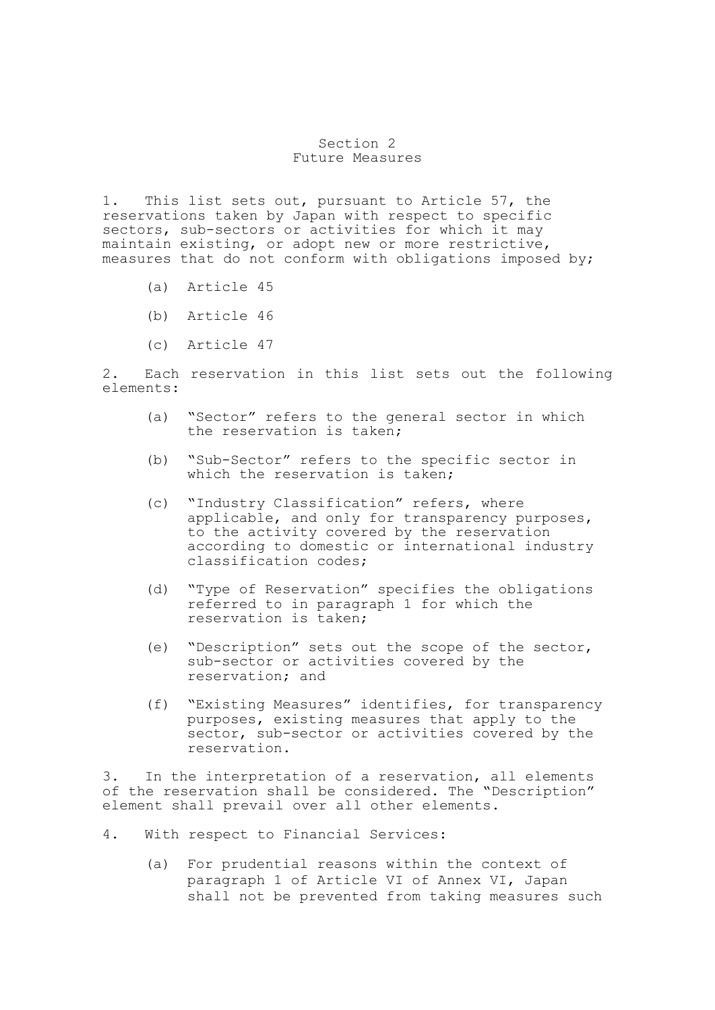## Section 2 Future Measures

1. This list sets out, pursuant to Article 57, the reservations taken by Japan with respect to specific sectors, sub-sectors or activities for which it may maintain existing, or adopt new or more restrictive, measures that do not conform with obligations imposed by;

- (a) Article 45
- (b) Article 46
- (c) Article 47

2. Each reservation in this list sets out the following elements:

- (a) "Sector" refers to the general sector in which the reservation is taken;
- (b) "Sub-Sector" refers to the specific sector in which the reservation is taken;
- (c) "Industry Classification" refers, where applicable, and only for transparency purposes, to the activity covered by the reservation according to domestic or international industry classification codes;
- (d) "Type of Reservation" specifies the obligations referred to in paragraph 1 for which the reservation is taken;
- (e) "Description" sets out the scope of the sector, sub-sector or activities covered by the reservation; and
- (f) "Existing Measures" identifies, for transparency purposes, existing measures that apply to the sector, sub-sector or activities covered by the reservation.

3. In the interpretation of a reservation, all elements of the reservation shall be considered. The "Description" element shall prevail over all other elements.

- 4. With respect to Financial Services:
	- (a) For prudential reasons within the context of paragraph 1 of Article VI of Annex VI, Japan shall not be prevented from taking measures such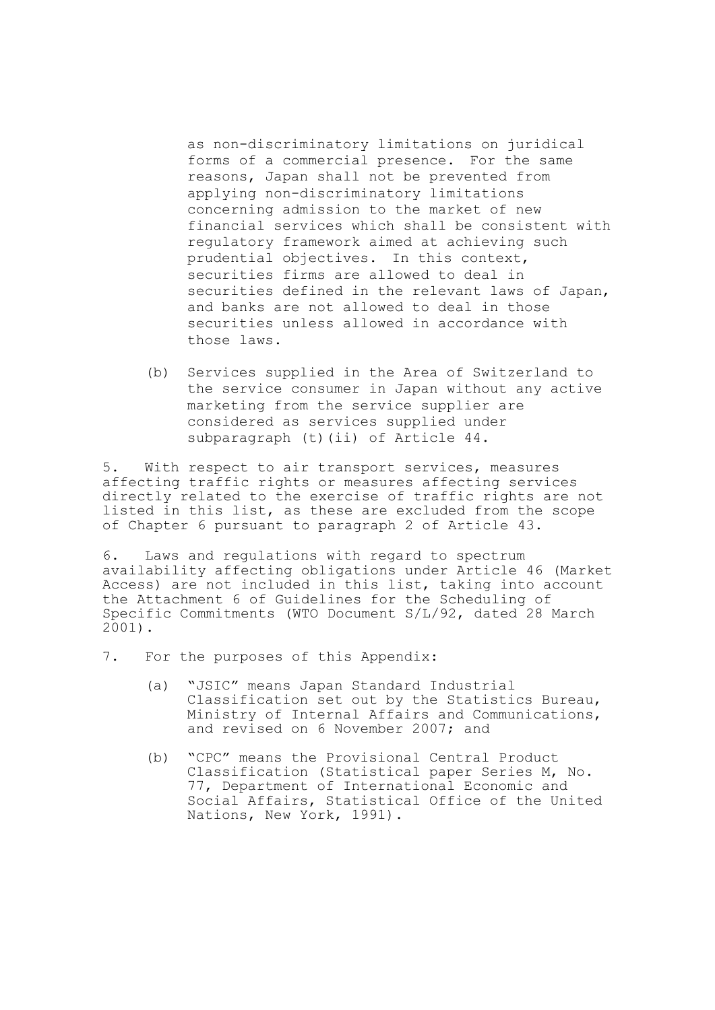as non-discriminatory limitations on juridical forms of a commercial presence. For the same reasons, Japan shall not be prevented from applying non-discriminatory limitations concerning admission to the market of new financial services which shall be consistent with regulatory framework aimed at achieving such prudential objectives. In this context, securities firms are allowed to deal in securities defined in the relevant laws of Japan, and banks are not allowed to deal in those securities unless allowed in accordance with those laws.

 (b) Services supplied in the Area of Switzerland to the service consumer in Japan without any active marketing from the service supplier are considered as services supplied under subparagraph (t)(ii) of Article 44.

5. With respect to air transport services, measures affecting traffic rights or measures affecting services directly related to the exercise of traffic rights are not listed in this list, as these are excluded from the scope of Chapter 6 pursuant to paragraph 2 of Article 43.

6. Laws and regulations with regard to spectrum availability affecting obligations under Article 46 (Market Access) are not included in this list, taking into account the Attachment 6 of Guidelines for the Scheduling of Specific Commitments (WTO Document S/L/92, dated 28 March 2001).

7. For the purposes of this Appendix:

- (a) "JSIC" means Japan Standard Industrial Classification set out by the Statistics Bureau, Ministry of Internal Affairs and Communications, and revised on 6 November 2007; and
- (b) "CPC" means the Provisional Central Product Classification (Statistical paper Series M, No. 77, Department of International Economic and Social Affairs, Statistical Office of the United Nations, New York, 1991).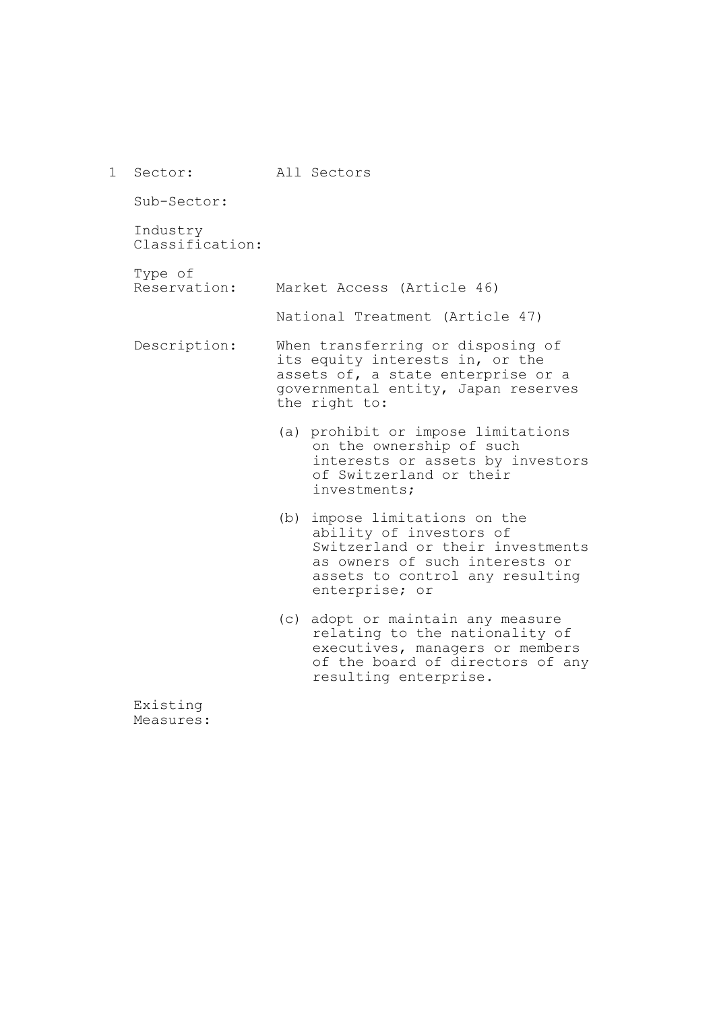| $\mathbf 1$ | Sector:                     | All Sectors                                                                                                                                                                            |
|-------------|-----------------------------|----------------------------------------------------------------------------------------------------------------------------------------------------------------------------------------|
|             | Sub-Sector:                 |                                                                                                                                                                                        |
|             | Industry<br>Classification: |                                                                                                                                                                                        |
|             | Type of<br>Reservation:     | Market Access (Article 46)                                                                                                                                                             |
|             |                             | National Treatment (Article 47)                                                                                                                                                        |
|             | Description:                | When transferring or disposing of<br>its equity interests in, or the<br>assets of, a state enterprise or a<br>governmental entity, Japan reserves<br>the right to:                     |
|             |                             | (a) prohibit or impose limitations<br>on the ownership of such<br>interests or assets by investors<br>of Switzerland or their<br>investments;                                          |
|             |                             | (b)<br>impose limitations on the<br>ability of investors of<br>Switzerland or their investments<br>as owners of such interests or<br>assets to control any resulting<br>enterprise; or |
|             |                             | adopt or maintain any measure<br>(C)<br>relating to the nationality of<br>executives, managers or members<br>of the board of directors of any<br>resulting enterprise.                 |

Existing Measures: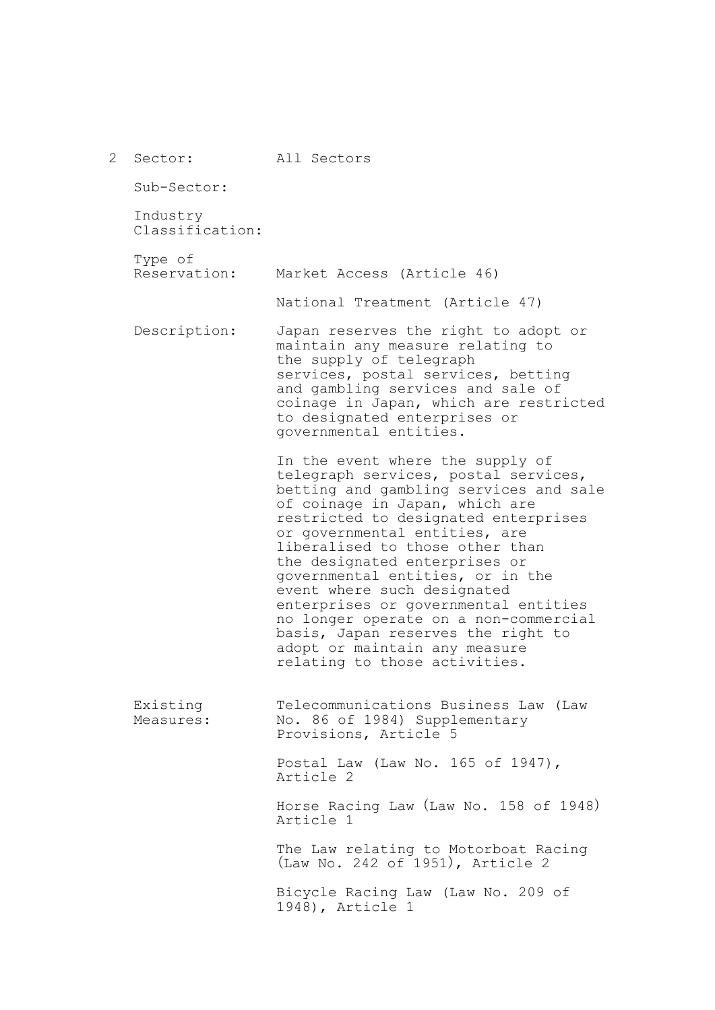| 2 | Sector:                     | All Sectors                                                                                                                                                                                                                                                                                                                                                                                                                                                                                                                                                   |
|---|-----------------------------|---------------------------------------------------------------------------------------------------------------------------------------------------------------------------------------------------------------------------------------------------------------------------------------------------------------------------------------------------------------------------------------------------------------------------------------------------------------------------------------------------------------------------------------------------------------|
|   | Sub-Sector:                 |                                                                                                                                                                                                                                                                                                                                                                                                                                                                                                                                                               |
|   | Industry<br>Classification: |                                                                                                                                                                                                                                                                                                                                                                                                                                                                                                                                                               |
|   | Type of<br>Reservation:     | Market Access (Article 46)                                                                                                                                                                                                                                                                                                                                                                                                                                                                                                                                    |
|   |                             | National Treatment (Article 47)                                                                                                                                                                                                                                                                                                                                                                                                                                                                                                                               |
|   | Description:                | Japan reserves the right to adopt or<br>maintain any measure relating to<br>the supply of telegraph<br>services, postal services, betting<br>and gambling services and sale of<br>coinage in Japan, which are restricted<br>to designated enterprises or<br>governmental entities.                                                                                                                                                                                                                                                                            |
|   |                             | In the event where the supply of<br>telegraph services, postal services,<br>betting and gambling services and sale<br>of coinage in Japan, which are<br>restricted to designated enterprises<br>or governmental entities, are<br>liberalised to those other than<br>the designated enterprises or<br>governmental entities, or in the<br>event where such designated<br>enterprises or governmental entities<br>no longer operate on a non-commercial<br>basis, Japan reserves the right to<br>adopt or maintain any measure<br>relating to those activities. |
|   | Existing<br>Measures:       | Telecommunications Business Law (Law<br>No. 86 of 1984) Supplementary<br>Provisions, Article 5                                                                                                                                                                                                                                                                                                                                                                                                                                                                |
|   |                             | Postal Law (Law No. 165 of 1947),<br>Article 2                                                                                                                                                                                                                                                                                                                                                                                                                                                                                                                |
|   |                             | Horse Racing Law (Law No. 158 of 1948)<br>Article 1                                                                                                                                                                                                                                                                                                                                                                                                                                                                                                           |
|   |                             | The Law relating to Motorboat Racing<br>(Law No. 242 of 1951), Article 2                                                                                                                                                                                                                                                                                                                                                                                                                                                                                      |
|   |                             | Bicycle Racing Law (Law No. 209 of<br>1948), Article 1                                                                                                                                                                                                                                                                                                                                                                                                                                                                                                        |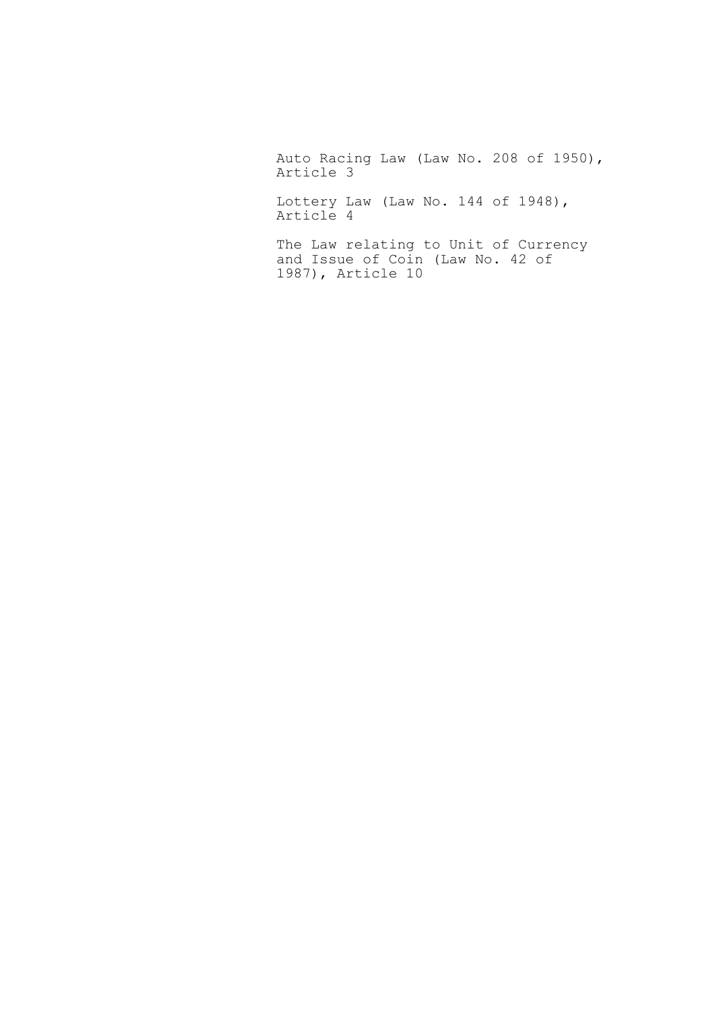Auto Racing Law (Law No. 208 of 1950), Article 3

Lottery Law (Law No. 144 of 1948), Article 4

The Law relating to Unit of Currency and Issue of Coin (Law No. 42 of 1987), Article 10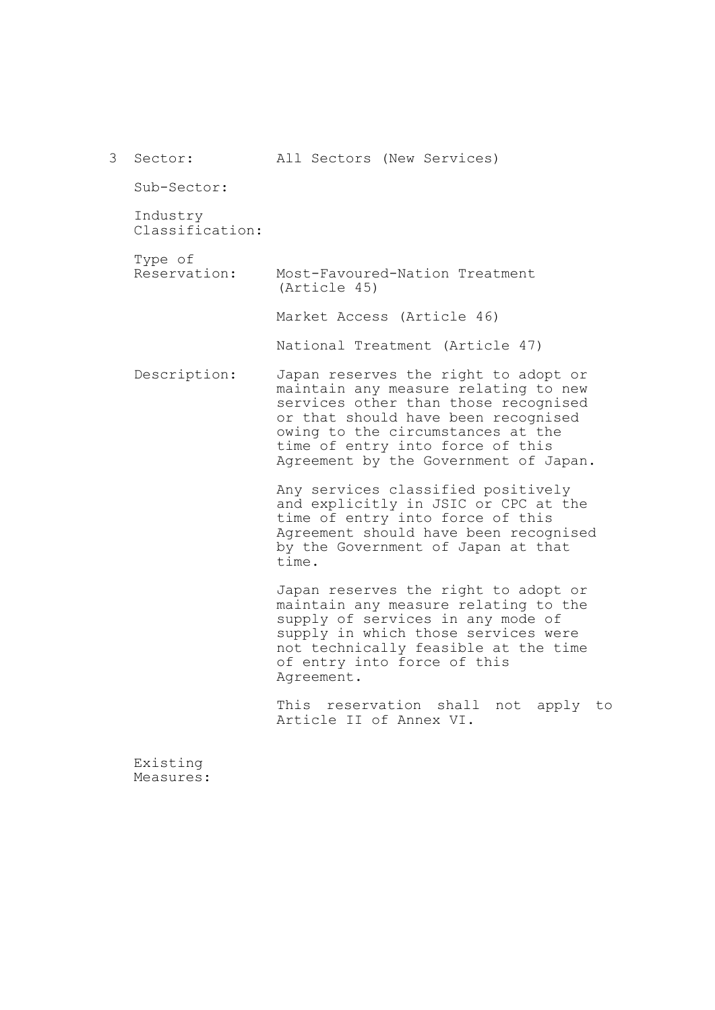| 3 | Sector:                     | All Sectors (New Services)                                                                                                                                                                                                                                                    |
|---|-----------------------------|-------------------------------------------------------------------------------------------------------------------------------------------------------------------------------------------------------------------------------------------------------------------------------|
|   | Sub-Sector:                 |                                                                                                                                                                                                                                                                               |
|   | Industry<br>Classification: |                                                                                                                                                                                                                                                                               |
|   | Type of<br>Reservation:     | Most-Favoured-Nation Treatment<br>(Article 45)                                                                                                                                                                                                                                |
|   |                             | Market Access (Article 46)                                                                                                                                                                                                                                                    |
|   |                             | National Treatment (Article 47)                                                                                                                                                                                                                                               |
|   | Description:                | Japan reserves the right to adopt or<br>maintain any measure relating to new<br>services other than those recognised<br>or that should have been recognised<br>owing to the circumstances at the<br>time of entry into force of this<br>Agreement by the Government of Japan. |
|   |                             | Any services classified positively<br>and explicitly in JSIC or CPC at the<br>time of entry into force of this<br>Agreement should have been recognised<br>by the Government of Japan at that<br>time.                                                                        |
|   |                             | Japan reserves the right to adopt or<br>maintain any measure relating to the<br>supply of services in any mode of<br>supply in which those services were<br>not technically feasible at the time<br>of entry into force of this<br>Agreement.                                 |
|   |                             | This reservation shall<br>not apply to<br>Article II of Annex VI.                                                                                                                                                                                                             |
|   | Existing                    |                                                                                                                                                                                                                                                                               |

Measures: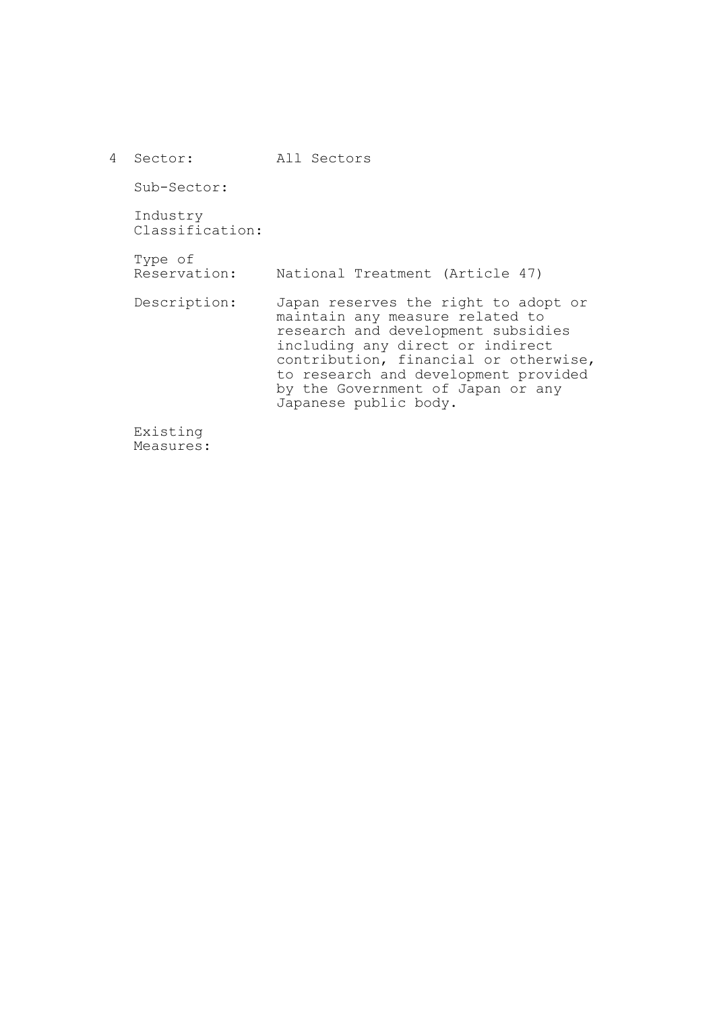| 4 | Sector:                     | All Sectors                                                                                                                                                                                                                                                                                      |
|---|-----------------------------|--------------------------------------------------------------------------------------------------------------------------------------------------------------------------------------------------------------------------------------------------------------------------------------------------|
|   | Sub-Sector:                 |                                                                                                                                                                                                                                                                                                  |
|   | Industry<br>Classification: |                                                                                                                                                                                                                                                                                                  |
|   | Type of<br>Reservation:     | National Treatment (Article 47)                                                                                                                                                                                                                                                                  |
|   | Description:                | Japan reserves the right to adopt or<br>maintain any measure related to<br>research and development subsidies<br>including any direct or indirect<br>contribution, financial or otherwise,<br>to research and development provided<br>by the Government of Japan or any<br>Japanese public body. |
|   | Existing                    |                                                                                                                                                                                                                                                                                                  |

Measures: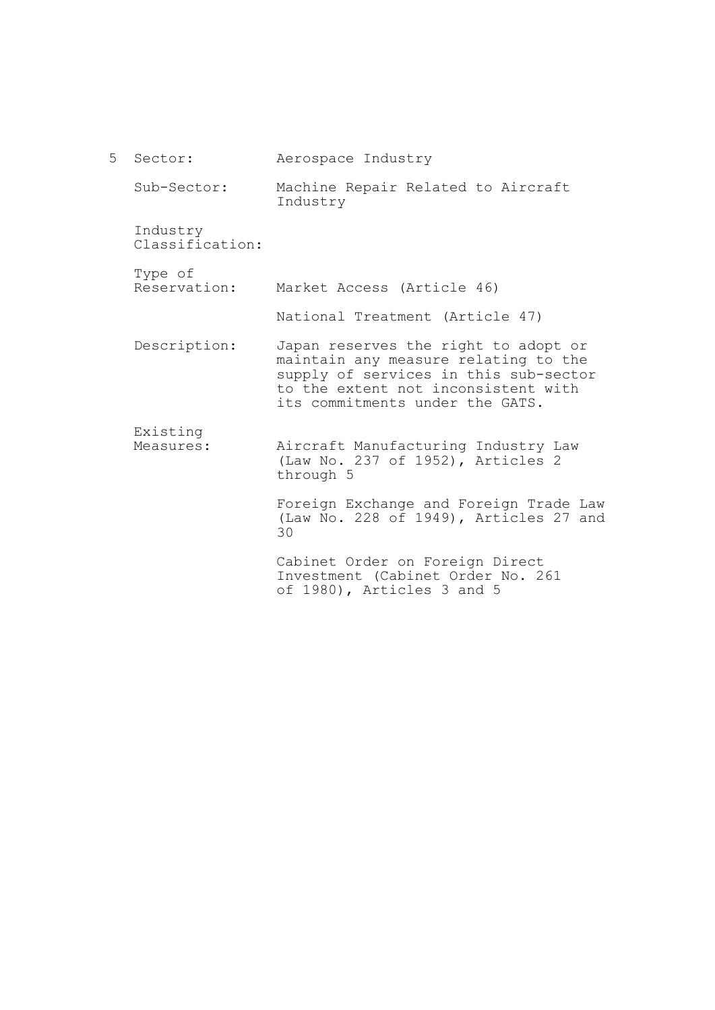| $5 -$ | Sector:                     | Aerospace Industry                                                                                                                                                                              |
|-------|-----------------------------|-------------------------------------------------------------------------------------------------------------------------------------------------------------------------------------------------|
|       | Sub-Sector:                 | Machine Repair Related to Aircraft<br>Industry                                                                                                                                                  |
|       | Industry<br>Classification: |                                                                                                                                                                                                 |
|       | Type of<br>Reservation:     | Market Access (Article 46)                                                                                                                                                                      |
|       |                             | National Treatment (Article 47)                                                                                                                                                                 |
|       | Description:                | Japan reserves the right to adopt or<br>maintain any measure relating to the<br>supply of services in this sub-sector<br>to the extent not inconsistent with<br>its commitments under the GATS. |
|       | Existing<br>Measures:       | Aircraft Manufacturing Industry Law<br>(Law No. 237 of 1952), Articles 2<br>through 5                                                                                                           |
|       |                             | Foreign Exchange and Foreign Trade Law<br>(Law No. 228 of 1949), Articles 27 and<br>30                                                                                                          |
|       |                             | Cabinet Order on Foreign Direct<br>Investment (Cabinet Order No. 261                                                                                                                            |

of 1980), Articles 3 and 5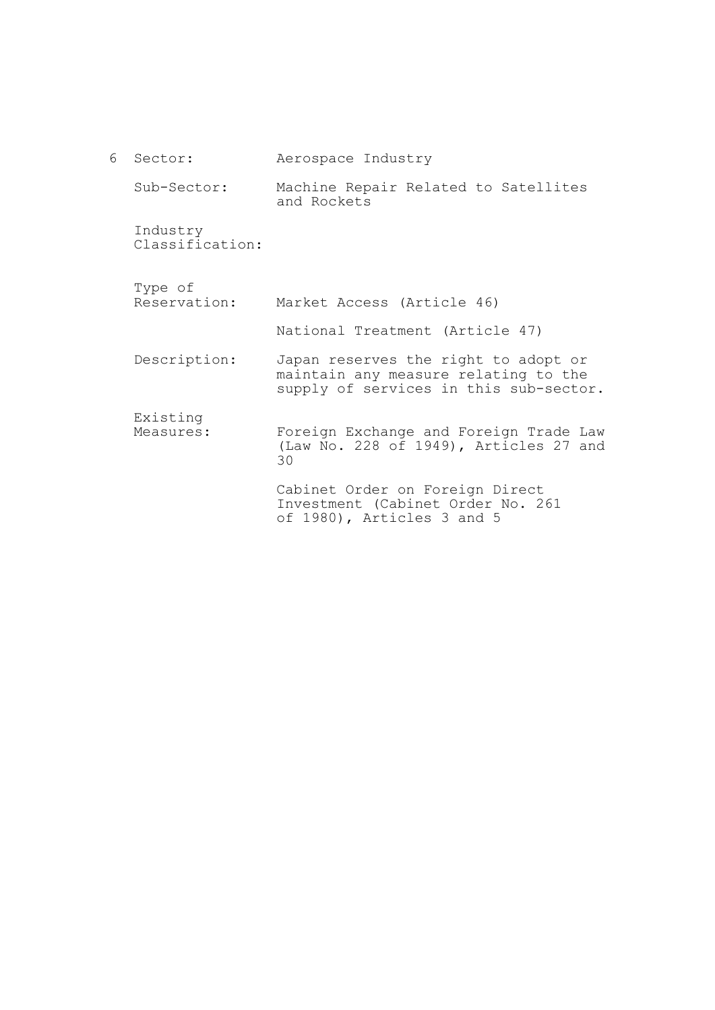| 6 | Sector:                     | Aerospace Industry                                                                                                     |
|---|-----------------------------|------------------------------------------------------------------------------------------------------------------------|
|   | Sub-Sector:                 | Machine Repair Related to Satellites<br>and Rockets                                                                    |
|   | Industry<br>Classification: |                                                                                                                        |
|   | Type of                     |                                                                                                                        |
|   | Reservation:                | Market Access (Article 46)                                                                                             |
|   |                             | National Treatment (Article 47)                                                                                        |
|   | Description:                | Japan reserves the right to adopt or<br>maintain any measure relating to the<br>supply of services in this sub-sector. |
|   | Existing                    |                                                                                                                        |
|   | Measures:                   | Foreign Exchange and Foreign Trade Law<br>(Law No. 228 of 1949), Articles 27 and<br>30                                 |
|   |                             | Cabinet Order on Foreign Direct<br>Investment (Cabinet Order No. 261<br>of 1980), Articles 3 and 5                     |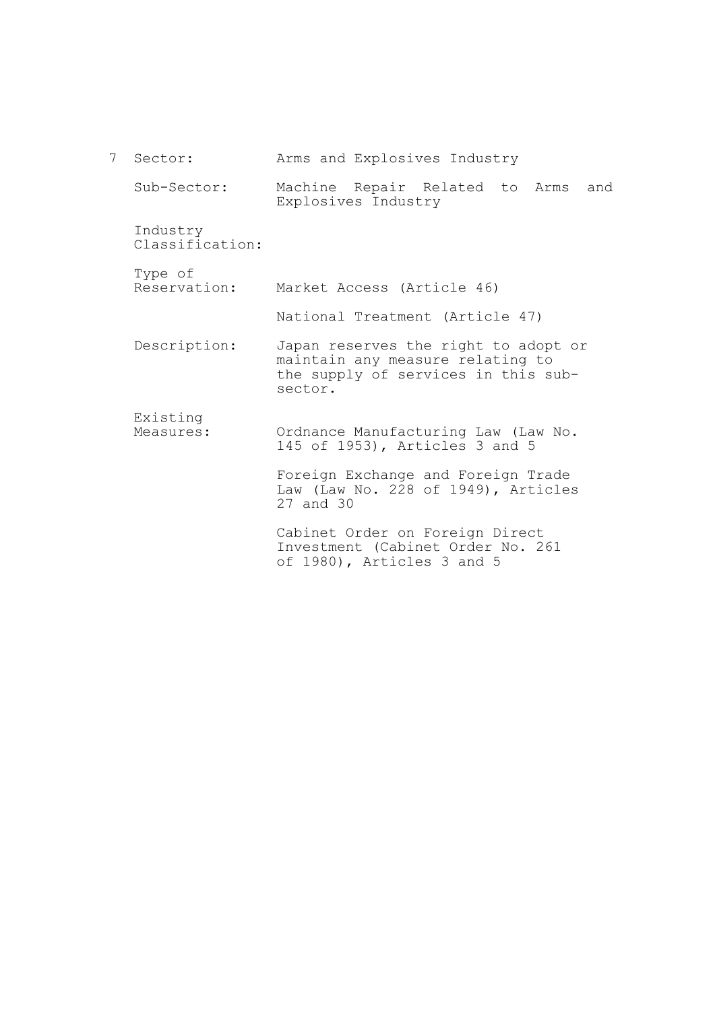| 7 <sup>7</sup> | Sector:                     | Arms and Explosives Industry                                                                                               |
|----------------|-----------------------------|----------------------------------------------------------------------------------------------------------------------------|
|                | Sub-Sector:                 | Machine Repair Related to Arms<br>and<br>Explosives Industry                                                               |
|                | Industry<br>Classification: |                                                                                                                            |
|                | Type of<br>Reservation:     | Market Access (Article 46)                                                                                                 |
|                |                             | National Treatment (Article 47)                                                                                            |
|                | Description:                | Japan reserves the right to adopt or<br>maintain any measure relating to<br>the supply of services in this sub-<br>sector. |
|                | Existing<br>Measures:       | Ordnance Manufacturing Law (Law No.<br>145 of 1953), Articles 3 and 5                                                      |
|                |                             | Foreign Exchange and Foreign Trade<br>Law (Law No. 228 of 1949), Articles<br>27 and 30                                     |
|                |                             | Cabinet Order on Foreign Direct<br>Investment (Cabinet Order No. 261<br>of 1980), Articles 3 and 5                         |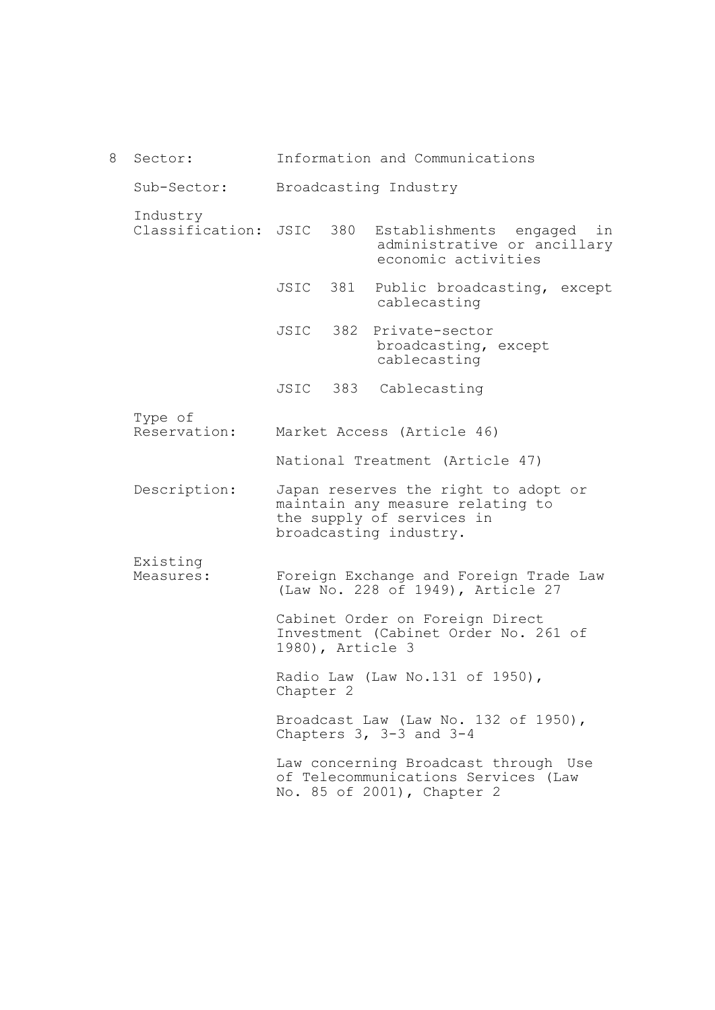| 8 | Sector:                     |                  | Information and Communications                                                                                                  |
|---|-----------------------------|------------------|---------------------------------------------------------------------------------------------------------------------------------|
|   | Sub-Sector:                 |                  | Broadcasting Industry                                                                                                           |
|   | Industry<br>Classification: | JSIC 380         | Establishments engaged<br>in<br>administrative or ancillary<br>economic activities                                              |
|   |                             | JSIC 381         | Public broadcasting, except<br>cablecasting                                                                                     |
|   |                             | JSIC 382         | Private-sector<br>broadcasting, except<br>cablecasting                                                                          |
|   |                             |                  | JSIC 383 Cablecasting                                                                                                           |
|   | Type of<br>Reservation:     |                  | Market Access (Article 46)                                                                                                      |
|   |                             |                  | National Treatment (Article 47)                                                                                                 |
|   | Description:                |                  | Japan reserves the right to adopt or<br>maintain any measure relating to<br>the supply of services in<br>broadcasting industry. |
|   | Existing<br>Measures:       |                  | Foreign Exchange and Foreign Trade Law<br>(Law No. 228 of 1949), Article 27                                                     |
|   |                             | 1980), Article 3 | Cabinet Order on Foreign Direct<br>Investment (Cabinet Order No. 261 of                                                         |
|   |                             | Chapter 2        | Radio Law (Law No.131 of 1950),                                                                                                 |
|   |                             |                  | Broadcast Law (Law No. 132 of 1950),<br>Chapters $3, 3-3$ and $3-4$                                                             |
|   |                             |                  | Law concerning Broadcast through Use<br>of Telecommunications Services (Law<br>No. 85 of 2001), Chapter 2                       |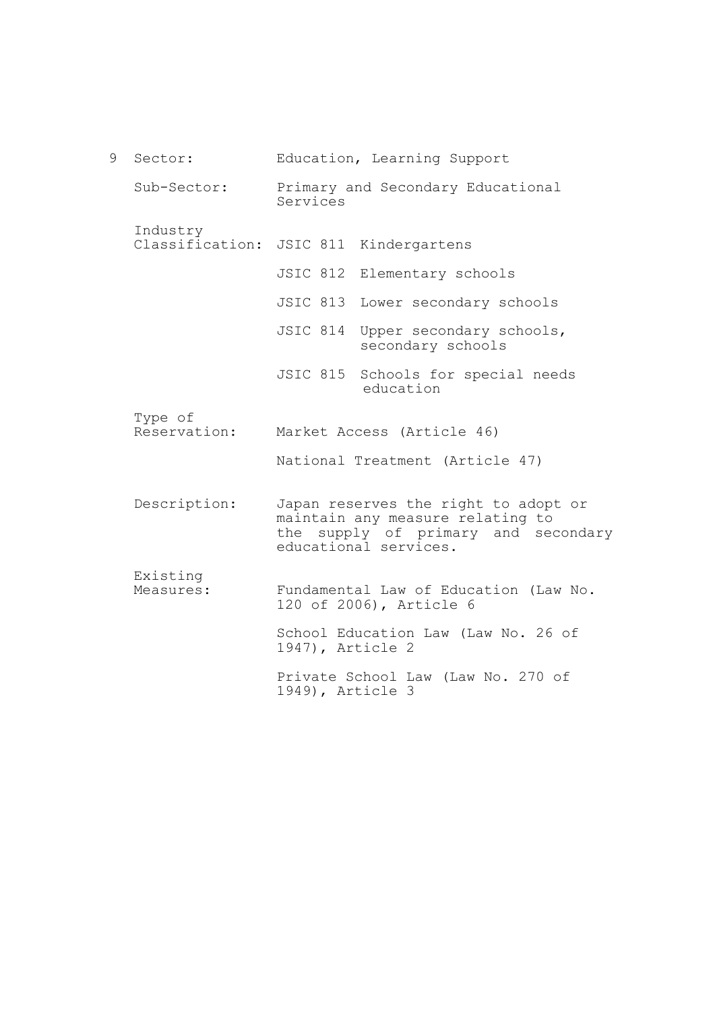9 Sector: Sub-Sector: Industry Classification: JSIC 811 Kindergartens Type of Reservation: Description: Existing Measures: Education, Learning Support Primary and Secondary Educational Services JSIC 812 Elementary schools JSIC 813 Lower secondary schools JSIC 814 Upper secondary schools, secondary schools JSIC 815 Schools for special needs education Market Access (Article 46) National Treatment (Article 47) Japan reserves the right to adopt or maintain any measure relating to the supply of primary and secondary educational services. Fundamental Law of Education (Law No. 120 of 2006), Article 6 School Education Law (Law No. 26 of 1947), Article 2 Private School Law (Law No. 270 of 1949), Article 3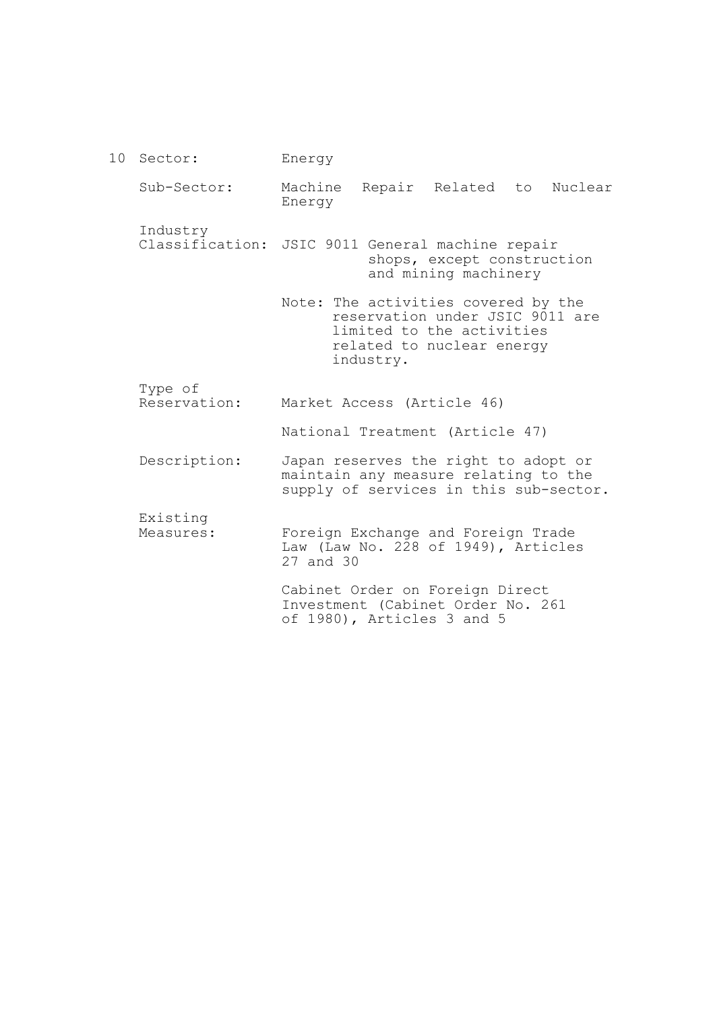10 Sector: Sub-Sector: Industry Classification: JSIC 9011 General machine repair Type of Reservation: Description: Existing Measures: Energy Machine Repair Related to Nuclear Energy shops, except construction and mining machinery Note: The activities covered by the reservation under JSIC 9011 are limited to the activities related to nuclear energy industry. Market Access (Article 46) National Treatment (Article 47) Japan reserves the right to adopt or maintain any measure relating to the supply of services in this sub-sector. Foreign Exchange and Foreign Trade Law (Law No. 228 of 1949), Articles 27 and 30 Cabinet Order on Foreign Direct Investment (Cabinet Order No. 261 of 1980), Articles 3 and 5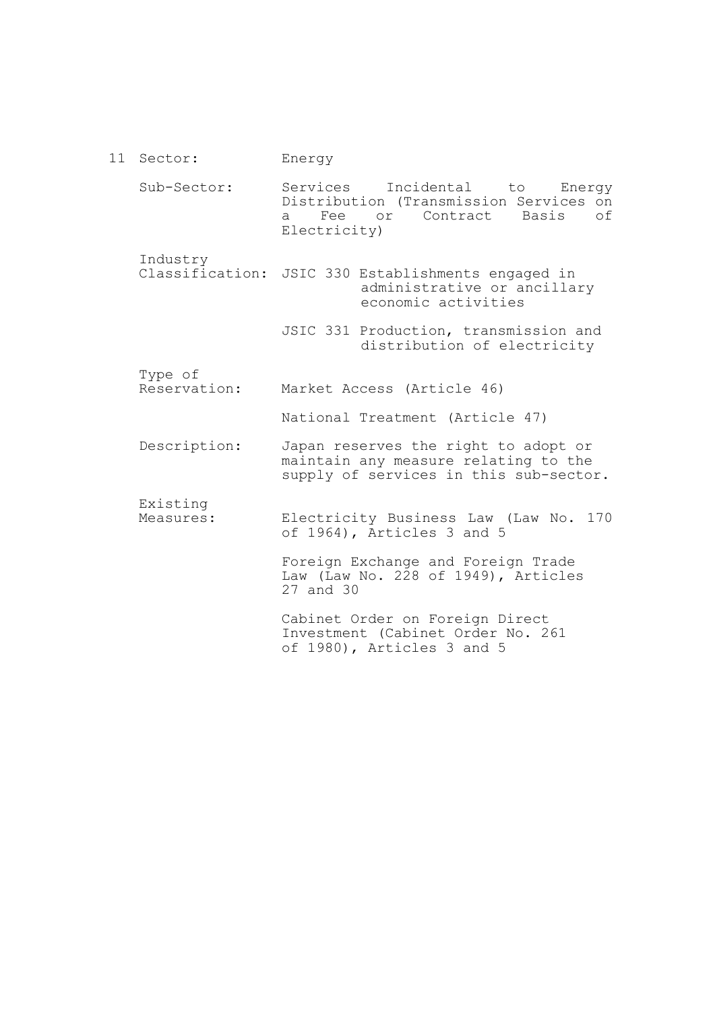11 Sector: Sub-Sector: Industry Classification: JSIC 330 Establishments engaged in Type of Reservation: Description: Existing Measures: Energy Services Incidental to Energy Distribution (Transmission Services on<br>a Fee or Contract Basis of a Fee or Contract Electricity) administrative or ancillary economic activities JSIC 331 Production, transmission and distribution of electricity Market Access (Article 46) National Treatment (Article 47) Japan reserves the right to adopt or maintain any measure relating to the supply of services in this sub-sector. Electricity Business Law (Law No. 170 of 1964), Articles 3 and 5 Foreign Exchange and Foreign Trade Law (Law No. 228 of 1949), Articles 27 and 30 Cabinet Order on Foreign Direct Investment (Cabinet Order No. 261 of 1980), Articles 3 and 5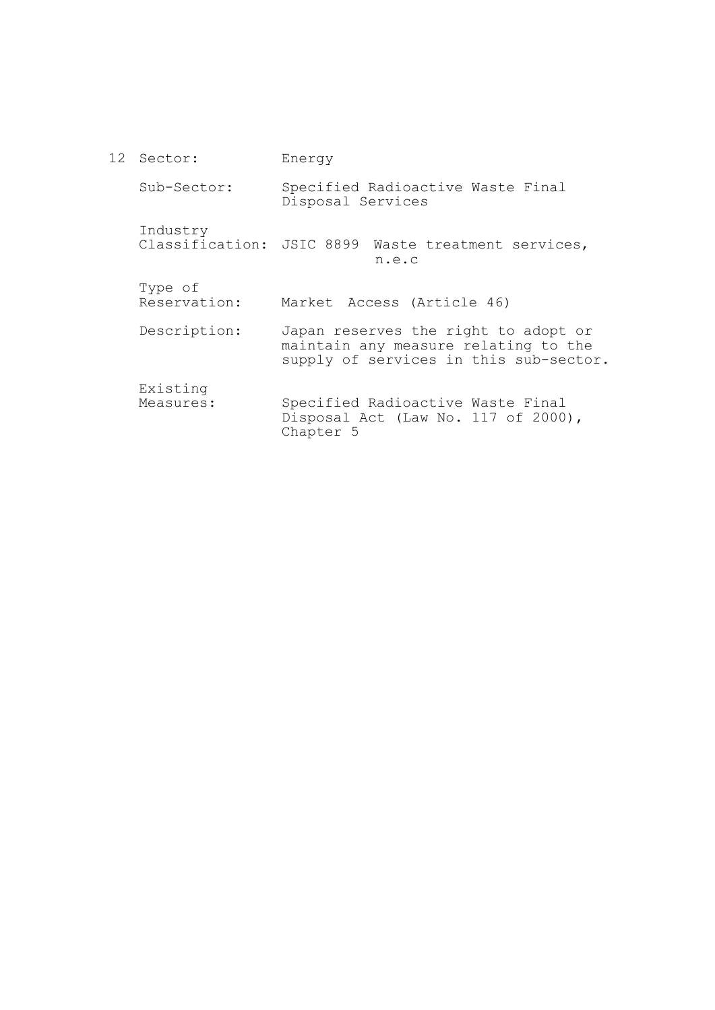12 Sector: Sub-Sector: Industry Classification: JSIC 8899 Waste treatment services, Type of Reservation: Description: Existing Measures: Energy Specified Radioactive Waste Final Disposal Services n.e.c Market Access (Article 46) Japan reserves the right to adopt or maintain any measure relating to the supply of services in this sub-sector. Specified Radioactive Waste Final Disposal Act (Law No. 117 of 2000), Chapter 5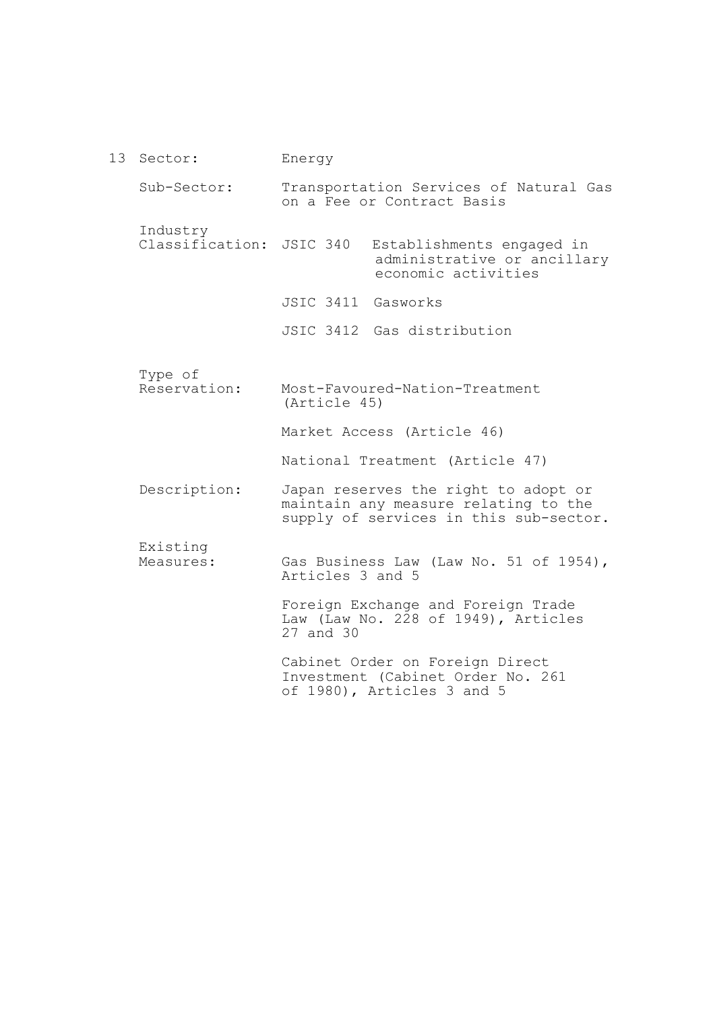13 Sector: Sub-Sector: Industry Classification: JSIC 340 Type of Reservation: Description: Existing Measures: Energy Transportation Services of Natural Gas on a Fee or Contract Basis Establishments engaged in administrative or ancillary economic activities JSIC 3411 Gasworks JSIC 3412 Gas distribution Most-Favoured-Nation-Treatment (Article 45) Market Access (Article 46) National Treatment (Article 47) Japan reserves the right to adopt or maintain any measure relating to the supply of services in this sub-sector. Gas Business Law (Law No. 51 of 1954), Articles 3 and 5 Foreign Exchange and Foreign Trade Law (Law No.  $2\overline{2}8$  of 1949), Articles 27 and 30 Cabinet Order on Foreign Direct Investment (Cabinet Order No. 261 of 1980), Articles 3 and 5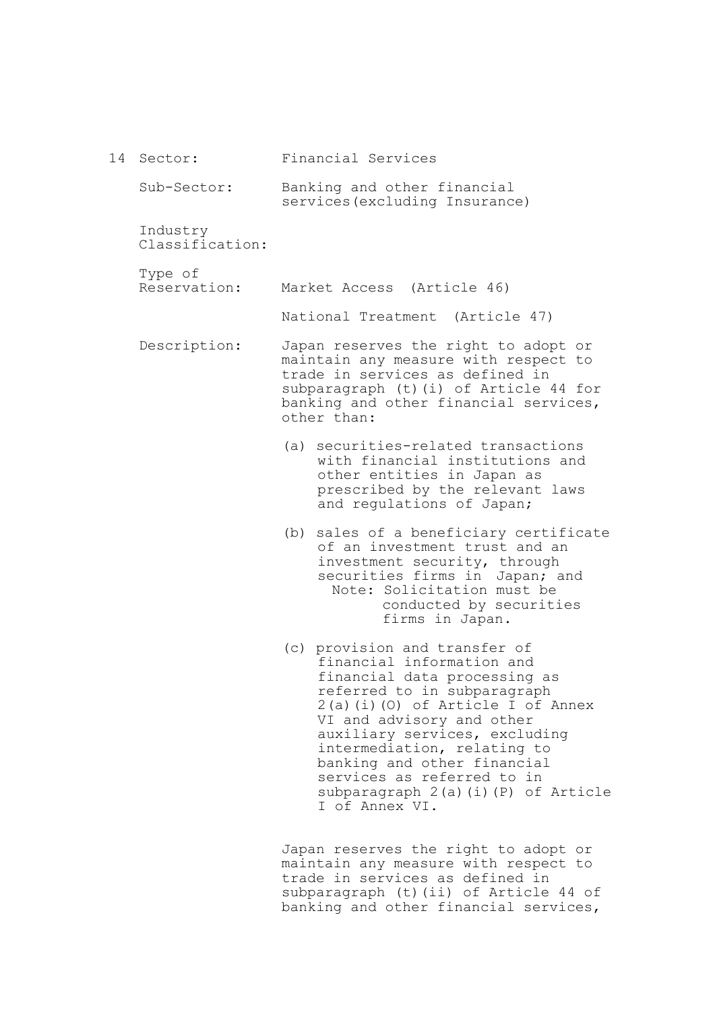| 14 | Sector:                     | Financial Services                                                                                                                                                                                                                                                                                                                                                                |
|----|-----------------------------|-----------------------------------------------------------------------------------------------------------------------------------------------------------------------------------------------------------------------------------------------------------------------------------------------------------------------------------------------------------------------------------|
|    | Sub-Sector:                 | Banking and other financial<br>services (excluding Insurance)                                                                                                                                                                                                                                                                                                                     |
|    | Industry<br>Classification: |                                                                                                                                                                                                                                                                                                                                                                                   |
|    | Type of<br>Reservation:     | Market Access (Article 46)                                                                                                                                                                                                                                                                                                                                                        |
|    |                             | National Treatment (Article 47)                                                                                                                                                                                                                                                                                                                                                   |
|    | Description:                | Japan reserves the right to adopt or<br>maintain any measure with respect to<br>trade in services as defined in<br>subparagraph (t) (i) of Article 44 for<br>banking and other financial services,<br>other than:                                                                                                                                                                 |
|    |                             | (a) securities-related transactions<br>with financial institutions and<br>other entities in Japan as<br>prescribed by the relevant laws<br>and regulations of Japan;                                                                                                                                                                                                              |
|    |                             | sales of a beneficiary certificate<br>(b)<br>of an investment trust and an<br>investment security, through<br>securities firms in Japan; and<br>Note: Solicitation must be<br>conducted by securities<br>firms in Japan.                                                                                                                                                          |
|    |                             | (c) provision and transfer of<br>financial information and<br>financial data processing as<br>referred to in subparagraph<br>$2(a)(i)(0)$ of Article I of Annex<br>VI and advisory and other<br>auxiliary services, excluding<br>intermediation, relating to<br>banking and other financial<br>services as referred to in<br>subparagraph 2(a)(i)(P) of Article<br>T of Annex VI. |
|    |                             | Japan reserves the right to adopt or<br>maintain any measure with respect to                                                                                                                                                                                                                                                                                                      |

trade in services as defined in subparagraph (t)(ii) of Article 44 of banking and other financial services,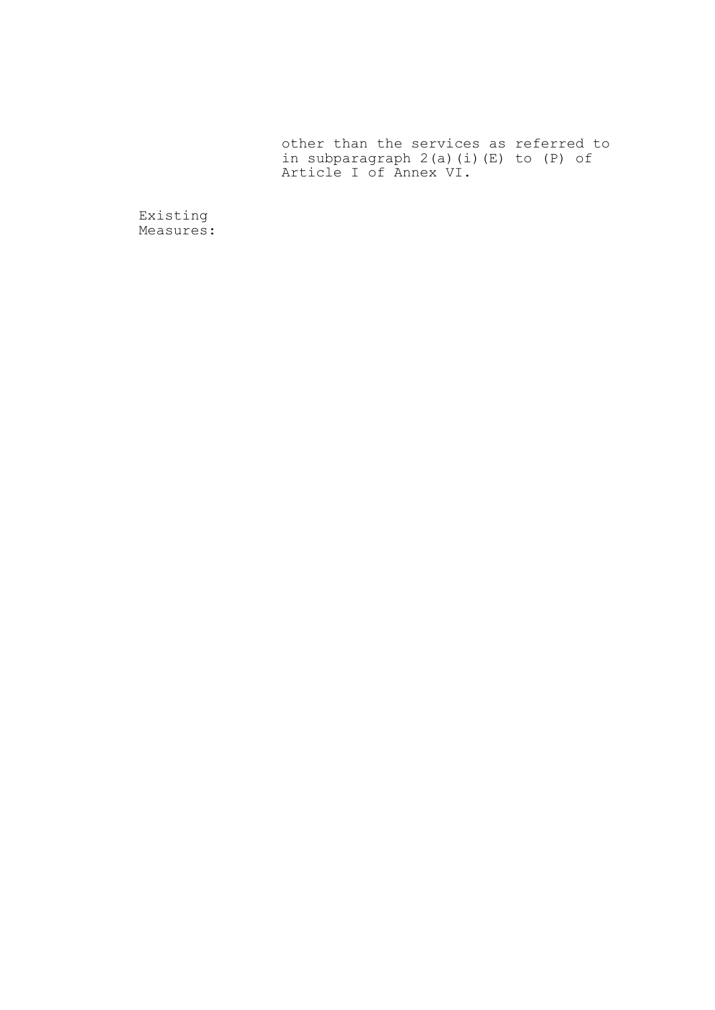other than the services as referred to in subparagraph 2(a)(i)(E) to (P) of Article I of Annex VI.

Existing Measures: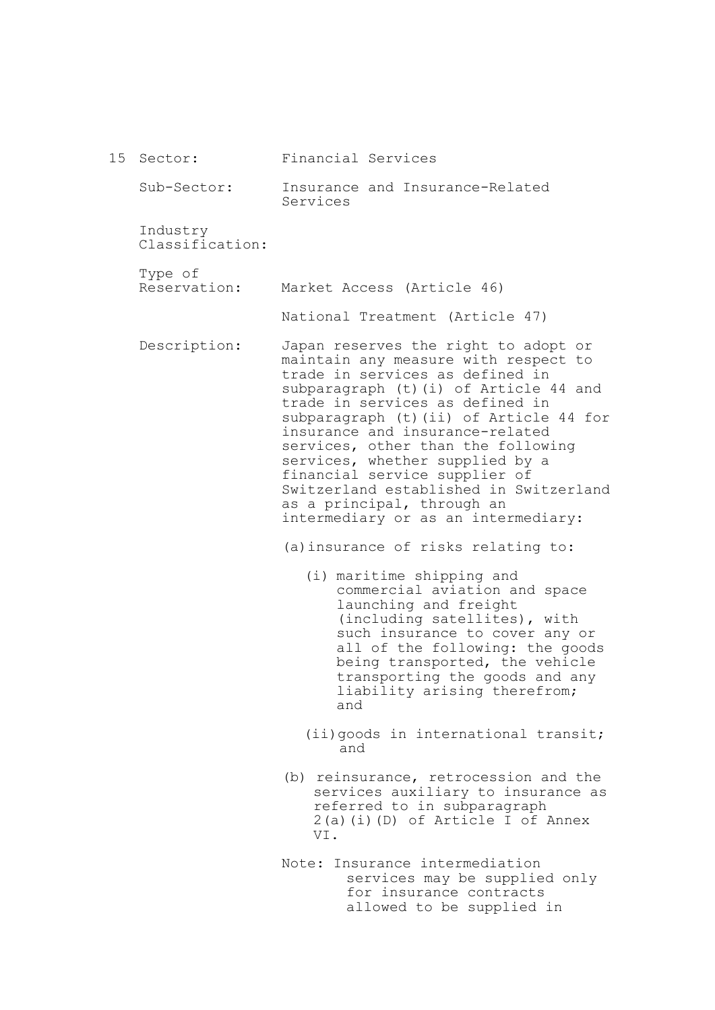| 15 | Sector:                     | Financial Services                                                                                                                                                                                                                                                                                                                                                                                                                                                                                  |
|----|-----------------------------|-----------------------------------------------------------------------------------------------------------------------------------------------------------------------------------------------------------------------------------------------------------------------------------------------------------------------------------------------------------------------------------------------------------------------------------------------------------------------------------------------------|
|    | Sub-Sector:                 | Insurance and Insurance-Related<br>Services                                                                                                                                                                                                                                                                                                                                                                                                                                                         |
|    | Industry<br>Classification: |                                                                                                                                                                                                                                                                                                                                                                                                                                                                                                     |
|    | Type of<br>Reservation:     | Market Access (Article 46)                                                                                                                                                                                                                                                                                                                                                                                                                                                                          |
|    |                             | National Treatment (Article 47)                                                                                                                                                                                                                                                                                                                                                                                                                                                                     |
|    | Description:                | Japan reserves the right to adopt or<br>maintain any measure with respect to<br>trade in services as defined in<br>subparagraph (t) (i) of Article 44 and<br>trade in services as defined in<br>subparagraph (t) (ii) of Article 44 for<br>insurance and insurance-related<br>services, other than the following<br>services, whether supplied by a<br>financial service supplier of<br>Switzerland established in Switzerland<br>as a principal, through an<br>intermediary or as an intermediary: |
|    |                             | (a) insurance of risks relating to:                                                                                                                                                                                                                                                                                                                                                                                                                                                                 |
|    |                             | (i) maritime shipping and<br>commercial aviation and space<br>launching and freight<br>(including satellites), with<br>such insurance to cover any or<br>all of the following: the goods<br>being transported, the vehicle<br>transporting the goods and any<br>liability arising therefrom;<br>and                                                                                                                                                                                                 |
|    |                             | (ii) goods in international transit;<br>and                                                                                                                                                                                                                                                                                                                                                                                                                                                         |
|    |                             | (b) reinsurance, retrocession and the<br>services auxiliary to insurance as<br>referred to in subparagraph<br>$2(a)(i)(D)$ of Article I of Annex<br>VI.                                                                                                                                                                                                                                                                                                                                             |
|    |                             | Insurance intermediation<br>Note:<br>services may be supplied only<br>for insurance contracts<br>allowed to be supplied in                                                                                                                                                                                                                                                                                                                                                                          |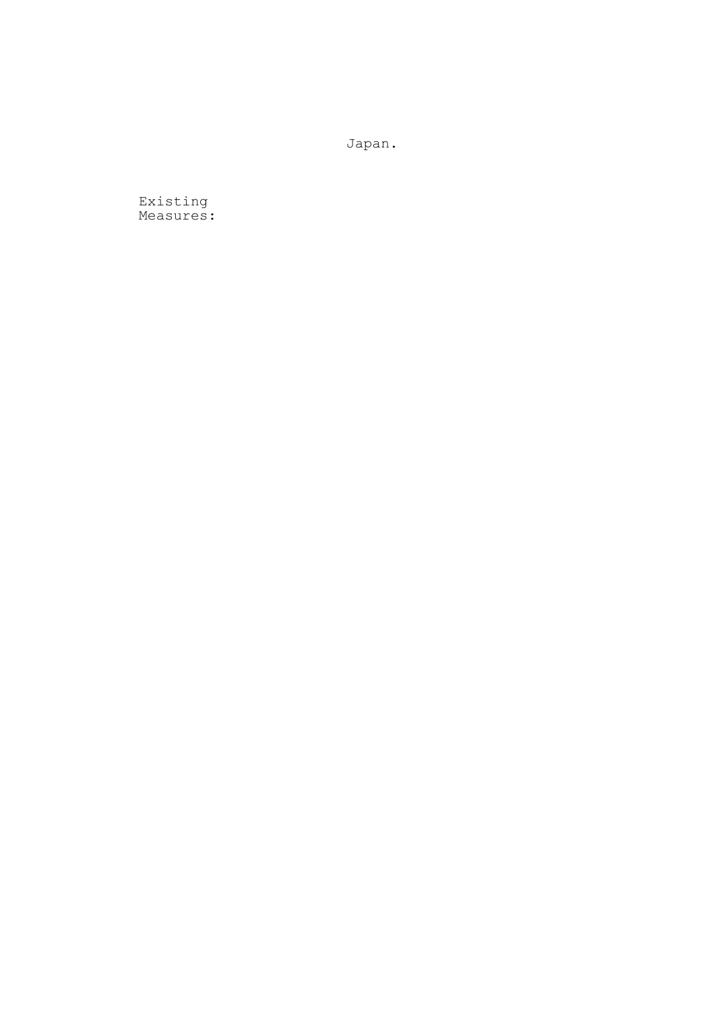Japan.

Existing Measures: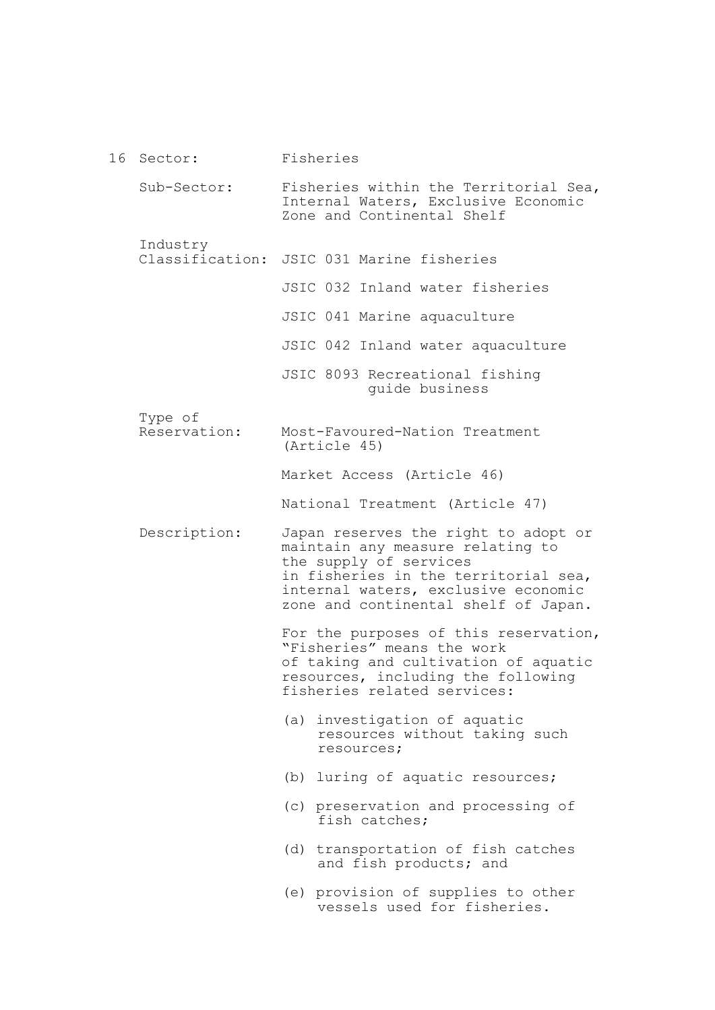| 16 Sector:                  | Fisheries                                                                                                                                                                                                                 |
|-----------------------------|---------------------------------------------------------------------------------------------------------------------------------------------------------------------------------------------------------------------------|
| Sub-Sector:                 | Fisheries within the Territorial Sea,<br>Internal Waters, Exclusive Economic<br>Zone and Continental Shelf                                                                                                                |
| Industry<br>Classification: | JSIC 031 Marine fisheries                                                                                                                                                                                                 |
|                             | JSIC 032 Inland water fisheries                                                                                                                                                                                           |
|                             | JSIC 041 Marine aquaculture                                                                                                                                                                                               |
|                             | JSIC 042 Inland water aquaculture                                                                                                                                                                                         |
|                             | JSIC 8093 Recreational fishing<br>quide business                                                                                                                                                                          |
| Type of<br>Reservation:     | Most-Favoured-Nation Treatment<br>(Article 45)                                                                                                                                                                            |
|                             | Market Access (Article 46)                                                                                                                                                                                                |
|                             | National Treatment (Article 47)                                                                                                                                                                                           |
| Description:                | Japan reserves the right to adopt or<br>maintain any measure relating to<br>the supply of services<br>in fisheries in the territorial sea,<br>internal waters, exclusive economic<br>zone and continental shelf of Japan. |
|                             | For the purposes of this reservation,<br>"Fisheries" means the work<br>of taking and cultivation of aquatic<br>resources, including the following<br>fisheries related services:                                          |
|                             | (a) investigation of aquatic<br>resources without taking such<br>resources;                                                                                                                                               |
|                             | (b) luring of aquatic resources;                                                                                                                                                                                          |
|                             | (c) preservation and processing of<br>fish catches;                                                                                                                                                                       |
|                             | (d) transportation of fish catches<br>and fish products; and                                                                                                                                                              |
|                             | (e) provision of supplies to other<br>vessels used for fisheries.                                                                                                                                                         |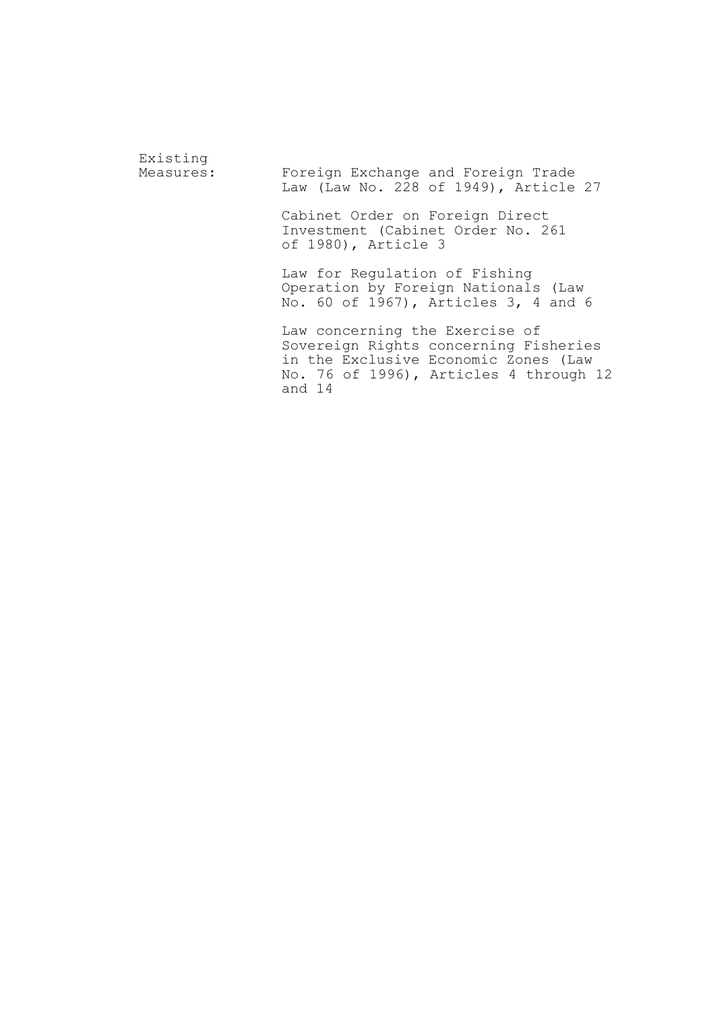Existing<br>Measures: Foreign Exchange and Foreign Trade Law (Law No. 228 of 1949), Article 27 Cabinet Order on Foreign Direct Investment (Cabinet Order No. 261 of 1980), Article 3 Law for Regulation of Fishing Operation by Foreign Nationals (Law No. 60 of 1967), Articles 3, 4 and 6 Law concerning the Exercise of Sovereign Rights concerning Fisheries in the Exclusive Economic Zones (Law No. 76 of 1996), Articles 4 through 12 and 14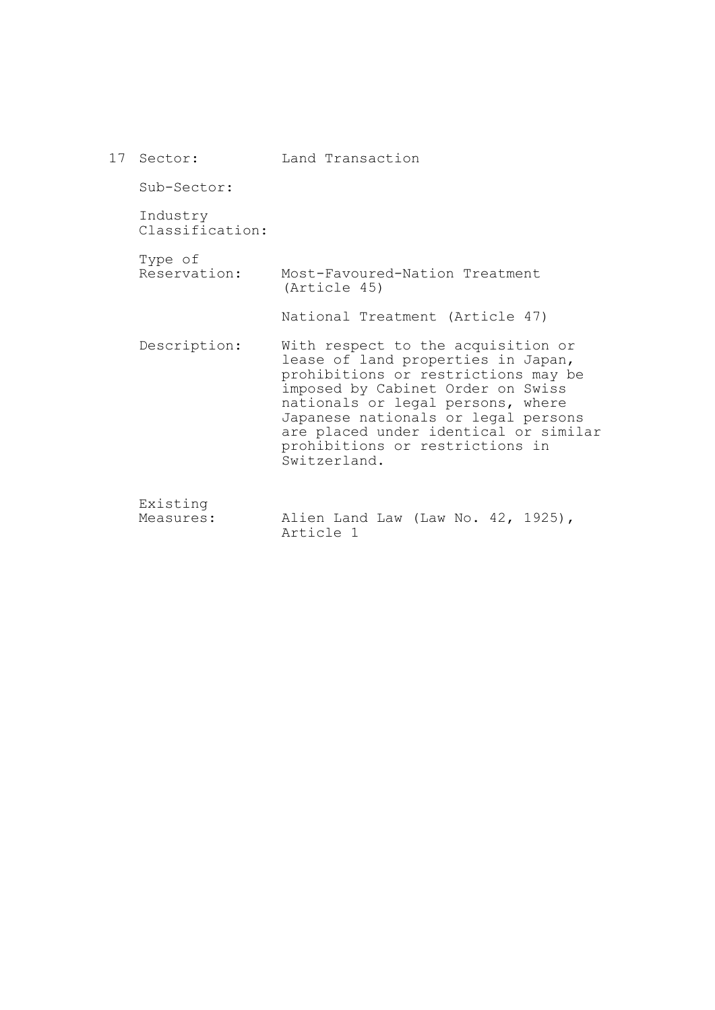| 17 Sector:                  | Land Transaction                                                                                                                                                                                                                                                                                                             |
|-----------------------------|------------------------------------------------------------------------------------------------------------------------------------------------------------------------------------------------------------------------------------------------------------------------------------------------------------------------------|
| Sub-Sector:                 |                                                                                                                                                                                                                                                                                                                              |
| Industry<br>Classification: |                                                                                                                                                                                                                                                                                                                              |
| Type of<br>Reservation:     | Most-Favoured-Nation Treatment<br>(Article 45)                                                                                                                                                                                                                                                                               |
|                             | National Treatment (Article 47)                                                                                                                                                                                                                                                                                              |
| Description:                | With respect to the acquisition or<br>lease of land properties in Japan,<br>prohibitions or restrictions may be<br>imposed by Cabinet Order on Swiss<br>nationals or legal persons, where<br>Japanese nationals or legal persons<br>are placed under identical or similar<br>prohibitions or restrictions in<br>Switzerland. |
| Existing<br>Measures:       | Alien Land Law (Law No. 42, 1925),<br>Article 1                                                                                                                                                                                                                                                                              |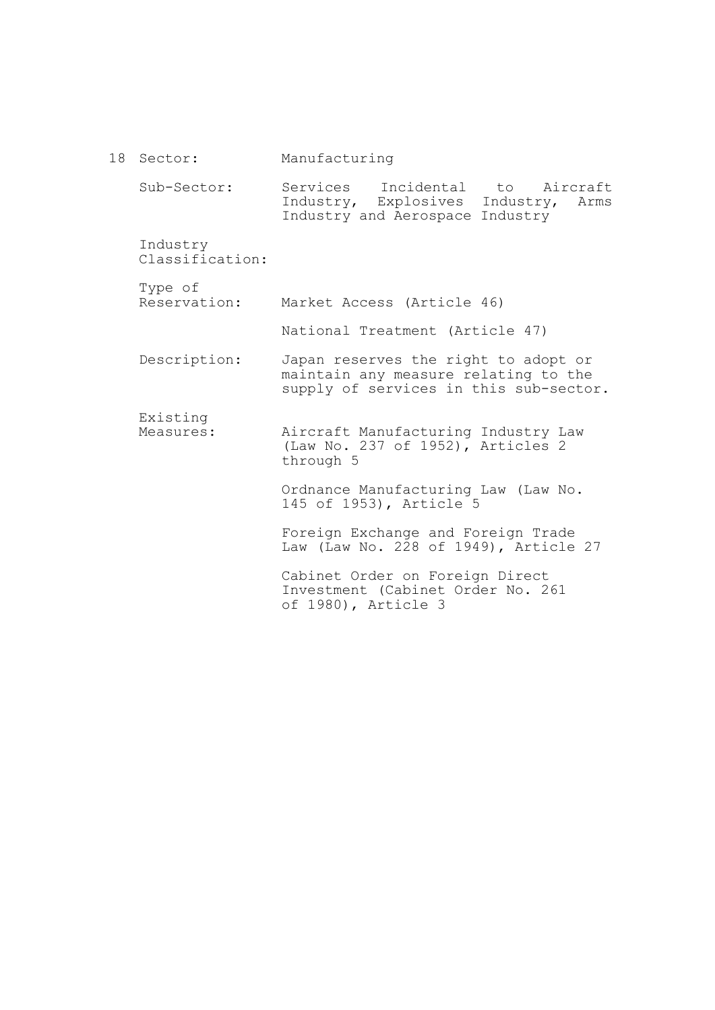18 Sector: Sub-Sector: Industry Classification: Type of Reservation: Market Access (Article 46) Description: Existing Measures: Manufacturing Services Incidental to Aircraft Industry, Explosives Industry, Arms Industry and Aerospace Industry National Treatment (Article 47) Japan reserves the right to adopt or maintain any measure relating to the supply of services in this sub-sector. Aircraft Manufacturing Industry Law (Law No. 237 of 1952), Articles 2 through 5 Ordnance Manufacturing Law (Law No. 145 of 1953), Article 5 Foreign Exchange and Foreign Trade Law (Law No. 228 of 1949), Article 27 Cabinet Order on Foreign Direct Investment (Cabinet Order No. 261 of 1980), Article 3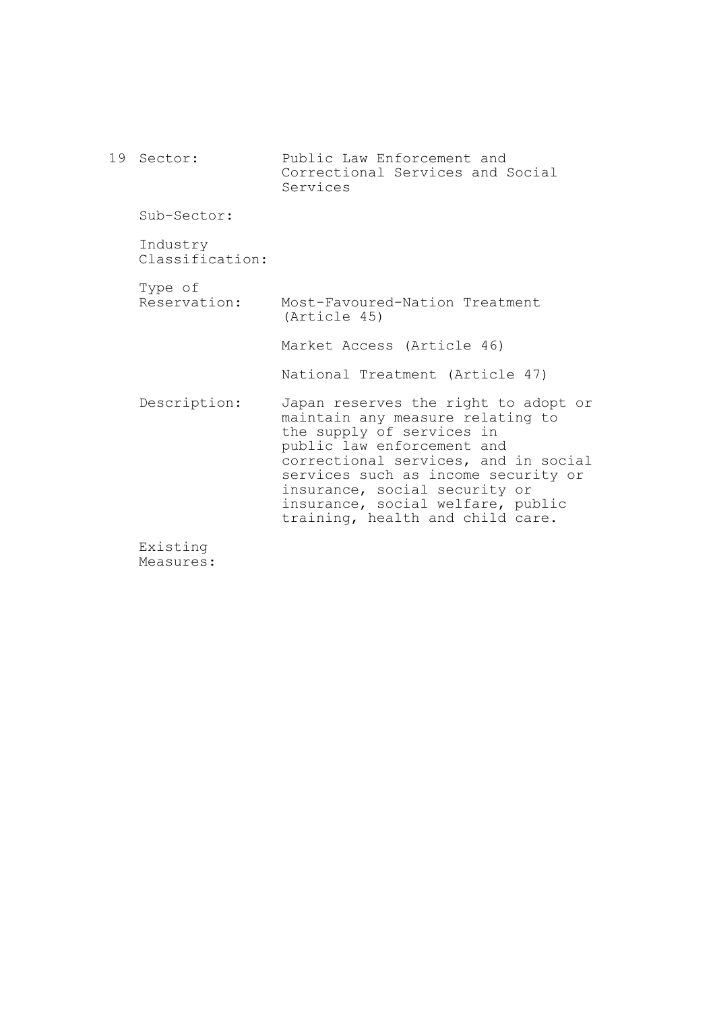|  | 19 Sector:                  | Public Law Enforcement and<br>Correctional Services and Social<br>Services                                                                                                                                                                                                                                                   |
|--|-----------------------------|------------------------------------------------------------------------------------------------------------------------------------------------------------------------------------------------------------------------------------------------------------------------------------------------------------------------------|
|  | Sub-Sector:                 |                                                                                                                                                                                                                                                                                                                              |
|  | Industry<br>Classification: |                                                                                                                                                                                                                                                                                                                              |
|  | Type of<br>Reservation:     | Most-Favoured-Nation Treatment<br>(Article 45)                                                                                                                                                                                                                                                                               |
|  |                             | Market Access (Article 46)                                                                                                                                                                                                                                                                                                   |
|  |                             | National Treatment (Article 47)                                                                                                                                                                                                                                                                                              |
|  | Description:                | Japan reserves the right to adopt or<br>maintain any measure relating to<br>the supply of services in<br>public law enforcement and<br>correctional services, and in social<br>services such as income security or<br>insurance, social security or<br>insurance, social welfare, public<br>training, health and child care. |

Existing Measures: